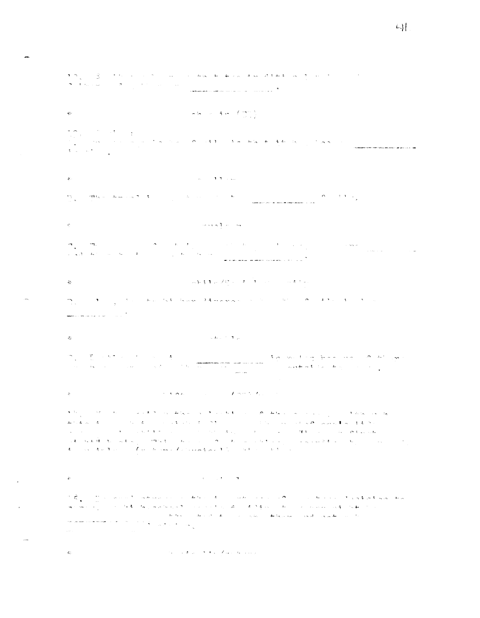ತ್ತಾ ಮಿಂದ್ ಅವರು ಸಂಪರ್ಕಾರ ಅವರು ಹೊಂದಿರುವ ಹಿಂದಿನ ಮಾಡಿದರು.<br>ತಂಡಿದ್ದು, ನಿರ್ದೇಶ ಸಂಪರ್ಕಾರ

$$
\sigma(\sigma) = \sigma(\sigma) = \sigma(\sigma) = \sigma(\sigma) = \sigma(\sigma) = \sigma(\sigma) = \sigma(\sigma) = \sigma(\sigma) = \sigma(\sigma) = \sigma(\sigma) = \sigma(\sigma) = \sigma(\sigma) = \sigma(\sigma) = \sigma(\sigma) = \sigma(\sigma) = \sigma(\sigma) = \sigma(\sigma) = \sigma(\sigma) = \sigma(\sigma) = \sigma(\sigma) = \sigma(\sigma) = \sigma(\sigma) = \sigma(\sigma) = \sigma(\sigma) = \sigma(\sigma) = \sigma(\sigma) = \sigma(\sigma) = \sigma(\sigma) = \sigma(\sigma) = \sigma(\sigma) = \sigma(\sigma) = \sigma(\sigma) = \sigma(\sigma) = \sigma(\sigma) = \sigma(\sigma) = \sigma(\sigma) = \sigma(\sigma) = \sigma(\sigma) = \sigma(\sigma) = \sigma(\sigma) = \sigma(\sigma) = \sigma(\sigma) = \sigma(\sigma) = \sigma(\sigma) = \sigma(\sigma) = \sigma(\sigma) = \sigma(\sigma) = \sigma(\sigma) = \sigma(\sigma) = \sigma(\sigma) = \sigma(\sigma) = \sigma(\sigma) = \sigma(\sigma) = \sigma(\sigma) = \sigma(\sigma) = \sigma(\sigma) = \sigma(\sigma) = \sigma(\sigma) = \sigma(\sigma) = \sigma(\sigma) = \sigma(\sigma) = \sigma(\sigma) = \sigma(\sigma) = \sigma(\sigma) = \sigma(\sigma) = \sigma(\sigma) = \sigma(\sigma) = \sigma(\sigma) = \sigma(\sigma) = \sigma(\sigma) = \sigma(\sigma) = \sigma(\sigma) = \sigma(\sigma) = \sigma(\sigma) = \sigma(\sigma) = \sigma(\sigma) = \sigma(\sigma) = \sigma(\sigma) = \sigma(\sigma) = \sigma(\sigma) = \sigma(\sigma) = \sigma(\sigma) = \sigma(\sigma) = \sigma(\sigma) = \sigma(\sigma) = \sigma(\sigma) = \sigma(\sigma) = \sigma(\sigma) = \sigma(\sigma) = \sigma(\sigma) = \sigma(\sigma) = \sigma(\sigma) = \sigma(\sigma) = \sigma(\sigma) = \sigma(\sigma) = \sigma(\sigma) = \sigma(\sigma) = \sigma(\sigma) = \sigma(\sigma) = \sigma(\sigma) = \sigma(\sigma) = \sigma(\sigma) = \sigma(\sigma) = \sigma(\sigma) = \sigma(\sigma) = \sigma(\sigma) = \sigma(\sigma) = \sigma(\sigma) = \sigma(\sigma) = \sigma(\sigma) = \sigma(\sigma) = \sigma(\sigma) = \sigma(\sigma) = \sigma(\sigma) = \sigma(\sigma) = \sigma(\sigma) = \sigma(\sigma) = \sigma(\sigma) = \sigma(\sigma) = \sigma(\sigma) = \sigma(\sigma) = \sigma(\sigma) = \sigma(\sigma) = \sigma(\sigma) = \sigma(\sigma) = \sigma(\sigma) = \sigma(\sigma
$$

a College (n. 1891)<br>1912 - Johann Holland, politik francuski politik (n. 1892)<br>1814 - Johann John Born, politik (n. 1892)

$$
\frac{d}{dt} \left( \frac{d}{dt} \right) = \frac{d}{dt} \left( \frac{d}{dt} \right) = \frac{d}{dt} \left( \frac{d}{dt} \right) = \frac{d}{dt} \left( \frac{d}{dt} \right) = \frac{d}{dt} \left( \frac{d}{dt} \right) = \frac{d}{dt} \left( \frac{d}{dt} \right) = \frac{d}{dt} \left( \frac{d}{dt} \right) = \frac{d}{dt} \left( \frac{d}{dt} \right) = \frac{d}{dt} \left( \frac{d}{dt} \right) = \frac{d}{dt} \left( \frac{d}{dt} \right) = \frac{d}{dt} \left( \frac{d}{dt} \right) = \frac{d}{dt} \left( \frac{d}{dt} \right) = \frac{d}{dt} \left( \frac{d}{dt} \right) = \frac{d}{dt} \left( \frac{d}{dt} \right) = \frac{d}{dt} \left( \frac{d}{dt} \right) = \frac{d}{dt} \left( \frac{d}{dt} \right) = \frac{d}{dt} \left( \frac{d}{dt} \right) = \frac{d}{dt} \left( \frac{d}{dt} \right) = \frac{d}{dt} \left( \frac{d}{dt} \right) = \frac{d}{dt} \left( \frac{d}{dt} \right) = \frac{d}{dt} \left( \frac{d}{dt} \right) = \frac{d}{dt} \left( \frac{d}{dt} \right) = \frac{d}{dt} \left( \frac{d}{dt} \right) = \frac{d}{dt} \left( \frac{d}{dt} \right) = \frac{d}{dt} \left( \frac{d}{dt} \right) = \frac{d}{dt} \left( \frac{d}{dt} \right) = \frac{d}{dt} \left( \frac{d}{dt} \right) = \frac{d}{dt} \left( \frac{d}{dt} \right) = \frac{d}{dt} \left( \frac{d}{dt} \right) = \frac{d}{dt} \left( \frac{d}{dt} \right) = \frac{d}{dt} \left( \frac{d}{dt} \right) = \frac{d}{dt} \left( \frac{d}{dt} \right) = \frac{d}{dt} \left( \frac{d}{dt} \right) = \frac{d}{dt} \left( \frac{d}{dt} \right) = \frac{d}{dt} \left( \frac{d}{dt} \right) = \frac{d}{dt} \left( \frac{d}{dt} \right) = \frac{d
$$

ال التي التي التي يتعلق المستخدم التي تعلق التي يتم التي يتم التي يتم التي تتم التي تتم التي تتم ال<br>التي يتم التي يتم التي يتم التي يتم التي يتم التي يتم التي يتم التي يتم التي يتم التي يتم التي يتم التي يتم ال<br>التي يتم

$$
\frac{d\theta}{d\theta} = \frac{1}{\sqrt{2\pi}} \int_{0}^{\pi} \frac{d\theta}{d\theta} \, d\theta
$$

ing ang mga kalawang ang pag-alawang pag-alawang pag-alawang ang pag-alawang pag-alawang pag-alawang pag-alawa<br>Tanggal dari sa bahang taon ng pag-alawang pag-alawang pag-alawang pag-alawang pag-alawang pag-alawang pag-ala

$$
\mathcal{M}^{\mathcal{A}}_{\mathcal{A}}(\mathcal{A},\mathcal{A})=\mathcal{A}^{\mathcal{A}}_{\mathcal{A}}(\mathcal{A},\mathcal{A})=\mathcal{A}^{\mathcal{A}}_{\mathcal{A}}(\mathcal{A},\mathcal{A})=\mathcal{A}^{\mathcal{A}}_{\mathcal{A}}(\mathcal{A},\mathcal{A})=\mathcal{A}^{\mathcal{A}}_{\mathcal{A}}(\mathcal{A},\mathcal{A})=\mathcal{A}^{\mathcal{A}}_{\mathcal{A}}(\mathcal{A},\mathcal{A})
$$

 $\overline{\Omega}_{\rm{tot}}$  , and the state of the state of the state of the state  $\sigma$  , and the state of the state  $\overline{\Omega}$  $\begin{array}{l} \bullet \\ \bullet \\ \bullet \end{array}$ 

$$
\mathfrak{B}^{\mathfrak{p}}_{\mathfrak{p}}(\mathbb{R}^{n})\otimes\mathbb{R}^{n}\rightarrow\mathbb{R}^{n}\otimes\mathbb{R}^{n}\otimes\mathbb{R}^{n}\otimes\mathbb{R}^{n}\otimes\mathbb{R}^{n}\rightarrow\mathbb{R}^{n}\otimes\mathbb{R}^{n}\otimes\mathbb{R}^{n}\otimes\mathbb{R}^{n}\otimes\mathbb{R}^{n}\otimes\mathbb{R}^{n}\otimes\mathbb{R}^{n}\otimes\mathbb{R}^{n}\otimes\mathbb{R}^{n}\otimes\mathbb{R}^{n}\otimes\mathbb{R}^{n}\otimes\mathbb{R}^{n}\otimes\mathbb{R}^{n}\otimes\mathbb{R}^{n}\otimes\mathbb{R}^{n}\otimes\mathbb{R}^{n}\otimes\mathbb{R}^{n}\otimes\mathbb{R}^{n}\otimes\mathbb{R}^{n}\otimes\mathbb{R}^{n}\otimes\mathbb{R}^{n}\otimes\mathbb{R}^{n}\otimes\mathbb{R}^{n}\otimes\mathbb{R}^{n}\otimes\mathbb{R}^{n}\otimes\mathbb{R}^{n}\otimes\mathbb{R}^{n}\otimes\mathbb{R}^{n}\otimes\mathbb{R}^{n}\otimes\mathbb{R}^{n}\otimes\mathbb{R}^{n}\otimes\mathbb{R}^{n}\otimes\mathbb{R}^{n}\otimes\mathbb{R}^{n}\otimes\mathbb{R}^{n}\otimes\mathbb{R}^{n}\otimes\mathbb{R}^{n}\otimes\mathbb{R}^{n}\otimes\mathbb{R}^{n}\otimes\mathbb{R}^{n}\otimes\mathbb{R}^{n}\otimes\mathbb{R}^{n}\otimes\mathbb{R}^{n}\otimes\mathbb{R}^{n}\otimes\mathbb{R}^{n}\otimes\mathbb{R}^{n}\otimes\mathbb{R}^{n}\otimes\mathbb{R}^{n}\otimes\mathbb{R}^{n}\otimes\mathbb{R}^{n}\otimes\mathbb{R}^{n}\otimes\mathbb{R}^{n}\otimes\mathbb{R}^{n}\otimes\mathbb{R}^{n}\otimes\mathbb{R}^{n}\otimes\mathbb{R}^{n}\otimes\mathbb{R}^{n}\otimes\mathbb{R}^{n}\otimes\mathbb{R}^{n}\otimes\mathbb{R}^{n}\otimes\
$$

ින් විසින් විවිධ විවිධ විවිධ විද්යාව විසින් විසින් විසින් විසින් විසින් විසින් විසින් විසින් විසින් විසින් විස<br>විවිධ විසින් විසින් විසින් විසින් විසින් විසින් විසින් විසින් විසින් විසින් විසින් විසින් විසින් විසින් විසින්

The contract of the contract of the contract of the contract of the contract of the contract of the contract of  $\Delta\sigma_{\rm{max}}$ 

#### $\mathcal{L}^{\text{max}}(\mathbf{r})$  , where  $\mathcal{L}^{\text{max}}(\mathbf{r})$  $\Delta \phi_{\rm{max}}$

 $\mathcal{L}^{(1)}$ 

 $\hat{\mathbf{z}}$ 

 $\sim$ 

 $\mathcal{L}_{\mathcal{L}^{\pm}}$ 

 $\mathcal{R}(\vec{\mathcal{R}}_{\vec{\mathcal{R}}_{\vec{\mathcal{R}}_{\vec{\mathcal{R}}}}})$  . The constraints of the second contribution of the second contribution of the second contribution of  $\vec{\mathcal{R}}$ ا أن أن يهيد المدينة على الطلب المنهلا لا الفراري في ما بين الأخيم من من الأخير المن الأخير التي تتحدد من المن<br>الله على الطلبين الأخير المعتلمة اللهيد التي الطلب المن المنتقل التعلقات المعاملات التي تتحدد المنتقل المنتقل

الاستانف وسكرت فالجاري فالمراجع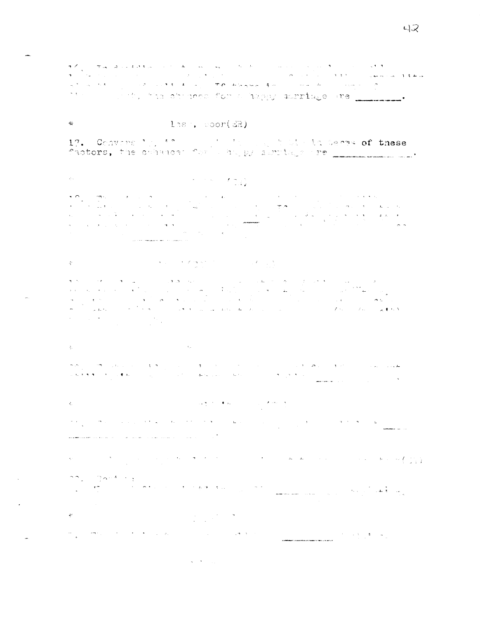$\frac{1}{2}$ 

### $l$  as  $,$  coor( $dR$ )

17. Convers 's in the service is the serve of these

### $2\alpha\beta$  .  $\label{eq:2} \mathcal{L}(\mathcal{F}) = \mathcal{L}(\mathcal{F}) = \mathcal{L}(\mathcal{F}) \mathcal{F}(\mathcal{F})$

### $\label{eq:2} \mathcal{L}(\mathcal{A},\mathcal{L})=\mathcal{L}(\mathcal{L}(\mathcal{A},\mathcal{L}))\otimes\mathcal{L}(\mathcal{L}(\mathcal{L}))\otimes\mathcal{L}(\mathcal{L}(\mathcal{L}))\otimes\mathcal{L}(\mathcal{L}(\mathcal{L}))$  $\sigma_{\rm{max}}$

 $\label{eq:1} \mathcal{L}(\mathcal{L}) = \mathcal{L}(\mathcal{L}) = \mathcal{L}(\mathcal{L}) + \mathcal{L}(\mathcal{L})$  $\label{eq:2.1} \frac{1}{\sqrt{2}}\sum_{i=1}^n\frac{1}{\sqrt{2}}\sum_{i=1}^n\frac{1}{\sqrt{2}}\sum_{i=1}^n\frac{1}{\sqrt{2}}\sum_{i=1}^n\frac{1}{\sqrt{2}}\sum_{i=1}^n\frac{1}{\sqrt{2}}\sum_{i=1}^n\frac{1}{\sqrt{2}}\sum_{i=1}^n\frac{1}{\sqrt{2}}\sum_{i=1}^n\frac{1}{\sqrt{2}}\sum_{i=1}^n\frac{1}{\sqrt{2}}\sum_{i=1}^n\frac{1}{\sqrt{2}}\sum_{i=1}^n\frac$  $\sigma_{\rm{max}}$ 

#### $\mathcal{L}_{\text{max}}$  and  $\mathcal{L}_{\text{max}}$  $\frac{\Delta}{2} \omega_{\rm{max}}$  , where  $\omega_{\rm{max}}$

المستدل المركز العالمي الأمريكي المركز التي يتم التي يتم التي يتم التي يتم التي تتم المركز التي يتم التي يتم ا<br>المستدل المركز التي يتم المستحد التي يتم في الحرب التي يتم المستحدة التي يتم التي يتم التي يتم التي يتم التي

 $\label{eq:2.1} \mathcal{L}(\mathcal{L})=\mathcal{L}(\mathcal{L})\left(\mathcal{L}(\mathcal{L})\right)=\mathcal{L}(\mathcal{L})\left(\mathcal{L}(\mathcal{L})\right)=\mathcal{L}(\mathcal{L})\left(\mathcal{L}(\mathcal{L})\right)=\mathcal{L}(\mathcal{L})\left(\mathcal{L}(\mathcal{L})\right)=\mathcal{L}(\mathcal{L})\left(\mathcal{L}(\mathcal{L})\right)=\mathcal{L}(\mathcal{L})\left(\mathcal{L}(\mathcal{L})\right)=\mathcal{L}(\mathcal{L})\left(\mathcal{L}(\mathcal{L$  $\Delta \omega_{\rm{max}}$  and  $\omega_{\rm{max}}$ 

 $\label{eq:R1} \mathcal{L}_\text{G} = \mathcal{L}_\text{G} + \mathcal{L}_\text{G} + \mathcal{L}_\text{G} + \mathcal{L}_\text{G} + \mathcal{L}_\text{G} + \mathcal{L}_\text{G} + \mathcal{L}_\text{G} + \mathcal{L}_\text{G} + \mathcal{L}_\text{G} + \mathcal{L}_\text{G} + \mathcal{L}_\text{G} + \mathcal{L}_\text{G} + \mathcal{L}_\text{G} + \mathcal{L}_\text{G} + \mathcal{L}_\text{G} + \mathcal{L}_\text{G} + \mathcal{L}_\text$ 

ان کی ایک مسئول ایران از این ایران این است به این ایران ایران ایران ایران ایران ایران ایران ایران ایران ایران<br>افغان کار ایران

nn, gostina<br>1992 - José na primeira a sporta de la provincia de la provincia de

 $\frac{\Delta}{2}C$  and  $\frac{\Delta}{2}$  $\label{eq:2.1} \frac{1}{\sqrt{2\pi}}\sum_{\substack{m=1\\m\neq m}}\frac{1}{m}\sum_{\substack{m=1\\m\neq m}}\frac{1}{m}\sum_{\substack{m=1\\m\neq m}}\frac{1}{m}\sum_{\substack{m=1\\m\neq m}}\frac{1}{m}\sum_{\substack{m=1\\m\neq m}}\frac{1}{m}\sum_{\substack{m=1\\m\neq m}}\frac{1}{m}\sum_{\substack{m=1\\m\neq m}}\frac{1}{m}\sum_{\substack{m=1\\m\neq m}}\frac{1}{m}\sum_{\substack{m=1\\m\neq$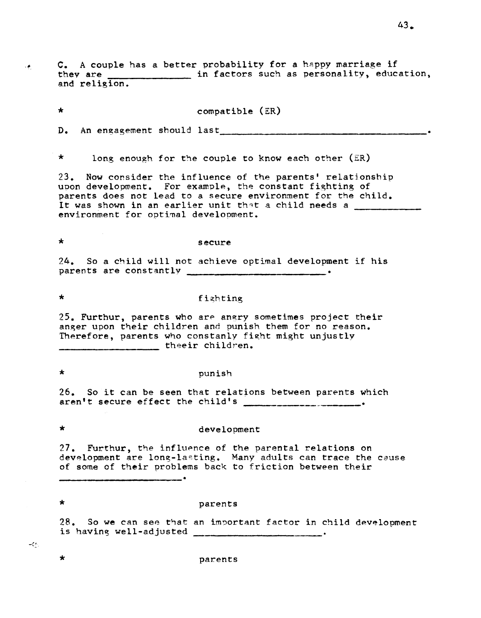. C. A couple has a better probability for a happy marriage if they are \_\_\_\_\_\_\_\_\_\_\_\_\_ in factors such as personality, education, and religion.

\* compatible (ER)

D. An engagement should last

\* long enough for the couple to know each other (ER)

23. Now consider the influence of the parents' relationship upon development. For example, the constant fighting of parents does not lead to a secure environment for the child. It was shown in an earlier unit that a child needs a environment for optimal development.

# \* secure

24. So a child will not achieve optimal development if his parents are constantly **constantly** 

### \* fighting

--------------------------

25. Furthur, parents who are angry sometimes project their anger upon their children and punish them for no reason. Therefore, parents who constanly fight might unjustly theeir children.

### \* punish

26. So it can be seen that relations between parents which aren't secure effect the child's \_\_\_\_\_\_\_\_\_\_\_\_\_\_\_\_\_\_\_.

 $\mathcal{A}_{\mathcal{F}_{\mathcal{F}}}$ 

### \* development

27. Furthur, the influence of the parental relations on development are long-lasting. Many adults can trace the cause of some of their problems baCK to friction between their

### \* parents

28. So we can see that an important factor in child development is having well-adjusted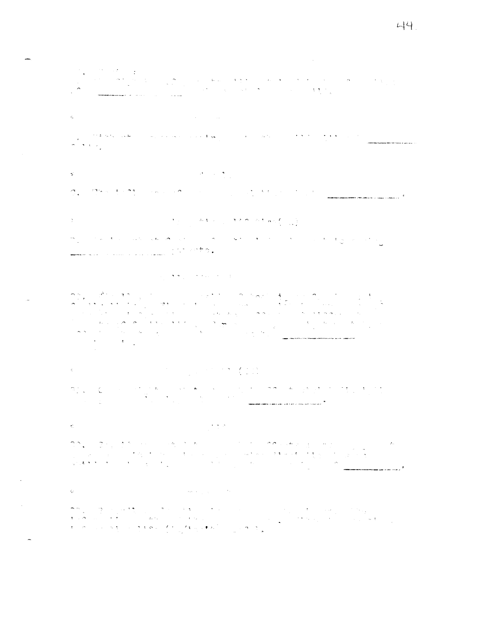$\hat{\theta}_t$  .

 $\sigma_{\rm c}$  and  $\sigma_{\rm c}$ 

 $\label{eq:2.1} \mathcal{A} = \mathcal{A} \times \mathcal{A} = \mathcal{A} \times \mathcal{A}$  $\tilde{\mathbf{y}}$ 

.<br>2016년 - 대한민국의 대한민국의 대한민국의 대한민국의 대한민국의 대한민국의 대한민국의 대한민국의 대한민국의 대한민국의 대한민국의 대한민국의 대한민국의 대한민국의 대한민국의 대한민국의 대한민국의<br>1976년 - 대한민국의 대한민국의 대한민국의 대한민국의 대한민국의 대한민국의 대한민국의 대한민국의 대한민국의 대한민국의 대한민국의 대한민국의 대한민국의 대한민국의 대한민국의 대한민국의 대한민국의

 $\label{eq:2.1} \mathcal{F}_{\mathcal{A}}(x,y) = \mathcal{F}_{\mathcal{A}}(x,y) = \mathcal{F}_{\mathcal{A}}(x,y) = \mathcal{F}_{\mathcal{A}}(x,y) = \mathcal{F}_{\mathcal{A}}(x,y) = \mathcal{F}_{\mathcal{A}}(x,y)$  $\mathbf{Y}^{(n)}$  and  $\mathbf{Y}^{(n)}$  .

man and the second companies of the companies of the second companies of the second companies of the where we have a similar set of the set  $\overline{\mathcal{O}}$  , and  $\overline{\mathcal{O}}$ 

 $\label{eq:2} \mathcal{L}_{\mathcal{A}}(\mathcal{A})=\frac{1}{2}\sum_{i=1}^n\mathcal{L}_{\mathcal{A}}(\mathcal{A})\mathcal{L}_{\mathcal{A}}(\mathcal{A})\mathcal{L}_{\mathcal{A}}(\mathcal{A})\mathcal{L}_{\mathcal{A}}(\mathcal{A})\mathcal{L}_{\mathcal{A}}(\mathcal{A})\mathcal{L}_{\mathcal{A}}(\mathcal{A})\mathcal{L}_{\mathcal{A}}(\mathcal{A})\mathcal{L}_{\mathcal{A}}(\mathcal{A})\mathcal{L}_{\mathcal{A}}(\mathcal{A})\mathcal{L}_{\mathcal{A}}(\mathcal{A})$ 

 $\label{eq:2.1} \mathcal{L}(\mathcal{L}(\mathcal{L}))=\mathcal{L}(\mathcal{L}(\mathcal{L}))\otimes \mathcal{L}(\mathcal{L}(\mathcal{L}))\otimes \mathcal{L}(\mathcal{L}(\mathcal{L}))\otimes \mathcal{L}(\mathcal{L}(\mathcal{L}))\otimes \mathcal{L}(\mathcal{L}(\mathcal{L}))\otimes \mathcal{L}(\mathcal{L}(\mathcal{L}))\otimes \mathcal{L}(\mathcal{L}(\mathcal{L}))\otimes \mathcal{L}(\mathcal{L}(\mathcal{L}))\otimes \mathcal{L}(\mathcal{L}(\mathcal{L}(\mathcal{L}(\$  $\mathbf{S}^{(n)}$  and  $\mathbf{S}^{(n)}$ 

 $\frac{1}{2} \frac{d\mu}{d\mu}$  .  $\alpha \rightarrow \alpha \rightarrow \alpha$ 

 $\label{eq:1.1} \left\langle \phi_{\alpha} \right\rangle_{\alpha} = \left\langle \phi_{\alpha} \right\rangle_{\alpha} = \left\langle \phi_{\alpha} \right\rangle_{\alpha} = \left\langle \phi_{\alpha} \right\rangle_{\alpha} = \left\langle \phi_{\alpha} \right\rangle_{\alpha}$  $\mathcal{O}(\mathbb{R}^n)$  .

 $\mathcal{L}^{\pm}$ 

 $\sim$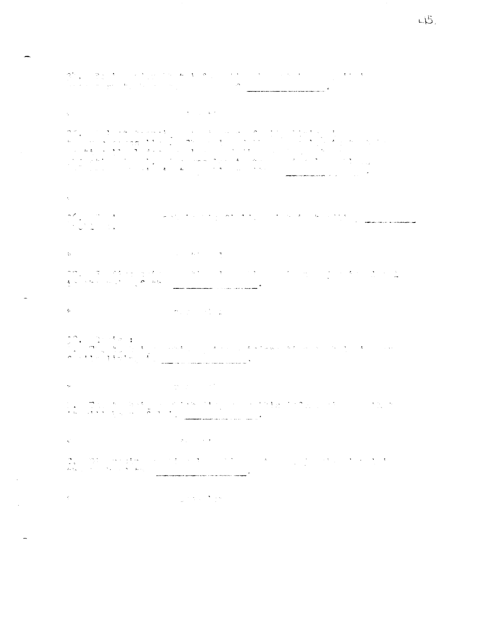$\mathcal{O}^{(1)}_{\mathcal{O}^{(1)}}$  . The set of the set of the set of the set of the set of the set of the set of the set of the set of the set of the set of the set of the set of the set of the set of the set of the set of the set المحافظة المستقبل المحافظة المتحدة المحافظة المحافظة المحافظة المحافظة المحافظة المحافظة المحافظة المحافظة الم<br>والمحافظة المحافظة المحافظة المحافظة المحافظة المحافظة المحافظة المحافظة المحافظة المحافظة المحافظة المحافظة ا  $\mathcal{O}(\mathbb{R}^n)$  and  $\mathcal{O}(\mathbb{R}^n)$  $\mathcal{L}^{\mathcal{L}}(\mathcal{L}^{\mathcal{L}})$  ,  $\mathcal{L}^{\mathcal{L}}(\mathcal{L}^{\mathcal{L}})$  , and  $\mathcal{L}^{\mathcal{L}}(\mathcal{L}^{\mathcal{L}})$ 

 $\sigma_{\rm{eff}}$ 

 $\gamma_{\rm{eff}}$ 

 $\label{eq:2.1} \Lambda_{\lambda}(\mathbb{R}^2) = \frac{1}{\sqrt{2}} \sum_{i=1}^{\infty} \frac{1}{i} \sum_{i=1}^{\infty} \frac{1}{i} \sum_{i=1}^{\infty} \frac{1}{i} \sum_{i=1}^{\infty} \frac{1}{i} \sum_{i=1}^{\infty} \frac{1}{i} \sum_{i=1}^{\infty} \frac{1}{i} \sum_{i=1}^{\infty} \frac{1}{i} \sum_{i=1}^{\infty} \frac{1}{i} \sum_{i=1}^{\infty} \frac{1}{i} \sum_{i=1}^{\infty} \frac$  $\Delta \sigma$  , where  $\sigma$ 

ाणि, अर्थित क्षेत्र सुरुक्त संस्था करते । अति अति संस्था करते । अति संस्था करते । अति संस्था करते । अति संस्था<br>कृष्ण अस्ति संस्था करते । अति संस्था .<br>Anti-color composition of characters

 $\delta_{\rm 2}$  .  $\label{eq:Ricci} \mathcal{L}^{\text{max}}_{\text{max}} = \frac{1}{\sqrt{2}} \left( \frac{1}{\sqrt{2}} \sum_{i=1}^{N} \frac{1}{\sqrt{2}} \sum_{i=1}^{N} \frac{1}{\sqrt{2}} \sum_{i=1}^{N} \frac{1}{\sqrt{2}} \sum_{i=1}^{N} \frac{1}{\sqrt{2}} \sum_{i=1}^{N} \frac{1}{\sqrt{2}} \sum_{i=1}^{N} \frac{1}{\sqrt{2}} \sum_{i=1}^{N} \frac{1}{\sqrt{2}} \sum_{i=1}^{N} \frac{1}{\sqrt{2}} \sum_{i=1}^{N$ 

 $\mathcal{L}$ 

 $\mathcal{A}^{\mathcal{A}}$ 

ನ್ನು ಪ್ರತಿಭಟಿಸಿದ್ದಾರೆ.<br>ಸಂಸ್ಥೆಗಳಲ್ಲಿ ಆಗ್ರಹ್ಮ ಸಂಸ್ಥೆ ಸಂಪಂಚಾದ್ರ ಪ್ರತಿ ಸಂಸ್ಥೆ ಕಾರ್ನಾಟಕ ಹಿಂದೂ ಸಂಸ್ಥೆ ಸಂಸ್ಥೆ ಸಂಸ್ಥೆ ಸಂಸ್ಥೆ ಸಂಸ್ಥೆ ಸಂಸ್ಥೆ ಸಂ<br>ದಿನ ವಿಶ್ವ ಸ್ಥಳೀಯ ಸಂಸ್ಥೆ ಸಂಸ್ಥೆ ಸಂಸ್ಥೆ ಸಂಸ್ಥೆ ಸಂಸ್ಥೆ ಸಂಸ್ಥೆ ಸಂಸ್ಥೆ ಸಂಸ್ಥೆ ಸಂಸ್ಥೆ ಸಂಸ್ಥೆ

 $\label{eq:2.1} \mathcal{L}=\frac{1}{2}\sum_{i=1}^n\sum_{j=1}^n\frac{1}{2\pi i}\sum_{j=1}^n\frac{1}{2\pi i}\sum_{j=1}^n\frac{1}{2\pi i}\sum_{j=1}^n\frac{1}{2\pi i}\sum_{j=1}^n\frac{1}{2\pi i}\sum_{j=1}^n\frac{1}{2\pi i}\sum_{j=1}^n\frac{1}{2\pi i}\sum_{j=1}^n\frac{1}{2\pi i}\sum_{j=1}^n\frac{1}{2\pi i}\sum_{j=1}^n\frac{1}{2\pi i}\sum_{j=1}^n\$  $\mathbf{q}_{\mathbf{S}^{\prime}}$  ,  $\mathbf{q}_{\mathbf{S}^{\prime}}$ 

ు కాండ్రీ ప్రాంతం ప్రాంతం నుండి కాండ్రీ ప్రాంతం నుండి వినియోగంలో ఉంది. సంబంధించి ప్రాంతం నుండి వ్యవస్థ కాండ్రీ<br>కాండ్రీ ప్రాంతం నుండి ప్రాంతం నుండి ప్రాంతం నుండి వ్యవస్థ కాండ్రీ ప్రాంతం నుండి ప్రాంతం నుండి ప్రాంతం నుండి ప

 $\mathcal{O}(\sqrt{2\pi})$  , and  $\mathcal{O}(\sqrt{2\pi})$  .  $\mathcal{L}^{\text{max}}_{\text{max}}$  and  $\mathcal{L}^{\text{max}}_{\text{max}}$ 

 $\frac{1}{2}$  and  $\frac{1}{2}$  are proposed by the state of  $\frac{1}{2}$  and  $\frac{1}{2}$  and  $\frac{1}{2}$  and  $\frac{1}{2}$  and  $\frac{1}{2}$  and  $\frac{1}{2}$  and  $\frac{1}{2}$  and  $\frac{1}{2}$  and  $\frac{1}{2}$  and  $\frac{1}{2}$  and  $\frac{1}{2}$  and  $\frac{1}{2}$  and  $\label{eq:3} \frac{\partial}{\partial t} \mathbf{u} = \mathbf{u} + \mathbf{u} + \mathbf{u} + \mathbf{u} + \mathbf{u} + \mathbf{u} + \mathbf{u} + \mathbf{u} + \mathbf{u} + \mathbf{u} + \mathbf{u} + \mathbf{u} + \mathbf{u} + \mathbf{u} + \mathbf{u} + \mathbf{u} + \mathbf{u} + \mathbf{u} + \mathbf{u} + \mathbf{u} + \mathbf{u} + \mathbf{u} + \mathbf{u} + \mathbf{u} + \mathbf{u} + \mathbf{u} + \mathbf{u} + \mathbf{u} + \$ 

 $\label{eq:2.1} \mathcal{L}=\frac{1}{2\pi}\left(\frac{1}{2}\left(\frac{1}{2}\right)^2\right)^2+\frac{1}{2\pi}\left(\frac{1}{2}\right)^2.$  $\sim$  30  $\%$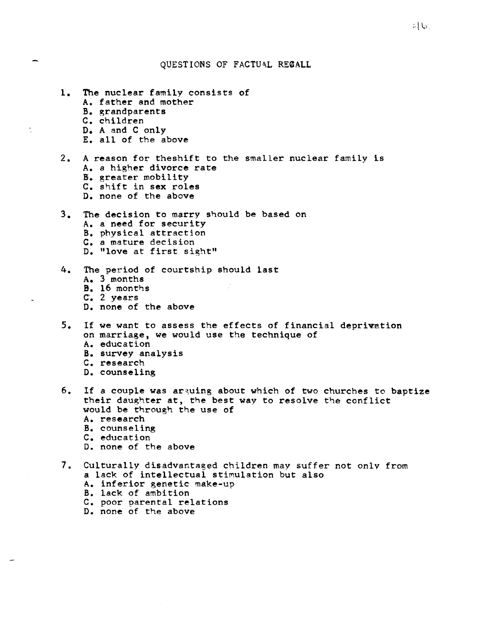### QUESTIONS OF FACTUAL REGALL

- 1. The nuclear family consists of A. father and mother B. grandparents C. children D. A and C only E. all of the above 2. A reason for theshift to the smaller nuclear family is A. a higher divorce rate &. greater mobility C. shift in sex roles D. none of the above 3. The decision to marry should be based on A. a need for security B. physical attraction C. a mature decision D. "love at first sight" 4. The period of courtship should last A. 3 months  $B. 16$  months C. 2 years D. none of the above 5. If we want to assess the effects of financial deprivation on marriage, we would use the technique of A. education B. survey analysis C. research D. counseling 6. If a couple was arguing about which of two churches to baptize their daughter at, the best way to resolve the conflict would be through the use of A. research B. counseling C. education D. none of the above 7. Culturally disadvantaged children may suffer not only from a lack of intellectual stimulation but also A. inferior genetic make-up B. lack of ambition C. poor parental relations
	- D. none of the above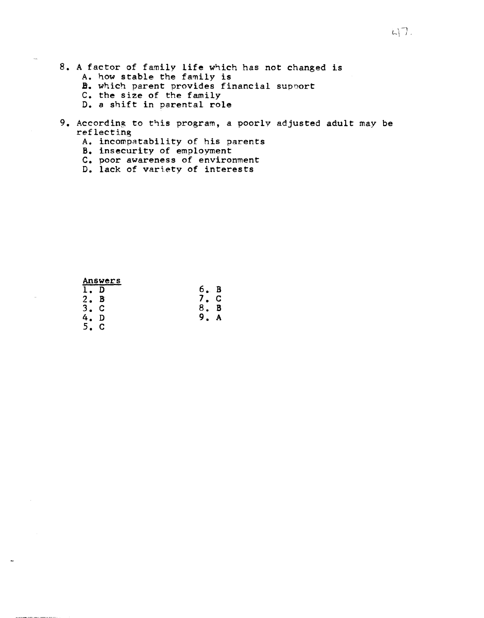- 8. A factor of family life which has not changed is A. how stable the family is
	- B. which parent provides financial supoort
	- C. the size of the family
	- D. a shift in parental role
- 9. According to this program, a poorly adjusted adult may be reflecting
	- A. incompatability of his parents
	- B. insecurity of employment
	- C. poor awareness of environment
	- D. lack of variety of interests

| Answers   |      |     |
|-----------|------|-----|
| l. D      | 6. B |     |
| 2. B      | 7.   | - C |
| 3. c      | 8. B |     |
| 4. D      | 9.   | A   |
| 5.<br>- C |      |     |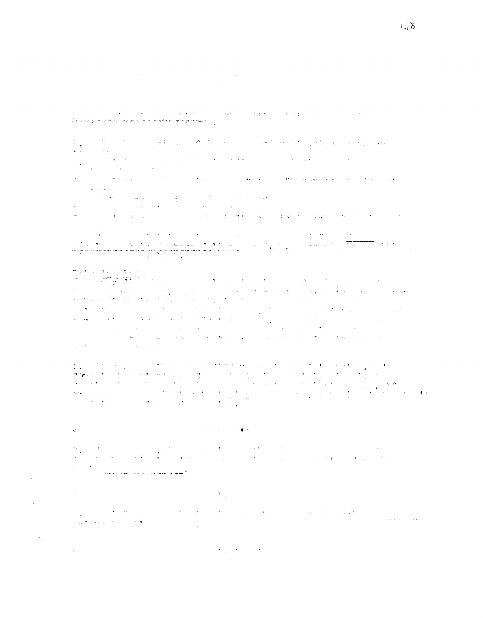$\label{eq:R1} \mathcal{R} = \mathcal{R} \left( \mathcal{R} \right) \left( \mathcal{R} \right) \left( \mathcal{R} \right) \left( \mathcal{R} \right) \left( \mathcal{R} \right) \left( \mathcal{R} \right) \left( \mathcal{R} \right) \left( \mathcal{R} \right) \left( \mathcal{R} \right)$ 

ing and the second second second second second second second second second second second second second second s<br>The companishment second and the second second second second second second second second second second second

್ಲಿ ಸ್ಥಾನಗಳು<br>ಅಂದು ಸಂಸ್ಥೆಗಳು ಸ್ಥಾನಗಳು ಸಂಸ್ಥೆಗಳು ಸಂಸ್ಥೆಗಳು ಸಂಸ್ಥೆಯ ಮಾಡಿದ್ದಾರೆ. ಅವರ ಅವಧಿಕಾರಿಗಳು ಸ್ಥಾನಗಳು ಸಂಸ್ಥೆಗಳು ಸಂಸ್ಥೆಗಳು أناس سأتبع والأربع

್ ಕಾರ್ಯಕ್ರಮ<br>ಅಲ್ಲಿ ಕಾರ್ಯಕ್ರಮ ಹಾಗೂ ಬಂಧಿಸಿದ್ದಾರೆ. ಅವರು ಕಾರ್ಯಕ್ರಮ ಕಾರ್ಯಕ್ರಮ ಕಾರ್ಯಕ್ರಮ ಸಂಸ್ಥೆಯಲ್ಲಿ ಸಂಸ್ಥೆಯಲ್ಲಿ ಸಂಸ್ಥೆಯಲ್ಲಿ ಕಾರ್<br>ಕಾರ್ಯಕ್ರಮ ಕಾರ್ಯಕ್ರಮ ಕಾರ್ಯಕ್ರಮ ಕಾರ್ಯಕ್ರಮ ಕಾರ್ಯಕ್ರಮ ಕಾರ್ಯಕ್ರಮ ಕಾರ್ಯಕ್ರಮ ಕಾರ್ಯಕ್ರಮ ಕಾರ್ಯಕ್ರಮ ಕಾರ್ಯಕ್

 $\langle \cdot, \cdot \rangle$  .

### $\overline{\sigma}^{\mu\nu}(\omega) \omega_{\mu\nu\rho\sigma}(\omega) \overline{\sigma}^{\mu\nu} \overline{\sigma}^{\mu\nu} \omega \overline{\sigma}^{\mu\nu} \overline{\sigma}^{\mu\nu} \omega \overline{\sigma}^{\mu\nu} \omega \overline{\sigma}^{\mu\nu}$

 $\mathcal{A}^{\mathcal{A}}_{\mathcal{A}}$  and  $\mathcal{A}^{\mathcal{A}}_{\mathcal{A}}$ 

 $\sim 800$ 

 $\sim 10^{-1}$ 

#### $\mathbf{E}^{(1)}$  and  $\mathbf{E}^{(2)}$  $\mathcal{L}^{\mathcal{L}}(\mathcal{L}^{\mathcal{L}})$  . The contribution of the contribution of

n († 1970)<br>19. juli – Alexandro Maria, francuski filozof, francuski politik, politik († 1903)<br>19. juli – Alexandro Maria, francuski politik, francuski politik, francuski politik, francuski politik, francu  $\mathcal{L}_{\text{max}} = \frac{1}{2} \sum_{i=1}^{2} \frac{1}{2} \sum_{j=1}^{2} \frac{1}{2} \sum_{j=1}^{2} \frac{1}{2} \sum_{j=1}^{2} \frac{1}{2} \sum_{j=1}^{2} \frac{1}{2} \sum_{j=1}^{2} \frac{1}{2} \sum_{j=1}^{2} \frac{1}{2} \sum_{j=1}^{2} \frac{1}{2} \sum_{j=1}^{2} \frac{1}{2} \sum_{j=1}^{2} \frac{1}{2} \sum_{j=1}^{2} \frac{1}{2} \sum_{j=1}^{2} \frac{1$ المستهدين العوس والأبراني الأرانيات ومعاقده الأرسيس

### $\mathbf{q} = \mathbf{q} \cdot \mathbf{r}$  , where  $\mathbf{q} = \mathbf{q} \cdot \mathbf{q}$

المقوية.<br>الحقوقية: الفرنسية المستقرر التي تستقرر التي تستقرر التي تستقرر التي تستقرر التي تستقرر المستقرر التي تستقرر ا  $\mathcal{L}^{\mathcal{L}}$  , we define the same function  $\mathcal{L}^{\mathcal{L}}$  $\sigma$  and  $\sigma$  and  $\sigma$  and  $\sigma$  . In the  $\sigma$ 

 $\mathcal{L}^{\mathcal{L}}$  and  $\mathcal{L}^{\mathcal{L}}$  are the set of the set of  $\mathcal{L}^{\mathcal{L}}$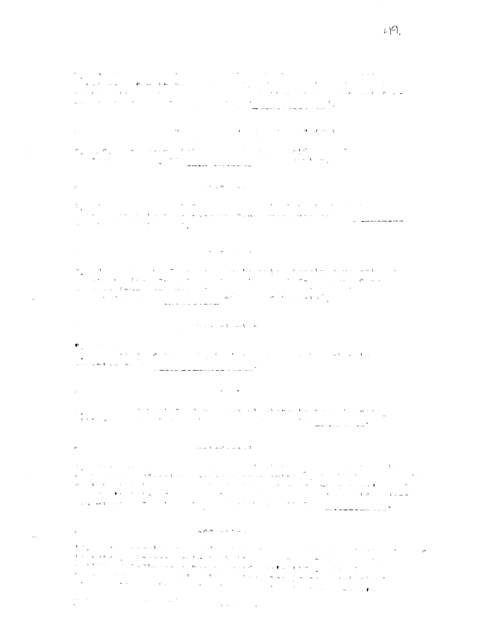$\label{eq:Q} \mathcal{Q} = \frac{1}{2} \sum_{\substack{ \text{odd } \ell \in \mathbb{N} \\ \ell \in \mathbb{N} \\ \ell \in \mathbb{N}}} \mathcal{Q}(\ell) \geq \frac{1}{2} \sum_{\substack{ \ell \in \mathbb{N} \\ \ell \in \mathbb{N} \\ \ell \in \mathbb{N}}} \mathcal{Q}(\ell) \geq \frac{1}{2} \sum_{\substack{ \ell \in \mathbb{N} \\ \ell \in \mathbb{N} \\ \ell \in \mathbb{N} \\ \ell \in \mathbb{N} \\ \ell \in \mathbb{N} \\ \ell \in \mathbb{N} \\ \ell \in \$ 

 $\mathcal{L}^{\text{max}}_{\text{max}}$  and  $\mathcal{L}^{\text{max}}_{\text{max}}$  . The contraction of the contraction of the contraction of  $\mathcal{L}^{\text{max}}_{\text{max}}$ 

 $\mathfrak{A}^{\mathfrak{p}}_{\mathfrak{p}}$  and  $\mathfrak{p}^{\mathfrak{p}}_{\mathfrak{p}}$  $\label{eq:2} \mathcal{L}^{\mathcal{L}}(\mathcal{L}^{\mathcal{L}}(\mathcal{L}^{\mathcal{L}}(\mathcal{L}^{\mathcal{L}}(\mathcal{L}^{\mathcal{L}}(\mathcal{L}^{\mathcal{L}}(\mathcal{L}^{\mathcal{L}}(\mathcal{L}^{\mathcal{L}}(\mathcal{L}^{\mathcal{L}}(\mathcal{L}^{\mathcal{L}}(\mathcal{L}^{\mathcal{L}}))))))$ 

 $\label{eq:2.1} \left\langle \Phi_{\alpha} \right\rangle_{\alpha} = \left\langle \left\langle \Phi_{\alpha} \right\rangle_{\alpha} \left\langle \Phi_{\alpha} \right\rangle_{\alpha} + \left\langle \Phi_{\alpha} \right\rangle_{\alpha} \left\langle \Phi_{\alpha} \right\rangle_{\alpha} + \left\langle \Phi_{\alpha} \right\rangle_{\alpha} \left\langle \Phi_{\alpha} \right\rangle_{\alpha} \right\rangle_{\alpha} + \left\langle \Phi_{\alpha} \right\rangle_{\alpha} \left\langle \Phi_{\alpha} \right\rangle_{\alpha} + \left\langle \Phi_{\alpha} \right\rangle_{\alpha} \left\langle \Phi_{\alpha} \right\rangle$ 

 $\label{eq:2.1} \mathcal{L}_{\mathcal{A}}(\mathcal{A})=\mathcal{A}(\mathcal{A})\mathcal{L}_{\mathcal{A}}(\mathcal{A})\mathcal{A}(\mathcal{A})\mathcal{A}(\mathcal{A})$ 

المستحصون لمداعا بالتعاريف

 $\mathcal{L}^{\mathcal{L}}(\mathcal{L}^{\mathcal{L}})$  ,  $\mathcal{L}^{\mathcal{L}}(\mathcal{L}^{\mathcal{L}})$  , and  $\mathcal{L}^{\mathcal{L}}(\mathcal{L}^{\mathcal{L}})$  , and  $\mathcal{L}^{\mathcal{L}}(\mathcal{L}^{\mathcal{L}})$ 

 $\label{eq:nonlinear} \begin{split} \pmb{\Phi}_{\text{max}}^{(1)} &= \mathcal{O}(\text{diag}(\mathcal{E}^{\text{max}})) \end{split}$ ്ത്രം<br>കാരം കാര്യങ്ങള് പ്രാധാനമായി പ്രാധാനമായി പ്രാധാനമായി പ്രാധാനമായി പ്രാധാനമായി പ്രാധാനമായി പ്രാധാനമായി കാര്യങ്ങളി<br>പ്രാധാനമായി കോട്ടിക്കാന് പ്രാധാനമായി പ്രാധാനമായി പ്രാധാനമായി പ്രാധാനമായി പ്രാധാനമായി പ്രാധാനമായി പ്രാധാന

 $\mathcal{L}^{\mathcal{L}}(\mathcal{L}^{\mathcal{L}}(\mathcal{L}^{\mathcal{L}}(\mathcal{L}^{\mathcal{L}}(\mathcal{L}^{\mathcal{L}}(\mathcal{L}^{\mathcal{L}}(\mathcal{L}^{\mathcal{L}}(\mathcal{L}^{\mathcal{L}}(\mathcal{L}^{\mathcal{L}}(\mathcal{L}^{\mathcal{L}}(\mathcal{L}^{\mathcal{L}}(\mathcal{L}^{\mathcal{L}}(\mathcal{L}^{\mathcal{L}}(\mathcal{L}^{\mathcal{L}}(\mathcal{L}^{\mathcal{L}}(\mathcal{L}^{\mathcal{L}}(\mathcal{L}^{\mathcal{L$  $\mathcal{L}^{(1)}$  and

 $\Delta \nu = 0.01$ الأرباء المتملك الأصامة السامدات

 $\label{eq:2.1} \frac{1}{\sqrt{2}}\left(\frac{1}{\sqrt{2}}\right)^{2} \left(\frac{1}{\sqrt{2}}\right)^{2} \left(\frac{1}{\sqrt{2}}\right)^{2} \left(\frac{1}{\sqrt{2}}\right)^{2} \left(\frac{1}{\sqrt{2}}\right)^{2} \left(\frac{1}{\sqrt{2}}\right)^{2} \left(\frac{1}{\sqrt{2}}\right)^{2} \left(\frac{1}{\sqrt{2}}\right)^{2} \left(\frac{1}{\sqrt{2}}\right)^{2} \left(\frac{1}{\sqrt{2}}\right)^{2} \left(\frac{1}{\sqrt{2}}\right)^{2} \left(\$  $\mathcal{F}_{\mathbf{q},\mathbf{q}}$  is a function of the contribution of  $\mathcal{F}_{\mathbf{q}}$  ,  $\mathcal{F}_{\mathbf{q}}$ 

் துச்சி படியார்.  $\mathcal{A}_{\mathcal{A}}$  ,  $\mathcal{A}_{\mathcal{A}}$  ,  $\mathcal{A}_{\mathcal{A}}$ 

 $\hat{a}$  and  $\hat{a}$ 

 $\label{eq:1} \mathcal{L}(\mathcal{A},\mathcal{C})=\mathcal{L}(\mathcal{A},\mathcal{C})\,,\qquad \qquad \mathcal{L}(\mathcal{A},\mathcal{C})=\mathcal{L}(\mathcal{A},\mathcal{C})\,,\qquad \qquad \mathcal{A}(\mathcal{A},\mathcal{C})=\mathcal{A}(\mathcal{A},\mathcal{C})\,,$  $\sigma(\tau) = \sigma(\tau)$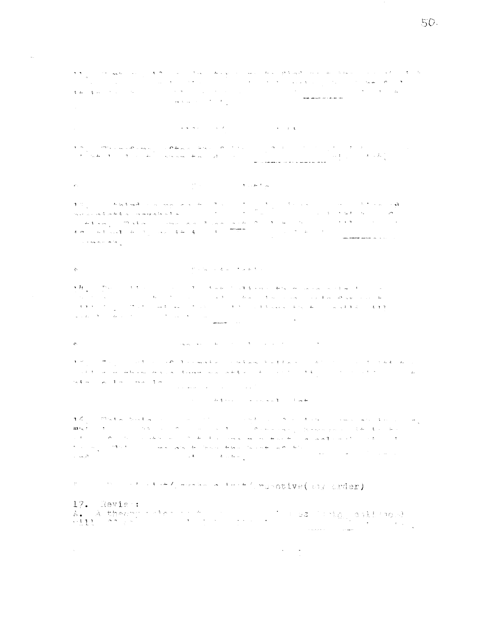الله الحيات التي يتناسب المنهوم المستحدة الأمريكي والمتحدث المستحدة المراقب المنافي المتحدث المن المعرفين المتح တိုင်းနှင့် တက်ကြိမ် တိုင်းမြို့သည်။ တက်ကို တက်ကို တက်ကို တက်ကို ပြည်နေရာ တွင်ရှင်း တက်နေ့ ကားလေးကို လုပ်ငန်း<br>မြို့သည်။ တက်ကို တက်ကို တက်ကို တက်ကို တက်ကို တက်ကို တက်ကို တက်ကို တက်ကို တက်ကို တက်ကို တက်ကို တက်ကို တက်ကို တက<br>

 $\mathcal{L}^{\mathcal{L}}$  is the contract of the  $\mathcal{L}^{\mathcal{L}}$  . The contract of the following  $\mathcal{L}^{\mathcal{L}}$ 

**SALES CONTRACTOR**  $\mathbf{F}^{\mathbf{r}}_{\mathbf{r}}(t) = \mathbf{F}^{\mathbf{r}}_{\mathbf{r}}(t) + \mathbf{F}^{\mathbf{r}}_{\mathbf{r}}(t) + \mathbf{F}^{\mathbf{r}}_{\mathbf{r}}(t) + \mathbf{F}^{\mathbf{r}}_{\mathbf{r}}(t) + \mathbf{F}^{\mathbf{r}}_{\mathbf{r}}(t) + \mathbf{F}^{\mathbf{r}}_{\mathbf{r}}(t) + \mathbf{F}^{\mathbf{r}}_{\mathbf{r}}(t) + \mathbf{F}^{\mathbf{r}}_{\mathbf{r}}(t) + \mathbf{$ 

 $\sim$  complex  $\sim$ 

 $\Delta\mu$  and  $\mu$  $\mathcal{O}(\mathbb{R}^2)$  . We consider a simple point of the field  $\mathcal{O}(\mathbb{R}^2)$ 

المالي العالم في منظم المناطق المعلومات المعلومات التي يقط في التعارف التي التي يتم التي يتم التي تتم التي تتم<br>الطبيب الموجود من التي الموجود التي يتم التي يتم التي تتم التي يتم التي يتم التي يتم التي يتم التي يتم التي يت  $\mathcal{A}^{\mathcal{A}}_{\mathcal{A}}(\mathcal{A})=\mathcal{A}^{\mathcal{A}}_{\mathcal{A}}\left(\mathcal{A}^{\mathcal{A}}_{\mathcal{A}}\right)\left(\mathcal{A}^{\mathcal{A}}_{\mathcal{A}}\right)\left(\mathcal{A}^{\mathcal{A}}_{\mathcal{A}}\right)\left(\mathcal{A}^{\mathcal{A}}_{\mathcal{A}}\right)\left(\mathcal{A}^{\mathcal{A}}_{\mathcal{A}}\right)\left(\mathcal{A}^{\mathcal{A}}_{\mathcal{A}}\right)\left(\mathcal{A}^{\mathcal{A}}_{\mathcal{A}}\right)\left(\mathcal{$  $\mathcal{L}^{\text{max}}$  and  $\mathcal{L}^{\text{max}}$  $\frac{1}{2} \sum_{i=1}^{n} \frac{1}{2} \sum_{j=1}^{n} \frac{1}{2} \sum_{j=1}^{n} \frac{1}{2} \sum_{j=1}^{n} \frac{1}{2} \sum_{j=1}^{n} \frac{1}{2} \sum_{j=1}^{n} \frac{1}{2} \sum_{j=1}^{n} \frac{1}{2} \sum_{j=1}^{n} \frac{1}{2} \sum_{j=1}^{n} \frac{1}{2} \sum_{j=1}^{n} \frac{1}{2} \sum_{j=1}^{n} \frac{1}{2} \sum_{j=1}^{n} \frac{1}{2} \sum_{j=1}^{n$ 

 $\hat{f}$  , where  $\hat{f}$  is a set of the set of the set of the set of the set of the  $\hat{f}$  $\frac{1}{2} \sum_{i=1}^{n} \frac{1}{\left( \sum_{j=1}^{n} \frac{1}{j} \right)^{i}}$ 

 $\mathbf{1}(\mathcal{B}_{\mathcal{A}_{\mathcal{A}}})$  ,  $\mathcal{B}_{\mathcal{A}_{\mathcal{A}}}$  ,  $\mathcal{B}_{\mathcal{A}}$  ,  $\mathcal{B}_{\mathcal{A}}$  ,  $\mathcal{B}_{\mathcal{A}}$  ,  $\mathcal{B}_{\mathcal{A}}$  ,  $\mathcal{B}_{\mathcal{A}}$  ,  $\mathcal{B}_{\mathcal{A}}$  ,  $\mathcal{B}_{\mathcal{A}}$  ,  $\mathcal{B}_{\mathcal{A}}$  ,  $\mathcal{B}_{\mathcal{A}}$  ,  $\mathcal{B}_{\mathcal{A}}$  ന്നത്.<br>നാലിന്റെ കാര്ക്കിക്കുകൾ കാര്യമായി തീരുക്കുകയും കാര്യമായി ക്രിയോഗില് നിന്ന് നിന്ന് നിന്ന് നാല് നിന്ന് നിന്ന് വി ಬಂದಿದೆ.<br>ಸೀಕೇರ್ ಕಾಲಿನಲ್ಲಿ ಕಾಕು ಹೇಕು?<br>ಬಂದಾವು ಎಂಬ ಸಂಬಂಧಿಸಿದ್ದು, ಮಾಡಿಕೊಂಡು ಕಾಲ್ಕು ಸಂಬಂಧಿಸಿದ್ದು

الموسوفات والأساسيد والمتابع والمتاريخ والمعاري والمتاري

ඇති වූ තැබෑමට කොළඹය විවිධ විවිධ විවිධ විවිධ විවිධ කරන මිටික විවිධ විවිධ විවිධ විවිධ විවිධ විවිධ විවිධ විවිධ<br>මැලිස් විවිධ විවිධ විවිධ විවිධ විවිධ විවිධ විවිධ විවිධ කරන තැබේ. කියන්න කොළඹය විවිධ විවිධ විවිධ විවිධ الجان الجان الأبرمنيِّ الأمم لأن التَّقيلية على من جديد المرفى التي ينظر بالمربِّع التي ينتجع التي المربِّع ال ನ್ನು ಸಂಪೂರ್ಣ ಸ್ಥಾಪಕ ಮಾಡಿದ್ದಾರೆ.<br>ನಿಂದು ಸ್ಥಾಪಕ ಶಾಸಕರು ಪ್ರತಿ ಪಾದಾವು ಕಾರ್ಯಕ್ರಮ ಹಾಗೂ ಹಾಕಾಂಡ್ ಸ್ಥಾಪಕ್ಕೆ ಕಾರ್ಯಕ್ರಮ ಕಾರ್ಯಕ್ರಮ ಪ್ರತಿ ಪ್ರತಿ ಪ್ರತಿ ಪ್ರಸಾರ  $\mathbb{R}^2$  ,  $\mathbb{R}^2$  ,  $\mathbb{R}^2$  ,  $\mathbb{R}^2$  ,  $\mathbb{R}^2$  ,  $\mathbb{R}^2$  ,  $\mathbb{R}^2$  ,  $\mathbb{R}^2$  $\omega$  and  $\mathcal{D}^{\pm}$ 

r (a) a the stake (a) and a test (a) oblye(a) crder)

 $17.$  Revie :

 $\frac{1}{2\pi\alpha}$  .

17. seviet:<br>&. A theory write of the second second still only of the second still only of the second still only of the second still of the second still of the second state of the second state of the second state of the sec

 $\mathcal{L}(\mathcal{A})=\mathcal{A}(\mathcal{A})$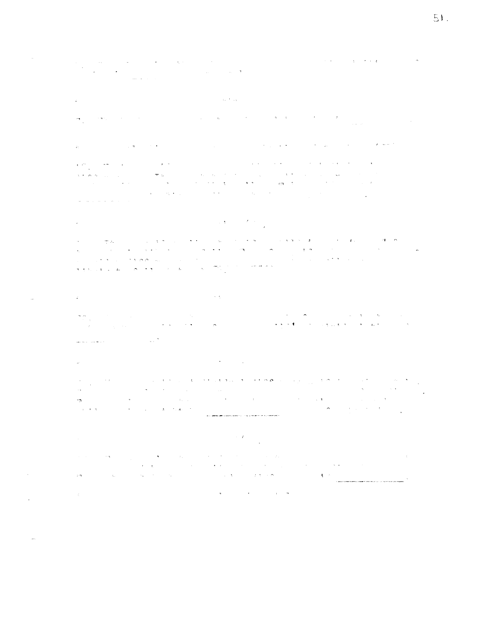#### $\hat{\mathcal{L}}_{\text{max}}$  and  $\hat{\mathcal{L}}_{\text{max}}$  and  $\mathcal{L}(\mathcal{L})$  and  $\mathcal{L}(\mathcal{L})$

 $\sim 10^{-1}$ 

 $\mathcal{L}^{\pm}$ 

 $\mathcal{L}^{\text{max}}$ 

 $\sim$  1000  $^{-1}$ 

na de la computación de la construcción de la construcción de la construcción de la construcción de la construcción<br>En 1970, el construcción de la construcción de la construcción de la construcción de la construcción de l

**我们的一个人,我们也不会有什么?""我们的人,我们也不会有什么?""我们的人,我们也不会有什么?""我们的人,我们也不会有什么?""我们** 

### $\label{eq:2.1} \frac{1}{\sqrt{2\pi}}\int_{\mathbb{R}^3}\frac{1}{\sqrt{2\pi}}\int_{\mathbb{R}^3}\frac{1}{\sqrt{2\pi}}\int_{\mathbb{R}^3}\frac{1}{\sqrt{2\pi}}\int_{\mathbb{R}^3}\frac{1}{\sqrt{2\pi}}\int_{\mathbb{R}^3}\frac{1}{\sqrt{2\pi}}\int_{\mathbb{R}^3}\frac{1}{\sqrt{2\pi}}\int_{\mathbb{R}^3}\frac{1}{\sqrt{2\pi}}\int_{\mathbb{R}^3}\frac{1}{\sqrt{2\pi}}\int_{\mathbb{R}^3}\frac{1$  $\omega_{\rm{max}}$

#### $\sim$  8  $\pm$  7  $\mathcal{L}^{\text{max}}_{\text{max}}$  $\Delta \omega$  and  $\Delta \omega$  are  $\Delta \omega$  .

 $\begin{aligned} \sum_{i=1}^{n} \sum_{j=1}^{n} \frac{1}{j} \left( \frac{1}{j} \sum_{j=1}^{n} \frac{1}{j} \sum_{j=1}^{n} \frac{1}{j} \sum_{j=1}^{n} \frac{1}{j} \sum_{j=1}^{n} \frac{1}{j} \sum_{j=1}^{n} \frac{1}{j} \sum_{j=1}^{n} \frac{1}{j} \sum_{j=1}^{n} \frac{1}{j} \sum_{j=1}^{n} \frac{1}{j} \sum_{j=1}^{n} \frac{1}{j} \sum_{j=1}^{n} \frac{1}{j} \sum_{j=1}^{$ a sa mara na karangan na karangan na karangan.<br>Karangan na karangan na karangan na karangan na karangan na karangan na karangan na karangan na karangan na ka

### and one consider  $\mathcal{O}(\mathcal{O}_\mathcal{O})$  , where  $\mathcal{O}(\mathcal{O}_\mathcal{O})$  , where  $\mathcal{O}(\mathcal{O}_\mathcal{O})$

#### $\mathcal{L}^{\mathcal{L}}(\mathcal{L}^{\mathcal{L}})$  and  $\mathcal{L}^{\mathcal{L}}(\mathcal{L}^{\mathcal{L}})$  . The contribution of  $\omega_{\rm{max}}$

 $\label{eq:2.1} \frac{1}{2} \int_{\mathbb{R}^d} \frac{1}{\sqrt{2\pi}} \int_{\mathbb{R}^d} \frac{1}{\sqrt{2\pi}} \int_{\mathbb{R}^d} \frac{1}{\sqrt{2\pi}} \int_{\mathbb{R}^d} \frac{1}{\sqrt{2\pi}} \int_{\mathbb{R}^d} \frac{1}{\sqrt{2\pi}} \int_{\mathbb{R}^d} \frac{1}{\sqrt{2\pi}} \int_{\mathbb{R}^d} \frac{1}{\sqrt{2\pi}} \int_{\mathbb{R}^d} \frac{1}{\sqrt{2\pi}} \int_{\mathbb{R}^d}$ 

# $\label{eq:2} \frac{1}{\sqrt{2}}\left(\frac{1}{\sqrt{2}}\right)^{2} \left(\frac{1}{\sqrt{2}}\right)^{2} \left(\frac{1}{\sqrt{2}}\right)^{2} \left(\frac{1}{\sqrt{2}}\right)^{2} \left(\frac{1}{\sqrt{2}}\right)^{2} \left(\frac{1}{\sqrt{2}}\right)^{2} \left(\frac{1}{\sqrt{2}}\right)^{2} \left(\frac{1}{\sqrt{2}}\right)^{2} \left(\frac{1}{\sqrt{2}}\right)^{2} \left(\frac{1}{\sqrt{2}}\right)^{2} \left(\frac{1}{\sqrt{2}}\right)^{2} \left(\frac{$

 $\sim 3$ 

 $\mathcal{A}^{\mathcal{A}}$  and  $\mathcal{A}^{\mathcal{A}}$  are  $\mathcal{A}^{\mathcal{A}}$  . The contribution of  $\mathcal{A}^{\mathcal{A}}$  $\mathcal{L}^{(1)}$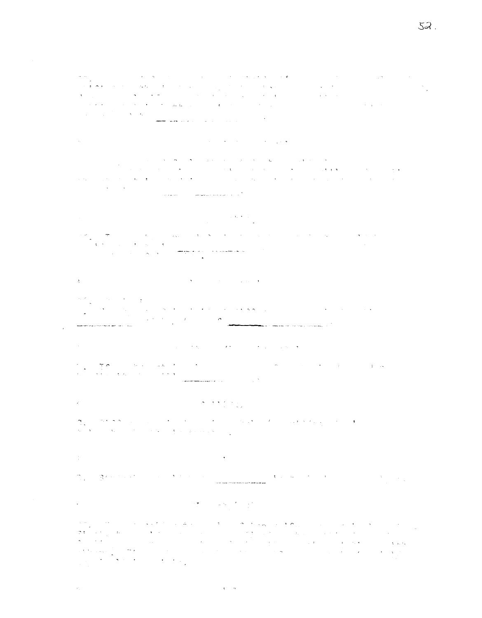المسلمين<br>المسلمين المسلمين المسلمين المسلمين المسلمين<br>المسلمين المسلمين المسلمين المسلمين المسلمين المسلمين  $\sim 10^{-11}$ 

$$
\begin{array}{l} \text{where } \mathcal{L} \text{ is a non-zero, } \mathcal{L} \text{ is a non-zero, } \mathcal{L} \text{ is a non-zero, } \mathcal{L} \text{ is a non-zero, } \mathcal{L} \text{ is a non-zero, } \mathcal{L} \text{ is a non-zero, } \mathcal{L} \text{ is a non-zero, } \mathcal{L} \text{ is a non-zero, } \mathcal{L} \text{ is a non-zero, } \mathcal{L} \text{ is a non-zero, } \mathcal{L} \text{ is a non-zero, } \mathcal{L} \text{ is a non-zero, } \mathcal{L} \text{ is a non-zero, } \mathcal{L} \text{ is a non-zero, } \mathcal{L} \text{ is a non-zero, } \mathcal{L} \text{ is a non-zero, } \mathcal{L} \text{ is a non-zero, } \mathcal{L} \text{ is a non-zero, } \mathcal{L} \text{ is a non-zero, } \mathcal{L} \text{ is a non-zero, } \mathcal{L} \text{ is a non-zero, } \mathcal{L} \text{ is a non-zero, } \mathcal{L} \text{ is a non-zero, } \mathcal{L} \text{ is a non-zero, } \mathcal{L} \text{ is a non-zero, } \mathcal{L} \text{ is a non-zero, } \mathcal{L} \text{ is a non-zero, } \mathcal{L} \text{ is a non-zero, } \mathcal{L} \text{ is a non-zero, } \mathcal{L} \text{ is a non-zero, } \mathcal{L} \text{ is a non-zero, } \mathcal{L} \text{ is a non-zero, } \mathcal{L} \text{ is a non-zero, } \mathcal{L} \text{ is a non-zero, } \mathcal{L} \text{ is a non-zero, } \mathcal{L} \text{ is a non-zero, } \mathcal{L} \text{ is a non-zero, } \mathcal{L} \text{ is a non-zero, } \mathcal{L} \text{ is a non-zero, } \mathcal{L} \text{ is a non-zero, } \mathcal{L} \text{ is a non-zero, } \mathcal{L} \text{ is a non-zero, } \mathcal{L} \text{ is a non-zero, } \mathcal{L} \text{ is a non-zero, } \mathcal{L} \text{ is a non-zero, } \mathcal{L} \text{ is a non-zero, } \mathcal{L} \text{ is a non-zero, } \mathcal{L} \text{ is a non-zero, } \mathcal{L} \text{ is a non-zero, } \mathcal{L} \text{ is a non-zero
$$

 $\mathcal{L}^{\mathcal{L}}$  and  $\mathcal{L}^{\mathcal{L}}$  are the set of the set of the set of the  $\mathcal{L}^{\mathcal{L}}$ 

 $\mathcal{L}(\mathcal{A})$  and  $\mathcal{L}(\mathcal{A})$  and  $\mathcal{L}(\mathcal{A})$  $\sim 100$ 

$$
\text{where } \mathcal{L}(\mathbf{w}) = \mathcal{L}(\mathbf{w}) = \mathcal{L}(\mathbf{w}) = \mathcal{L}(\mathbf{w}) = \mathcal{L}(\mathbf{w}) = \mathcal{L}(\mathbf{w}) = \mathcal{L}(\mathbf{w}) = \mathcal{L}(\mathbf{w}) = \mathcal{L}(\mathbf{w}) = \mathcal{L}(\mathbf{w}) = \mathcal{L}(\mathbf{w}) = \mathcal{L}(\mathbf{w}) = \mathcal{L}(\mathbf{w}) = \mathcal{L}(\mathbf{w}) = \mathcal{L}(\mathbf{w}) = \mathcal{L}(\mathbf{w}) = \mathcal{L}(\mathbf{w}) = \mathcal{L}(\mathbf{w}) = \mathcal{L}(\mathbf{w}) = \mathcal{L}(\mathbf{w}) = \mathcal{L}(\mathbf{w}) = \mathcal{L}(\mathbf{w}) = \mathcal{L}(\mathbf{w}) = \mathcal{L}(\mathbf{w}) = \mathcal{L}(\mathbf{w}) = \mathcal{L}(\mathbf{w}) = \mathcal{L}(\mathbf{w}) = \mathcal{L}(\mathbf{w}) = \mathcal{L}(\mathbf{w}) = \mathcal{L}(\mathbf{w}) = \mathcal{L}(\mathbf{w}) = \mathcal{L}(\mathbf{w}) = \mathcal{L}(\mathbf{w}) = \mathcal{L}(\mathbf{w}) = \mathcal{L}(\mathbf{w})
$$

$$
A_{\mathcal{A}}(x)=\left\{x\in\mathbb{R}^n\mid x\in\mathbb{R}^n\mid x\in\mathbb{R}^n\mid x\in\mathbb{R}^n\mid x\in\mathbb{R}^n\mid x\in\mathbb{R}^n\mid x\in\mathbb{R}^n\mid x\in\mathbb{R}^n\mid x\in\mathbb{R}^n\mid x\in\mathbb{R}^n\mid x\in\mathbb{R}^n\mid x\in\mathbb{R}^n\mid x\in\mathbb{R}^n\mid x\in\mathbb{R}^n\mid x\in\mathbb{R}^n\mid x\in\mathbb{R}^n\mid x\in\mathbb{R}^n\mid x\in\mathbb{R}^n\mid x\in\mathbb{R}^n\mid x\in\mathbb{R}^n\mid x\in\mathbb{R}^n\mid x\in\mathbb{R}^n\mid x\in\mathbb{R}^n\mid x\in\mathbb{R}^n\mid x\in\mathbb{R}^n\mid x\in\mathbb{R}^n\mid x\in\mathbb{R}^n\mid x\in\mathbb{R}^n\mid x\in\mathbb{R}^n\mid x\in\mathbb{R}^n\mid x\in\mathbb{R}^n\mid x\in\mathbb{R}^n\mid x\in\mathbb{R}^n\mid x\in\mathbb{R}^n\mid x\in\mathbb{R}^n\mid x\in\mathbb{R}^n\mid x\in\mathbb{R}^n\mid x\in\mathbb{R}^n\mid x\in\mathbb{R}^n\mid x\in\mathbb{R}^n\mid x\in\mathbb{R}^n\mid x\in\mathbb{R}^n\mid x\in\mathbb{R}^n\mid x\in\mathbb{R}^n\mid x\in\mathbb{R}^n\mid x\in\mathbb{R}^n\mid x\in\mathbb{R}^n\mid x\in\mathbb{R}^n\mid x\in\mathbb{R}^n\mid x\in\mathbb{R}^n\mid x\in\mathbb{R}^n\mid x\in\mathbb{R}^n\mid x\in\mathbb{R}^n\mid x\in\mathbb{R}^n\mid x\in\mathbb{R}^n\mid x\in\mathbb{R}^n\mid x\in\mathbb{R}^n\mid x\in
$$

$$
f_{\mathcal{A}}(x)=\left\{f_{\mathcal{A}}(x)=f_{\mathcal{A}}(x)=f_{\mathcal{A}}(x)=f_{\mathcal{A}}(x)=f_{\mathcal{A}}(x)=f_{\mathcal{A}}(x)=f_{\mathcal{A}}(x)=f_{\mathcal{A}}(x)=f_{\mathcal{A}}(x)=f_{\mathcal{A}}(x)=f_{\mathcal{A}}(x)=f_{\mathcal{A}}(x)=f_{\mathcal{A}}(x)=f_{\mathcal{A}}(x)=f_{\mathcal{A}}(x)=f_{\mathcal{A}}(x)=f_{\mathcal{A}}(x)=f_{\mathcal{A}}(x)=f_{\mathcal{A}}(x)=f_{\mathcal{A}}(x)=f_{\mathcal{A}}(x)=f_{\mathcal{A}}(x)=f_{\mathcal{A}}(x)=f_{\mathcal{A}}(x)=f_{\mathcal{A}}(x)=f_{\mathcal{A}}(x)=f_{\mathcal{A}}(x)=f_{\mathcal{A}}(x)=f_{\mathcal{A}}(x)=f_{\mathcal{A}}(x)=f_{\mathcal{A}}(x)=f_{\mathcal{A}}(x)=f_{\mathcal{A}}(x)=f_{\mathcal{A}}(x)=f_{\mathcal{A}}(x)=f_{\mathcal{A}}(x)=f_{\mathcal{A}}(x)=f_{\mathcal{A}}(x)=f_{\mathcal{A}}(x)=f_{\mathcal{A}}(x)=f_{\mathcal{A}}(x)=f_{\mathcal{A}}(x)=f_{\mathcal{A}}(x)=f_{\mathcal{A}}(x)=f_{\mathcal{A}}(x)=f_{\mathcal{A}}(x)=f_{\mathcal{A}}(x)=f_{\mathcal{A}}(x)=f_{\mathcal{A}}(x)=f_{\mathcal{A}}(x)=f_{\mathcal{A}}(x)=f_{\mathcal{A}}(x)=f_{\mathcal{A}}(x)=f_{\mathcal{A}}(x)=f_{\mathcal{A}}(x)=f_{\mathcal{A}}(x)=f_{\mathcal{A}}(x)=f_{\mathcal{A}}(x)=f_{\mathcal{A}}(x)=f_{\mathcal{A}}(x)=f_{\mathcal{A}}(x)=f_{\mathcal{A}}(x)=f_{\mathcal{A}}(x)=f_{\mathcal{A}}(x)=f_{\mathcal{A}}(x)=f_{\mathcal{A}}(x)=f_{\mathcal{A}}(x)=f_{\mathcal{A
$$

$$
\mathfrak{F}^{\mathfrak{p}}_{\mathfrak{p}}(\mathfrak{p})=\mathfrak{p}^{\mathfrak{p}}_{\mathfrak{p}}(\mathfrak{p})=\mathfrak{p}^{\mathfrak{p}}_{\mathfrak{p}}(\mathfrak{p})=\mathfrak{p}^{\mathfrak{p}}_{\mathfrak{p}}(\mathfrak{p})=\mathfrak{p}^{\mathfrak{p}}_{\mathfrak{p}}(\mathfrak{p})=\mathfrak{p}^{\mathfrak{p}}_{\mathfrak{p}}(\mathfrak{p})=\mathfrak{p}^{\mathfrak{p}}_{\mathfrak{p}}(\mathfrak{p})=\mathfrak{p}^{\mathfrak{p}}_{\mathfrak{p}}(\mathfrak{p})=\mathfrak{p}^{\mathfrak{p}}_{\mathfrak{p}}(\mathfrak{p})=\mathfrak{p}^{\mathfrak{p}}_{\mathfrak{p}}(\mathfrak{p})=\mathfrak{p}^{\mathfrak{p}}_{\mathfrak{p}}(\mathfrak{p})=\mathfrak{p}^{\mathfrak{p}}_{\mathfrak{p}}(\mathfrak{p})=\mathfrak{p}^{\mathfrak{p}}_{\mathfrak{p}}(\mathfrak{p})=\mathfrak{p}^{\mathfrak{p}}_{\mathfrak{p}}(\mathfrak{p})=\mathfrak{p}^{\mathfrak{p}}_{\mathfrak{p}}(\mathfrak{p})=\mathfrak{p}^{\mathfrak{p}}_{\mathfrak{p}}(\mathfrak{p})=\mathfrak{p}^{\mathfrak{p}}_{\mathfrak{p}}(\mathfrak{p})=\mathfrak{p}^{\mathfrak{p}}_{\mathfrak{p}}(\mathfrak{p})=\mathfrak{p}^{\mathfrak{p}}_{\mathfrak{p}}(\mathfrak{p})=\mathfrak{p}^{\mathfrak{p}}_{\mathfrak{p}}(\mathfrak{p})=\mathfrak{p}^{\mathfrak{p}}_{\mathfrak{p}}(\mathfrak{p})=\mathfrak{p}^{\mathfrak{p}}_{\mathfrak{p}}(\mathfrak{p})=\mathfrak{p}^{\mathfrak{p}}_{\mathfrak{p}}(\mathfrak{p})=\mathfrak{p}^{\mathfrak{p}}_{\mathfrak{p}}(\mathfrak{p})=\mathfrak{p}^{\mathfrak{p}}_{\mathfrak{p}}(\mathfrak{p})=\mathfrak{p}^{\math
$$

 $\sim 85$  km s  $^{-1}$ 

$$
\mathcal{L} = \mathcal{L} \left( \mathcal{L} \right)
$$

 $\sim 10^{-1}$  $\mathcal{L}_{\mathcal{A}}$  and  $\mathcal{L}_{\mathcal{A}}$  and  $\mathcal{L}_{\mathcal{A}}$  are  $\mathcal{L}_{\mathcal{A}}$  . We can constrain the contribution of  $\mathcal{L}_{\mathcal{A}}$ 

$$
f_{\rm{max}}(x)=\frac{1}{2}x
$$

 $\label{eq:2} \mathcal{L}(\mathcal{L}) = \mathcal{L}(\mathcal{L}) \left( \mathcal{L}(\mathcal{L}) \right) \mathcal{L}(\mathcal{L}) \left( \mathcal{L}(\mathcal{L}) \right)$  $\mathcal{L}^{\text{max}}$ 

 $\overline{G}_{\rm{eff}}$  . The first space of the space of the space of the space of the space of the space of the space of the space of the space of the space of the space of the space of the space of the space of the space of the

$$
\mathcal{B}^{\mathcal{A}}_{\mathcal{A}}(\mathcal{A})=\mathcal{B}^{\mathcal{A}}_{\mathcal{A}}(\mathcal{A})=\mathcal{B}^{\mathcal{A}}_{\mathcal{A}}(\mathcal{A})=\mathcal{B}^{\mathcal{A}}_{\mathcal{A}}(\mathcal{A})=\mathcal{B}^{\mathcal{A}}_{\mathcal{A}}(\mathcal{A})
$$

a de la constitución de la constitución de la constitución de la constitución de la constitución de la constitución<br>La constitución de la constitución de la constitución de la constitución de la constitución de la constitu

$$
\mathcal{A}^{\mathcal{A}}_{\mathcal{A}}(\mathcal{A}^{\mathcal{A}}_{\mathcal{A}}(\mathcal{A}^{\mathcal{A}}_{\mathcal{A}}))=\mathcal{A}^{\mathcal{A}}_{\mathcal{A}}(\mathcal{A}^{\mathcal{A}}_{\mathcal{A}}(\mathcal{A}^{\mathcal{A}}_{\mathcal{A}}))=\mathcal{A}^{\mathcal{A}}_{\mathcal{A}}(\mathcal{A}^{\mathcal{A}}_{\mathcal{A}}(\mathcal{A}^{\mathcal{A}}_{\mathcal{A}}))=\mathcal{A}^{\mathcal{A}}_{\mathcal{A}}(\mathcal{A}^{\mathcal{A}}_{\mathcal{A}}(\mathcal{A}^{\mathcal{A}}_{\mathcal{A}}))
$$

 $\mathcal{R}^{\text{max}}_{\text{max}}$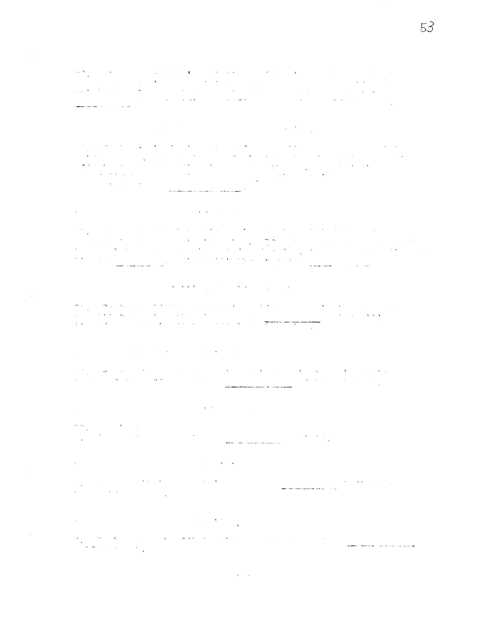# $\label{eq:2.1} \begin{split} \mathcal{L}_{\text{max}}(\mathcal{L}_{\text{max}}) = \mathcal{L}_{\text{max}}(\mathcal{L}_{\text{max}}) \,, \end{split}$

$$
\frac{1}{2}
$$

 $\overline{B}$  and  $\overline{B}$  . The  $\overline{B}$  $\mathcal{A}(\mathbf{A})$  and  $\mathcal{A}(\mathbf{A})$ 

 $\bar{L}_{\rm{max}}$ 

 $\mathcal{L}(\mathbf{x})$  .

 $\sim$ 

$$
\mathbf{S}^{\mathbf{u}} \left( \mathbf{A} \cdot \mathbf{S} \cdot \mathbf{Z} \right) = \mathbf{S}^{\mathbf{u}} \left( \mathbf{S}^{\mathbf{u}} \right) = \mathbf{S}^{\mathbf{u}} \left( \mathbf{S}^{\mathbf{u}} \right) = \mathbf{S}^{\mathbf{u}} \left( \mathbf{S}^{\mathbf{u}} \right) = \mathbf{S}^{\mathbf{u}} \left( \mathbf{S}^{\mathbf{u}} \right) = \mathbf{S}^{\mathbf{u}} \left( \mathbf{S}^{\mathbf{u}} \right) = \mathbf{S}^{\mathbf{u}} \left( \mathbf{S}^{\mathbf{u}} \right) = \mathbf{S}^{\mathbf{u}} \left( \mathbf{S}^{\mathbf{u}} \right) = \mathbf{S}^{\mathbf{u}} \left( \mathbf{S}^{\mathbf{u}} \right) = \mathbf{S}^{\mathbf{u}} \left( \mathbf{S}^{\mathbf{u}} \right) = \mathbf{S}^{\mathbf{u}} \left( \mathbf{S}^{\mathbf{u}} \right) = \mathbf{S}^{\mathbf{u}} \left( \mathbf{S}^{\mathbf{u}} \right) = \mathbf{S}^{\mathbf{u}} \left( \mathbf{S}^{\mathbf{u}} \right) = \mathbf{S}^{\mathbf{u}} \left( \mathbf{S}^{\mathbf{u}} \right) = \mathbf{S}^{\mathbf{u}} \left( \mathbf{S}^{\mathbf{u}} \right) = \mathbf{S}^{\mathbf{u}} \left( \mathbf{S}^{\mathbf{u}} \right) = \mathbf{S}^{\mathbf{u}} \left( \mathbf{S}^{\mathbf{u}} \right) = \mathbf{S}^{\mathbf{u}} \left( \mathbf{S}^{\mathbf{u}} \right) = \mathbf{S}^{\mathbf{u}} \left( \mathbf{S}^{\mathbf{u}} \right) = \mathbf{S}^{\mathbf{u}} \left( \mathbf{S}^{\mathbf{u}} \right) = \mathbf{S}^{\mathbf{u}} \left( \mathbf{S}^{\mathbf{u}} \right) = \mathbf{S}^{\mathbf{u}} \left( \mathbf{S}^{\mathbf{u}} \right) = \mathbf{S}^{\mathbf{u}} \left( \mathbf{S}^{\math
$$

ine postavanja se postavanja se postavanja se se se postavanja se postavanja se postavanja se postavanja se s<br>Konstrukcija se postavlja se postavlja se postavlja se postavlja se postavlja se postavlja se postavlja se po<br>Ko

### $\Delta$  and  $\Delta$  are the set of the set of the set of the set of the set of the set of the set of the set of the set of the set of the set of the set of the set of the set of the set of the set of the set of the set of the s

 $\mathcal{L}^{\mathcal{L}}(\mathbf{S})$  and  $\mathcal{L}^{\mathcal{L}}(\mathbf{S})$  and  $\mathcal{L}^{\mathcal{L}}(\mathbf{S})$  and  $\mathcal{L}^{\mathcal{L}}(\mathbf{S})$  $\lambda_{\rm{max}}$ 

 $\label{eq:2.1} \frac{1}{\sqrt{2}}\int_{\mathbb{R}^{2}}\int_{\mathbb{R}^{2}}\int_{\mathbb{R}^{2}}\int_{\mathbb{R}^{2}}\int_{\mathbb{R}^{2}}\int_{\mathbb{R}^{2}}\int_{\mathbb{R}^{2}}\int_{\mathbb{R}^{2}}\int_{\mathbb{R}^{2}}\int_{\mathbb{R}^{2}}\int_{\mathbb{R}^{2}}\int_{\mathbb{R}^{2}}\int_{\mathbb{R}^{2}}\int_{\mathbb{R}^{2}}\int_{\mathbb{R}^{2}}\int_{\mathbb{R}^{2}}\int_{\mathbb{R}$ 

 $\mathcal{L}^{\text{max}}_{\text{max}}$  , where  $\mathcal{L}^{\text{max}}_{\text{max}}$  $\mathbf{z} = \mathbf{z} \in \mathbb{R}^{n \times n}$ 

 $\begin{split} &\frac{1}{2}\sum_{i=1}^{n}\sum_{j=1}^{n}\frac{1}{j!}\sum_{j=1}^{n}\sum_{j=1}^{n}\frac{1}{j!}\sum_{j=1}^{n}\frac{1}{j!}\sum_{j=1}^{n}\frac{1}{j!}\sum_{j=1}^{n}\frac{1}{j!}\sum_{j=1}^{n}\frac{1}{j!}\sum_{j=1}^{n}\frac{1}{j!}\sum_{j=1}^{n}\frac{1}{j!}\sum_{j=1}^{n}\frac{1}{j!}\sum_{j=1}^{n}\frac{1}{j!}\sum_{j=1}^{n}\frac{1}{j!}\sum_{j=1}^{n}\frac{1}{$  $\label{eq:3.1} \frac{1}{2} \left( \frac{1}{2} \sum_{i=1}^n \frac{1}{2} \sum_{j=1}^n \frac{1}{2} \sum_{j=1}^n \frac{1}{2} \sum_{j=1}^n \frac{1}{2} \sum_{j=1}^n \frac{1}{2} \sum_{j=1}^n \frac{1}{2} \sum_{j=1}^n \frac{1}{2} \sum_{j=1}^n \frac{1}{2} \sum_{j=1}^n \frac{1}{2} \sum_{j=1}^n \frac{1}{2} \sum_{j=1}^n \frac{1}{2} \sum_{j=1}^n \frac{1}{2} \sum$ 

# $\label{eq:2} \begin{split} \mathcal{L}_{\text{max}}(\mathbf{r}) = \mathcal{L}_{\text{max}}(\mathbf{r}) \mathcal{L}_{\text{max}}(\mathbf{r}) \mathcal{L}_{\text{max}}(\mathbf{r}) \mathcal{L}_{\text{max}}(\mathbf{r}) \mathcal{L}_{\text{max}}(\mathbf{r}) \mathcal{L}_{\text{max}}(\mathbf{r}) \mathcal{L}_{\text{max}}(\mathbf{r}) \mathcal{L}_{\text{max}}(\mathbf{r}) \mathcal{L}_{\text{max}}(\mathbf{r}) \mathcal{L}_{\text{max}}(\mathbf{r}) \mathcal{L}_{\text{max}}(\mathbf{r}) \mathcal$

 $\overline{\mathbf{A}}_1$  , and  $\overline{\mathbf{A}}_2$  , and  $\overline{\mathbf{A}}_3$  , and  $\overline{\mathbf{A}}_3$  , and  $\overline{\mathbf{A}}_3$  , and  $\overline{\mathbf{A}}_3$  , and  $\overline{\mathbf{A}}_3$  , and  $\overline{\mathbf{A}}_3$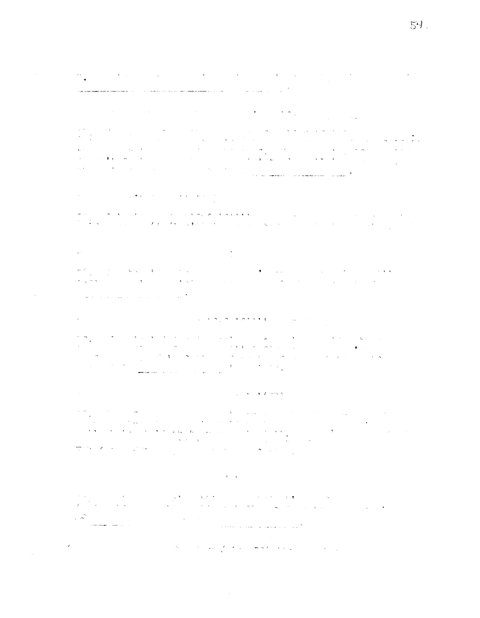$\sum_{i=1}^n\sum_{j=1}^n\sum_{j=1}^n\sum_{j=1}^n\sum_{j=1}^n\sum_{j=1}^n\sum_{j=1}^n\sum_{j=1}^n\sum_{j=1}^n\sum_{j=1}^n\sum_{j=1}^n\sum_{j=1}^n\sum_{j=1}^n\sum_{j=1}^n\sum_{j=1}^n\sum_{j=1}^n\sum_{j=1}^n\sum_{j=1}^n\sum_{j=1}^n\sum_{j=1}^n\sum_{j=1}^n\sum_{j=1}^n\sum_{j=1}^n\sum_{j=1}^n\sum_{j$  $\label{eq:R1} \mathcal{L}_1 = \mathcal{L}_2 = \mathcal{L}_3 = \mathcal{L}_4 = \mathcal{L}_5 = \mathcal{L}_6 = \mathcal{L}_7 = \mathcal{L}_8 = \mathcal{L}_9 = \mathcal{L}_1 = \mathcal{L}_1 = \mathcal{L}_2 = \mathcal{L}_3 = \mathcal{L}_4 = \mathcal{L}_5 = \mathcal{L}_6 = \mathcal{L}_7 = \mathcal{L}_8 = \mathcal{L}_9 = \mathcal{L}_1 = \mathcal{L}_1 = \mathcal{L}_2 = \mathcal{L}_3 = \mathcal{L}_1 = \mathcal{L}_2 = \mathcal{L}_3 = \mathcal{$ 

 $\label{eq:2.1} \mathcal{L}_{\mathcal{A}}(\mathcal{A})=\mathcal{L}_{\mathcal{A}}(\mathcal{A})=\mathcal{L}_{\mathcal{A}}(\mathcal{A})=\mathcal{L}_{\mathcal{A}}(\mathcal{A})=\mathcal{L}_{\mathcal{A}}(\mathcal{A})=\mathcal{L}_{\mathcal{A}}(\mathcal{A})=\mathcal{L}_{\mathcal{A}}(\mathcal{A})=\mathcal{L}_{\mathcal{A}}(\mathcal{A})=\mathcal{L}_{\mathcal{A}}(\mathcal{A})=\mathcal{L}_{\mathcal{A}}(\mathcal{A})=\mathcal{L}_{\mathcal{A}}(\mathcal{A})=\mathcal{L}_{\mathcal{A}}(\$ 

 $\label{eq:3.1} \left\langle \Phi_{\alpha\beta}^{\alpha\beta} \right\rangle = \left\langle \phi_{\alpha\beta}^{\alpha\beta} \right\rangle = \left\langle \phi_{\alpha\beta}^{\alpha\beta} \right\rangle = \left\langle \phi_{\alpha\beta}^{\alpha\beta} \right\rangle = \left\langle \phi_{\alpha\beta}^{\alpha\beta} \right\rangle = \left\langle \phi_{\alpha\beta}^{\alpha\beta} \right\rangle = \left\langle \phi_{\alpha\beta}^{\alpha\beta} \right\rangle = \left\langle \phi_{\alpha\beta}^{\alpha\beta} \right\rangle = \left\langle \phi_{\alpha\beta}^{\alpha\beta} \right\rangle = \left\langle$ 

i menjadi menganjukan di sebagai ke mengangkan ke kalendar dan bersama dan bersama dan bersama dan bersama dan<br>Penganjur dalam penganjur ke kalendar dan bersama dan bersama dan bersama dan bersama dan bersama dan penganju

 $\mathbf{S}^{\text{in}}_{\text{in}}$  and  $\mathbf{S}^{\text{in}}_{\text{out}}$ 

 $\label{eq:2.1} \frac{1}{\sqrt{2\pi}}\int_{\mathbb{R}^3} \frac{1}{\sqrt{2\pi}}\left(\frac{1}{\sqrt{2\pi}}\int_{\mathbb{R}^3} \frac{1}{\sqrt{2\pi}}\left(\frac{1}{\sqrt{2\pi}}\int_{\mathbb{R}^3} \frac{1}{\sqrt{2\pi}}\left(\frac{1}{\sqrt{2\pi}}\int_{\mathbb{R}^3} \frac{1}{\sqrt{2\pi}}\int_{\mathbb{R}^3} \frac{1}{\sqrt{2\pi}}\left(\frac{1}{\sqrt{2\pi}}\int_{\mathbb{R}^3} \frac{1}{\sqrt{2\pi$ 

 $\mathcal{L}_{\text{max}}$ 

 $\label{eq:Ricci} \mathcal{L}_{\mathcal{A}} = \left\{ \begin{array}{ll} \mathcal{L}_{\mathcal{A}} \left( \mathcal{A} \right) \left( \mathcal{A} \right) \left( \mathcal{A} \right) \left( \mathcal{A} \right) \left( \mathcal{A} \right) \left( \mathcal{A} \right) \left( \mathcal{A} \right) \left( \mathcal{A} \right) \left( \mathcal{A} \right) \left( \mathcal{A} \right) \left( \mathcal{A} \right) \left( \mathcal{A} \right) \left( \mathcal{A} \right) \left( \mathcal{A} \right) \left( \mathcal{$  $\mathcal{L}(\mathcal{C})$  ,  $\mathcal{C}(\mathcal{C})$  ,

 $\label{eq:2.1} \mathcal{L}(\mathcal{L})=\mathcal{L}(\mathcal{L})\left(\mathcal{L}(\mathcal{L})\right) \left(\mathcal{L}(\mathcal{L})\right)$ 

 $\mathcal{L}^{\mathcal{L}}(\mathcal{L}^{\mathcal{L}})$  , where  $\mathcal{L}^{\mathcal{L}}(\mathcal{L}^{\mathcal{L}})$ 

ಾರ್ಡ್ನಲ್ಲಿ ಸಂಸ್ಥೆಯಲ್ಲಿ ಸಂಸ್ಥೆಯಲ್ಲಿ ಪ್ರಾರಂಭಿಸಿದ ಕಾರ್ಯಕ್ರಮ ಸಂಸ್ಥೆಯಲ್ಲಿ ಸಂಸ್ಥೆಯಲ್ಲಿ ಕಾರ್ಯಕ್ರಮ ಸಂಸ್ಥೆಯಲ್ಲಿ ಸಂಸ್ಥೆಯ<br>2000ರ ಸಂಸ್ಥೆಯಲ್ಲಿ ಸಂಸ್ಥೆಯಲ್ಲಿ ಸಂಸ್ಥೆಯಲ್ಲಿ ಸಂಸ್ಥೆಯಲ್ಲಿ ಸಂಸ್ಥೆಯಲ್ಲಿ ಸಂಸ್ಥೆಯಲ್ಲಿ ಸಂಸ್ಥೆಯಲ್ಲಿ ಸಂಸ್ಥೆಯಲ್ಲಿ ಸಂಸ್ಥೆಯ  $\sigma$  ,  $\overline{\mathcal{O}}$  , where the mass is a single set of  $\mathcal{O}$  , and  $\sigma$  $\mathcal{F}^{(n)}$  and  $\mathcal{F}^{(n)}$  is a subsequent of the same parameter of the same parameter  $\mathcal{F}^{(n)}$ 

 $\label{eq:2.1} \mathcal{L} = \mathcal{L} \left( \mathcal{L} \right)$  $\label{eq:2.1} \mathcal{L}_{\mathcal{A}}(\mathcal{A}(\mathcal{A}))=\mathcal{L}_{\mathcal{A}}(\mathcal{A}(\mathcal{A}))=\mathcal{L}_{\mathcal{A}}(\mathcal{A}(\mathcal{A}))=\mathcal{L}_{\mathcal{A}}(\mathcal{A}(\mathcal{A}))=\mathcal{L}_{\mathcal{A}}(\mathcal{A}(\mathcal{A}))=\mathcal{L}_{\mathcal{A}}(\mathcal{A}(\mathcal{A}))=\mathcal{L}_{\mathcal{A}}(\mathcal{A}(\mathcal{A}))=\mathcal{L}_{\mathcal{A}}(\mathcal{A}(\mathcal{A}))=\mathcal{L}_{\mathcal{A}}(\mathcal{A}(\$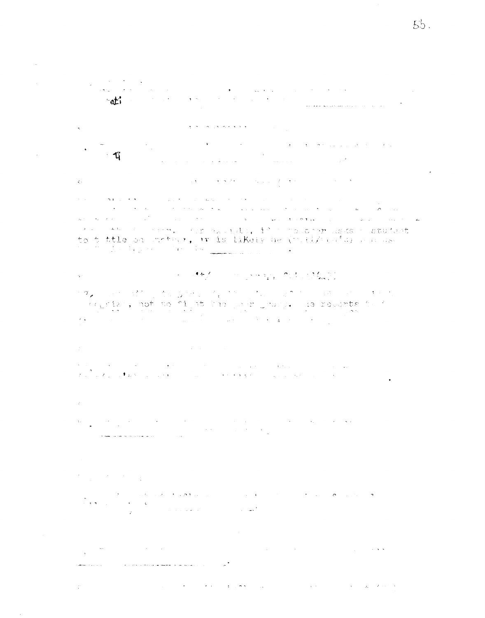$\label{eq:2} \frac{1}{\sqrt{2\pi}}\sum_{\substack{\mathbf{p}\in\mathbb{R}^d\\ \mathbf{p}\in\mathbb{R}^d\\ \mathbf{p}\in\mathbb{R}^d\\ \mathbf{p}\in\mathbb{R}^d\\ \mathbf{p}\in\mathbb{R}^d\\ \mathbf{p}\in\mathbb{R}^d\\ \mathbf{p}\in\mathbb{R}^d\\ \mathbf{p}\in\mathbb{R}^d\\ \mathbf{p}\in\mathbb{R}^d\\ \mathbf{p}\in\mathbb{R}^d\\ \mathbf{p}\in\mathbb{R}^d\\ \mathbf{p}\in\mathbb{R}^d\\ \mathbf$ 

 $\sim$ 

 $\mathcal{L}$ 

 $\hat{\mathcal{H}}$ 

, which we show the same  $\mathcal{L}_{\mathcal{A}}$ 

 $\mathbf{F}^{(n)} = \mathbf{F}^{(n)} \mathbf{F}^{(n)} = \mathbf{F}^{(n)} \mathbf{F}^{(n)} = \mathbf{F}^{(n)} \mathbf{F}^{(n)} = \mathbf{F}^{(n)} \mathbf{F}^{(n)} + \mathbf{F}^{(n)} \mathbf{F}^{(n)} + \mathbf{F}^{(n)} \mathbf{F}^{(n)} + \mathbf{F}^{(n)} \mathbf{F}^{(n)}$  $\frac{1}{2} \sum_{i=1}^n \frac{1}{2} \sum_{j=1}^n \frac{1}{2} \sum_{j=1}^n \frac{1}{2} \sum_{j=1}^n \frac{1}{2} \sum_{j=1}^n \frac{1}{2} \sum_{j=1}^n \frac{1}{2} \sum_{j=1}^n \frac{1}{2} \sum_{j=1}^n \frac{1}{2} \sum_{j=1}^n \frac{1}{2} \sum_{j=1}^n \frac{1}{2} \sum_{j=1}^n \frac{1}{2} \sum_{j=1}^n \frac{1}{2} \sum_{j=1}^n \frac{1}{2} \sum_{j=$  $\mathcal{L}$  $\label{eq:2.1} \mathbf{F}_{\mathbf{r}}^{(n)}(t) = \mathbf{F}_{\mathbf{r}}^{(n)}(t) + \mathbf{F}_{\mathbf{r}}^{(n)}(t) + \mathbf{F}_{\mathbf{r}}^{(n)}(t) + \mathbf{F}_{\mathbf{r}}^{(n)}(t) + \mathbf{F}_{\mathbf{r}}^{(n)}(t) + \mathbf{F}_{\mathbf{r}}^{(n)}(t) + \mathbf{F}_{\mathbf{r}}^{(n)}(t) + \mathbf{F}_{\mathbf{r}}^{(n)}(t) + \mathbf{F}_{\mathbf{r}}^{(n)}(t) + \mathbf{F}_{\mathbf{r$ 

 $\mathcal{L}^{\mathcal{L}}$  and  $\mathcal{L}^{\mathcal{L}}$  . The contribution of the space of the space of the space of the space of the space of the space of the space of the space of the space of the space of the space of the space of the spa  $\frac{1}{2} \frac{1}{2} \left( \frac{1}{2} \right)$ 

where the state of the exception in the compression student. to t ttle on mother, in is likely he (moth/heafa) was described to the control of the control of the control of the control of the control of the control of the control of the control of the control of the control of the c

THE REAL PROPERTY OF FIREST  $\omega_{\rm{eff}}$  .

1972 - John Michael Bank, amerikan piano aktor (amerikan piano) s segrizo, not do figat the political para leasures to f a la construcción de la construcción.<br>La construcción de la construcción de la construcción de la construcción de la construcción de la construcción  $\mathcal{L}(\mathbf{a})$  .

 $\Delta \sim$ 

a se provincia de la companya de la companya de la companya de la companya de la companya de la companya de la<br>A la <sup>co</sup>mpanya de la companya de la companya de la companya de la companya de la companya de la companya de l

 $\chi^2$  .

an sa bagian di kabupatèn Kabupatèn Sulawa Kabupatèn Sulawa Kabupatèn Kabupatèn Kabupatèn Kabupatèn Kabupatèn<br>Kabupatèn Kabupatèn Kabupatèn Kabupatèn Kabupatèn Kabupatèn Kabupatèn Kabupatèn Kabupatèn Kabupatèn Kabupatèn

 $\label{eq:2.1} \frac{1}{2} \sum_{i=1}^n \frac{1}{2} \sum_{j=1}^n \frac{1}{2} \sum_{j=1}^n \frac{1}{2} \sum_{j=1}^n \frac{1}{2} \sum_{j=1}^n \frac{1}{2} \sum_{j=1}^n \frac{1}{2} \sum_{j=1}^n \frac{1}{2} \sum_{j=1}^n \frac{1}{2} \sum_{j=1}^n \frac{1}{2} \sum_{j=1}^n \frac{1}{2} \sum_{j=1}^n \frac{1}{2} \sum_{j=1}^n \frac{1}{2} \sum_{j=1}^n \frac{$ 

್ಲಿ ಸಂಸ್ಥೆಯಲ್ಲಿ ಸ್ವಾಮಿಸಿ ಸಾಧಿಸಿದ್ದಾರೆ. ಇದರ ಸಂಸ್ಥೆಯಲ್ಲಿ ಸಂಸ್ಥೆಯಲ್ಲಿ ಸಂಸ್ಥೆಯಲ್ಲಿ ಸಂಸ್ಥೆಯಲ್ಲಿ ಹೊಸ ಸಂಸ್ಥೆಯಲ್ಲಿ ರಾಜ<br>ಸಂಸ್ಥೆಯಲ್ಲಿ ಸಂಸ್ಥೆಯಲ್ಲಿ<br>ಸಂಸ್ಥೆಯಲ್ಲಿ ಸಂಸ್ಥೆಯಲ್ಲಿ ಸಂಸ್ಥೆಯಲ್ಲಿ ಸಂಸ್ಥೆಯಲ್ಲಿ ಸಂಸ್ಥೆಯಲ್ಲಿ ಸಂಸ್ಥೆಯಲ್ಲಿ ಸಂಸ್ಥೆಯಲ್ಲಿ ಸಂ

 $\label{eq:2.1} \frac{1}{\sqrt{2\pi}}\int_{\mathbb{R}^{2}}\frac{d\mu}{\sqrt{2\pi}}\left(\frac{d\mu}{\mu}\right)^{2\alpha} \left(\frac{d\mu}{\mu}\right)^{\alpha} \left(\frac{d\mu}{\mu}\right)^{\alpha} \left(\frac{d\mu}{\mu}\right)^{\alpha} \left(\frac{d\mu}{\mu}\right)^{\alpha} \left(\frac{d\mu}{\mu}\right)^{\alpha} \left(\frac{d\mu}{\mu}\right)^{\alpha} \left(\frac{d\mu}{\mu}\right)^{\alpha} \left(\frac{d\mu}{\mu}\right)^{\alpha} \left(\frac{d\mu}{\mu}\right)^{\alpha} \$  $\mathcal{L}(\mathcal{A})$  and  $\mathcal{L}(\mathcal{A})$  and  $\mathcal{L}(\mathcal{A})$  $\mathcal{L}_{\text{max}}$  and  $\mathcal{L}_{\text{max}}$  and  $\mathcal{L}_{\text{max}}$ 

and the company of the company of the company of the company of the company of the company of the company of the company of the company of the company of the company of the company of the company of the company of the comp  $\bullet$  . The contract of the contract of the contract of the contract of the contract of the contract of the contract of the contract of the contract of the contract of the contract of the contract of the contract of the co

 $\label{eq:2.1} \mathcal{L}_{\mathcal{A}}(\mathcal{A}) = \mathcal{L}_{\mathcal{A}}(\mathcal{A}) = \mathcal{L}_{\mathcal{A}}(\mathcal{A}) = \mathcal{L}_{\mathcal{A}}(\mathcal{A}) = \mathcal{L}_{\mathcal{A}}(\mathcal{A}) = \mathcal{L}_{\mathcal{A}}(\mathcal{A}) = \mathcal{L}_{\mathcal{A}}(\mathcal{A}) = \mathcal{L}_{\mathcal{A}}(\mathcal{A}) = \mathcal{L}_{\mathcal{A}}(\mathcal{A}) = \mathcal{L}_{\mathcal{A}}(\mathcal{A}) = \mathcal{L}_{\mathcal{A}}(\mathcal{A}) = \math$  $\mathcal{L}^{(1)}$  .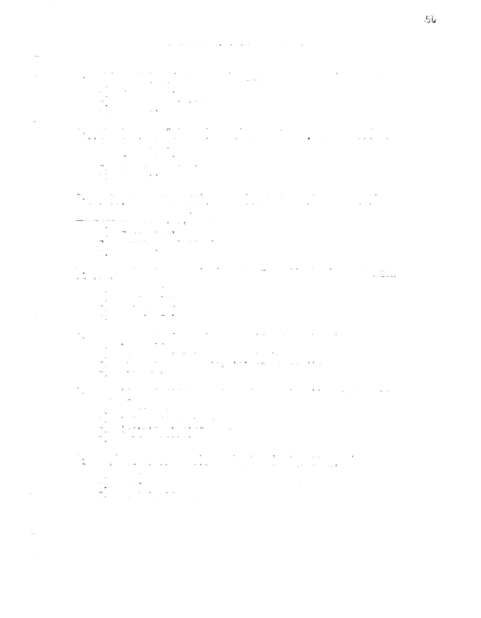|  | the contract of the contract of the contract of the contract of the contract of      |  | the contract of the contract of the contract of the contract of the contract of the contract of |  |  |
|--|--------------------------------------------------------------------------------------|--|-------------------------------------------------------------------------------------------------|--|--|
|  | the control of the company's control of the control of the control of the control of |  |                                                                                                 |  |  |
|  |                                                                                      |  |                                                                                                 |  |  |

- $\begin{array}{l} \displaystyle \frac{1}{\sqrt{2}}\mathbf{1}_{\{1\leq j\leq n\}}\left(\mathbf{1}_{\{1\leq j\leq n\}}\right)^{n}\mathbf{1}_{\{1\leq j\leq n\}}\left(\mathbf{1}_{\{1\leq j\leq n\}}\right)^{n}\mathbf{1}_{\{1\leq j\leq n\}}\left(\mathbf{1}_{\{1\leq j\leq n\}}\right)^{n}\mathbf{1}_{\{1\leq j\leq n\}}\left(\mathbf{1}_{\{1\leq j\leq n\}}\right)^{n}\mathbf{1}_{\{1\leq j\leq n\}}\$
- 

 $\sim$ 

 $\omega_{\rm c}$ 

 $\sim$ 

 $\frac{1}{2}$ 

 $\alpha$  .

 $\sim$   $\sim$ 

a se provincia de la componencia de la componencia de la componencia de la componencia de la componencia de la<br>En la componencia de la componencia de la componencia de la componencia de la componencia de la componencia de 

- 
- 
- 

- -

a de la construcción de la construcción de la construcción de la construcción de la construcción de la construcción<br>Descrito de la construcción de la construcción de la construcción de la construcción de la construcción de ો<br>બંદાર ±

- 
- 
- 
- $\frac{1}{\sqrt{2}}$ 
	-
	-
	-
	-

an di kacamatan Santa Barat di Kabupatén Kabupatén Kabupatén Jawa Kabupatén Jawa Kabupatén Jawa Karé<br>Kabupatén Salamat 

- 
- 
- 
- 
- 
- $\frac{1}{\sqrt{2}}\left(\frac{1}{\sqrt{2}}\right)^{2}=\frac{1}{2}\left(\frac{1}{\sqrt{2}}\right)^{2}=\frac{1}{2}\left(\frac{1}{\sqrt{2}}\right)^{2}=\frac{1}{2}\left(\frac{1}{\sqrt{2}}\right)^{2}=\frac{1}{2}\left(\frac{1}{\sqrt{2}}\right)^{2}=\frac{1}{2}\left(\frac{1}{\sqrt{2}}\right)^{2}=\frac{1}{2}\left(\frac{1}{\sqrt{2}}\right)^{2}=\frac{1}{2}\left(\frac{1}{\sqrt{2}}\right)^{2}=\frac{1}{2}\left(\frac{1}{\sqrt{2}}\right)^{2}$ 
	- $\sim 100$
- -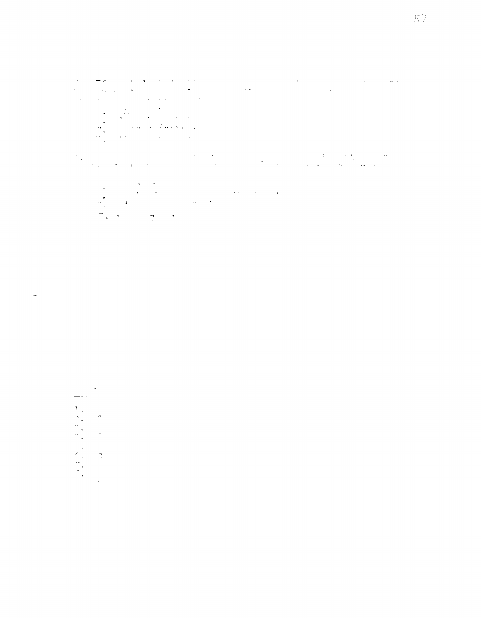$\bar{\mathcal{A}}$ 

57

 $\begin{array}{c} \lambda \\ \lambda \\ \lambda \end{array}$ 

 $\mathcal{D}_{\mathbf{a}}^{\dagger} \left( \mathbf{x}^{(1)} \right) = \mathbf{y}^{\dagger} \left( \mathbf{a}^{(1)} \right) \mathbf{x}^{\dagger}$ 



 $\mathcal{A}^{\mathcal{A}}$ 

 $\frac{1}{2}$  .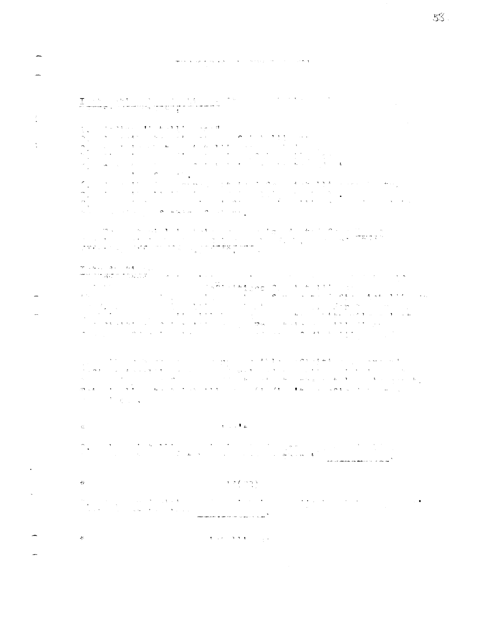### اللياق فالأنباء المستناعين ومومعات العالي وتهاجرها والجاهرة والمعتقل

 $\mathcal{L}^{\mathcal{L}}(\mathcal{L}^{\mathcal{L}})$  and  $\mathcal{L}^{\mathcal{L}}(\mathcal{L}^{\mathcal{L}})$  and  $\mathcal{L}^{\mathcal{L}}(\mathcal{L}^{\mathcal{L}})$  and  $\mathcal{L}^{\mathcal{L}}(\mathcal{L}^{\mathcal{L}})$  $\sim 10^{-11}$ المستقرب والمحارب والمستحيل المستحدث والمستعاد where the contract of the contract of the contract of the contract of the contract of the contract of the contract of the contract of the contract of the contract of the contract of the contract of the contract of the con 

 $\sim$  $\mathcal{L}_{\mathcal{A}}(\mathcal{A})=\mathcal{L}_{\mathcal{A}}(\mathcal{A})=\mathcal{L}_{\mathcal{A}}(\mathcal{A})=\mathcal{A}(\mathcal{A})=\mathcal{A}(\mathcal{A})=\mathcal{A}(\mathcal{A})=\mathcal{A}(\mathcal{A})=\mathcal{A}(\mathcal{A})=\mathcal{A}(\mathcal{A})=\mathcal{A}(\mathcal{A})=\mathcal{A}(\mathcal{A})=\mathcal{A}(\mathcal{A})=\mathcal{A}(\mathcal{A})=\mathcal{A}(\mathcal{A})=\mathcal{A}(\mathcal{A})=\mathcal{A}(\mathcal{A})=\mathcal{A}(\mathcal{$ 

 $\ddot{\cdot}$ 

 $\mathbf{a}^{\prime}$ 

 $\mathcal{M}$  .

 $\label{eq:2.1} \mathcal{L}_{\text{max}} = \mathcal{L}_{\text{max}} \left( \mathcal{L}_{\text{max}} \right) \mathcal{L}_{\text{max}}$ 

#### 数 -

n de la provincia de la partida de la partida de la partida de la partida de la partida de la partida de la pa<br>En 1990, estas de la partida de la partida de la partida de la partida de la partida de la partida de la parti 

#### $(1.27.22)$  $\Delta\phi$  .  $\phi$

و<br>المصري المرتبط بين الحرار من موريون بعدويون

## $\mathbf{X}^{(n)}\mathbf{X}^{(n)}\mathbf{X}^{(n)}=\mathbf{Y}^{(n)}\mathbf{T}^{(n)}\mathbf{X}^{(n)}\mathbf{X}^{(n)}\mathbf{X}^{(n)}\mathbf{X}^{(n)}$

58.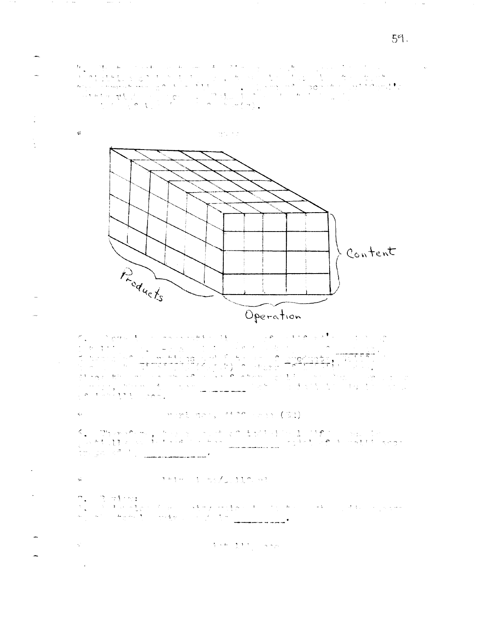$\mathcal{L}(\mathcal{A})$  , and  $\mathcal{A}(\mathcal{A})$ 

 $\frac{1}{2}$ 

 $\frac{1}{\alpha}$ 

 $\Box$ 

 $\omega$ 

 $\sim 500$ 

 $\sim 10^{-10}$ 



Sample not seem and (31)  $\mathcal{G}_{\mathcal{P}}$  ,  $\mathcal{P}$ 

K. Therefore, high school to the 19th of the same significant<br>Institute southerned between an analyzing and the sending search lingua de la constitución de la constitución de la constitución de la constitución de la constitución de la co<br>En 1930, en 1930, en 1930, en 1930, en 1930, en 1930, en 1930, en 1930, en 1930, en 1930, en 1930, en 1930, en

State to String and  $\mathbf{z}_i$ 

n. Somine:<br>S. Somie Sie Community (Single-Unity Homes) (2008) (prome<br>R. Homes forming (prince of information)

 $\label{eq:3} \mathcal{A}^{(1,2,\frac{1}{2})}=\sum_{\alpha\in\mathcal{A}}\mathcal{A}^{(\alpha)}\mathcal{A}^{(\alpha)}\mathcal{A}^{(\alpha)}\mathcal{A}^{(\alpha)}\mathcal{A}^{(\alpha)}$ 

 $5<sup>4</sup>$ .

 $\mathcal{A}$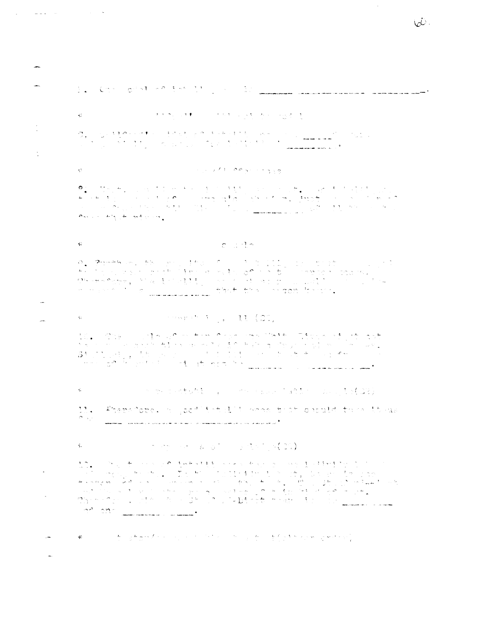$\mathcal{R}(\mathcal{F},\mathcal{D}_{\mathcal{G}}) \cong \mathcal{R}(\mathcal{F}) \cong \mathcal{R}(\mathcal{F},\mathcal{F}) \cong \mathcal{R}(\mathcal{F},\mathcal{F}) \cong \mathcal{R}(\mathcal{F},\mathcal{F}) \cong \mathcal{R}(\mathcal{F},\mathcal{F}) \cong \mathcal{R}(\mathcal{F},\mathcal{F})$  $\mathcal{L}_{\mathcal{F}}$  .

 $\begin{array}{lllllllllllllll} \mathcal{O}_\mathcal{A} & \mathcal{O}_\mathcal{A} & \mathcal{O}_\mathcal{A} & \mathcal{O}_\mathcal{A} & \mathcal{O}_\mathcal{A} & \mathcal{O}_\mathcal{A} & \mathcal{O}_\mathcal{A} & \mathcal{O}_\mathcal{A} & \mathcal{O}_\mathcal{A} & \mathcal{O}_\mathcal{A} & \mathcal{O}_\mathcal{A} & \mathcal{O}_\mathcal{A} & \mathcal{O}_\mathcal{A} & \mathcal{O}_\mathcal{A} & \mathcal{O}_\mathcal{A} & \mathcal{O}_\mathcal{A$ ه .<br>- از این روستان هر موجود پیشنست های .

 $\phi$ .

 $\mathbb{S}^{\mathbb{S}}$ ショー・イキー ややらく こうかくめい

 $\mathcal{O}_{\mathcal{B}(\mathcal{O}_{\mathcal{A}}(\mathcal{A}))}(\mathcal{A}) \cong \mathcal{O}_{\mathcal{B}(\mathcal{A})}(\mathcal{A}) \cong \mathcal{O}_{\mathcal{B}(\mathcal{A})}(\mathcal{A}) \cong \mathcal{O}_{\mathcal{B}(\mathcal{A})}(\mathcal{A})$ 

 $\mathcal{H}^{\pm}$ 

 $\omega_{\rm{min}} = \omega_{\rm{max}}$  . The

 $\frac{1}{\alpha}$ 

 $\ddot{\cdot}$ 

 $\overline{\phantom{a}}$ 

 $\overline{a}$ 

 $\ddot{\phantom{a}}$ 

 $\bar{\star}$ 

 $\overline{\mathcal{M}}$ 

### ਰ ਪਰੀਨ

Summer London 11 (21)  $\mathcal{A}_{\mathcal{K}}$  .

10. Ste i 11 march 11 march 12 march 12 march 13 march 13 march 13 march 13 march 13 march 13 march 13 march 1<br>Sharp Common State 13 march 13 march 13 march 13 march 13 march 13 march 13 march 13 march 13 march 13 march 1<br>

 $\mathcal{G}(\mathcal{C})$ 

 $\mathbb{M}_{\mathbb{R}^2}$  . Freescove, a good totall was that seculd the times  $\sigma_{\rm cusp}$ ים.<br>בנקראה הקיצואית האיכור ביא במאשיקני משימוש שמושבים להיו הקשר איראי אפקטוס ומייקה איכואו או או אישי ששמא שאיש

 $\mathbb{E}\left[\left\{ \mathcal{L}_{\mathcal{M}}\right\} \right] \geq \mathbb{E}\left[\left\{ \mathcal{L}_{\mathcal{M}}\right\} \right] \leq \mathbb{E}\left[\left\{ \mathcal{L}_{\mathcal{M}}\right\} \right] \geq \mathbb{E}\left[\left\{ \mathcal{L}_{\mathcal{M}}\right\} \right] \geq \left\{ \mathcal{L}_{\mathcal{M}}^{\mathcal{M}} \right\}$  $\mathcal{R}_{\text{max}}$ 

nd one

رَ بيجاد سوم الموجب ها: وَاللّهِ اللّهِ اللّهِ اللّهُ اللّهُ اللّهُ اللّهُ اللّهُ اللّهُ اللّهُ اللّ<br>اللّهَ اللّهُ اللّهُ اللّهُ اللّهُ اللّهُ اللّهُ اللّهُ اللّهُ اللّهُ اللّهُ اللّهُ اللّهُ اللّهُ اللّهُ اللّه  $\overline{\phantom{a}}$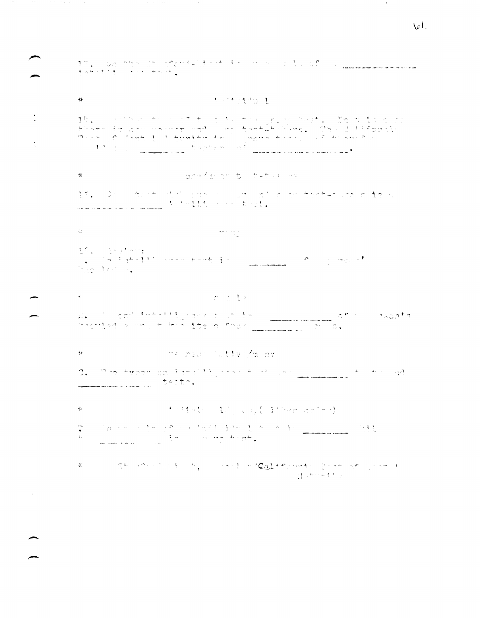10, Solding of Prince President Contract in the Contract of Contract Communications الإطعاميس بنبرمان ألجئ لإصحكم لجا  $\aleph$  $\mathbb{R}^{3\times 2,4}\oplus \mathbb{C}^{3}\oplus \mathbb{C}$ 14. Serbe to chi to the best your best. In this our<br>there is one mange and series that the Charlie Information<br>machine Institute traiter is supported and an except <u> 1900-est alla fratori di Liberatura est </u>  $\mathcal{R}$ Long for the time at the 15. John Andt Stillings in Jury also are forter uto colony **AC**  $\label{eq:1} \frac{\partial \mathbf{w}}{\partial \mathbf{w}} = \frac{\partial \mathbf{w}}{\partial \mathbf{w}}$ is.<br>Ti shekara mwakata 1999 - 1990 - 1990 - 1990 - 1990 - 1990 - 1990 - 1990 - 1990 - 1990 - 1990 - 1990 - 1990 -  $\mathcal{R}_{\mathrm{c}}$  . **Contact** D. In constanting park to this communication is assaint.<br>Interfect a resident and from their communications me near that the Ameny Company  $\mathcal{E}_{\mathbf{S}}$  .  $9.5 - 7.7$  and  $7.7 - 5.7$  and  $1.3 + 1.3 + 1.4$  and  $1.4 + 1.4$  and  $1.4 + 1.4$  and  $1.4 + 1.4$  and  $1.4 + 1.4$  $\overbrace{\phantom{iiiiiiiiiiiiiiiiiiiiiiiiiiiiiiiiiiiiiiiiiii}}$  $\mathcal{M}^{\text{M}}(\mathcal{M}^{\text{M}} \otimes \mathcal{M}^{\text{M}})$  , where  $\mathcal{M}^{\text{M}}(\mathcal{M}^{\text{M}})$  and  $\mathcal{M}^{\text{M}}(\mathcal{M})$  $\phi_{\rm c}$ and provided the company of the first state of the company of the company of the company of the company of the<br>Second company of the company of the company of the company of the company of the company of the company of th  $\overline{\mathbb{C}}$  $\label{eq:1} \nabla^{\mu\nu}_{\mu\nu}(\phi) = \frac{1}{2} \nabla^{\mu\nu}_{\mu\nu}(\phi) \nabla^{\mu\nu}_{\nu\sigma}(\phi) = \frac{1}{2} \nabla^{\mu\nu}_{\mu\nu}(\phi) \nonumber \\ \nabla^{\mu\nu}_{\nu\sigma}(\phi) = \frac{1}{2} \nabla^{\mu\nu}_{\nu\sigma}(\phi) \nabla^{\mu\nu}_{\nu\sigma}(\phi) \nonumber \\ \nabla^{\mu\nu}_{\nu\sigma}(\phi) = \frac{1}{2} \nabla^{\mu\nu}_{\nu\sigma}(\phi) \nabla^{\mu\nu}_{\$  $\mathcal{F}^{(n)} = \mathcal{F}^{(n)} \otimes \mathcal{F}^{(n)} \otimes \mathcal{F}^{(n)} \otimes \mathcal{F}^{(n)}$  , where  $\mathcal{F}^{(n)} \otimes \mathcal{F}^{(n)}$  ,  $\mathcal{F}^{(n)} \otimes \mathcal{F}^{(n)} \otimes \mathcal{F}^{(n)}$  , where  $\frac{1}{2}\left(1+\frac{1}{2}+\sqrt{3}+\frac{1}{2}+\frac{1}{2}\right)$ 

 $\sim 10^{-5}$ 

 $\mathcal{L}$ .

contractor and the

 $\ddot{\cdot}$ 

 $\ddot{\cdot}$ 

 $\mathcal{L}$ 

 $\mathcal{L}$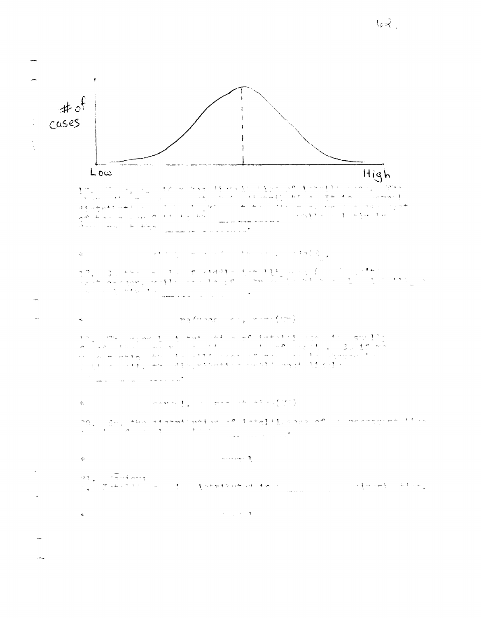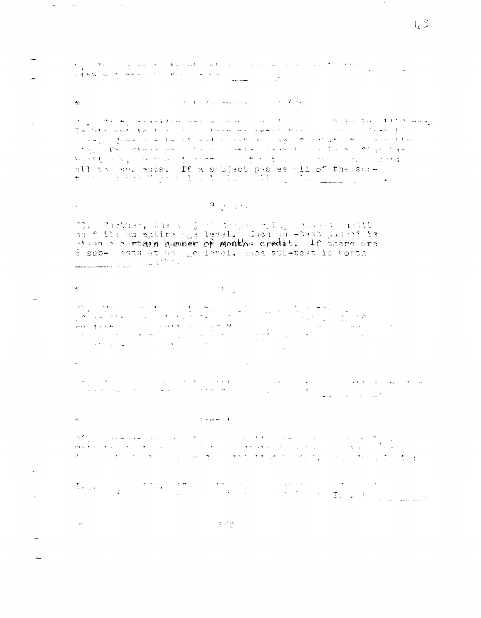المواقع الموقع المتحدث المعادل المرابطة ووارد الراحي العملان العرب فيها العرف العرب المستشرع المستقر المستقر المتحدث ೆ (\* 2008) ಬಂಧಿಸಲು<br>ಸಂಕೋಹಿ ಅಂಟೈ ಹಾಕಿಕಾಲನ್ನು ಕಾರ್ಯ ಹಾಗೂಲು

 $63$ 

### STATISTIC FOR SALE STATISTICS.

niji di standara na mana sa sana na mana na mana na mana na mana na mana. الإنجهجين والمنديات المعملات فتتسوخ لمحمد فتناول والمستقاد والمواريح والمتحر والإوالة nasti the surfests. If a subject passes all of the sub-

### $3 - 125$

20. Turbher, the soujoint regard of the clusted child.<br>he folls an entire past level. Such published passed is strange grain number of months credit. If there are 6 sub- hests at an ge lavel, each sub-test is worth  $\label{eq:2} \tau_{\rm eff} \sim \tau_{\rm eff}^{-1} \frac{1}{\lambda} \frac{1}{\lambda} \frac{1}{\lambda} \frac{1}{\lambda} \frac{1}{\lambda} \frac{1}{\lambda} \frac{1}{\lambda} \frac{1}{\lambda} \frac{1}{\lambda} \frac{1}{\lambda} \frac{1}{\lambda} \frac{1}{\lambda} \frac{1}{\lambda} \frac{1}{\lambda} \frac{1}{\lambda} \frac{1}{\lambda} \frac{1}{\lambda} \frac{1}{\lambda} \frac{1}{\lambda} \frac{1}{\lambda} \frac{1}{\lambda} \frac{1}{\lambda} \frac{1}{\lambda} \frac{1}{\lambda} \frac$ 

#### $\mathcal{L}_{\mathcal{E}}$  .

الجاولين ستبرد والمرجان والمساري والمساري والمراجي

 $\Delta\mu$  .

 $\omega_{\rm{max}}$ 

 $\mathcal{A}^{\mathcal{A}}$ 

 $\mathcal{A}$ 

 $\Delta\omega_{\rm{min}}$ 

್ ಕ್ರಿಯಾಂಡ್ ಮಾಡಿದ್ದಾರೆ.<br>ಇವರು ಕಾರ್ಯಕ್ರಮ ಮೊದಲ ಮಾಡಿದ್ದಾರೆ. ಕಾರ್ಯಕ್ರಮ ಮಾಡಿದ್ದಾರೆ.<br>ಇವರು ಕಾರ್ಯಕ್ರಮ ಮೊದಲ ಮಾಡಿದ್ದಾರೆ. ಕಾರ್ಯಕ್ರಮ ಮಾಡಿದ್ದಾರೆ. ಕಾರ್ಯಕ್ರಮ ಮೊದಲ ಮಾಡಿದ್ದಾರೆ.

 $\label{eq:2} \mathcal{L}_{\text{max}} = \mathcal{L}_{\text{max}} \left( \frac{1}{\sqrt{2}} \right) \mathcal{L}_{\text{max}} \left( \frac{1}{\sqrt{2}} \right)$  $\mathcal{L}(\mathcal{C})$  ,  $\mathcal{C}(\mathcal{C})$  ,

 $\label{eq:2} \mathcal{L} = \mathcal{L} + \mathcal{L} + \mathcal{L} = \mathcal{L} + \mathcal{L} + \mathcal{L}$  $\mathbf{g}_{\mathcal{C}}$  .

ing (Salaman Alban) (1933) (Salaman Alban) (Alban) (1935)<br>mulis for the first (Salaman Salaman Alban) (1933)<br>Karl (Alban) (Salaman) (1936) (1939) (1939) (1939) (1939) (1939) (1939)

 $\sigma \ll \rho_0$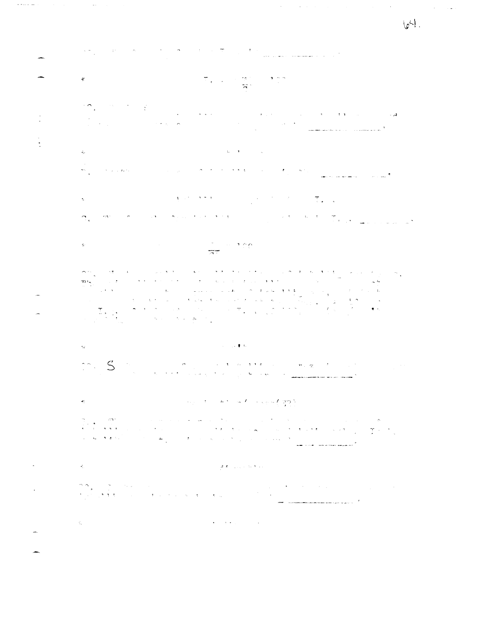$$
\mathcal{F}_{\mathcal{F}}(x) = \mathcal{F}_{\mathcal{F}}(x) \mathcal{F}_{\mathcal{F}}(x) = \mathcal{F}_{\mathcal{F}}(x) \mathcal{F}_{\mathcal{F}}(x) = \mathcal{F}_{\mathcal{F}}(x) \mathcal{F}_{\mathcal{F}}(x) = \mathcal{F}_{\mathcal{F}}(x) \mathcal{F}_{\mathcal{F}}(x) = \mathcal{F}_{\mathcal{F}}(x) \mathcal{F}_{\mathcal{F}}(x) = \mathcal{F}_{\mathcal{F}}(x) \mathcal{F}_{\mathcal{F}}(x) = \mathcal{F}_{\mathcal{F}}(x) \mathcal{F}_{\mathcal{F}}(x) = \mathcal{F}_{\mathcal{F}}(x) \mathcal{F}_{\mathcal{F}}(x) = \mathcal{F}_{\mathcal{F}}(x) \mathcal{F}_{\mathcal{F}}(x) = \mathcal{F}_{\mathcal{F}}(x) \mathcal{F}_{\mathcal{F}}(x) = \mathcal{F}_{\mathcal{F}}(x) \mathcal{F}_{\mathcal{F}}(x) = \mathcal{F}_{\mathcal{F}}(x) \mathcal{F}_{\mathcal{F}}(x) = \mathcal{F}_{\mathcal{F}}(x) \mathcal{F}_{\mathcal{F}}(x) = \mathcal{F}_{\mathcal{F}}(x) \mathcal{F}_{\mathcal{F}}(x) = \mathcal{F}_{\mathcal{F}}(x) \mathcal{F}_{\mathcal{F}}(x) = \mathcal{F}_{\mathcal{F}}(x) \mathcal{F}_{\mathcal{F}}(x) = \mathcal{F}_{\mathcal{F}}(x) \mathcal{F}_{\mathcal{F}}(x) = \mathcal{F}_{\mathcal{F}}(x) \mathcal{F}_{\mathcal{F}}(x) = \mathcal{F}_{\mathcal{F}}(x) \mathcal{F}_{\mathcal{F}}(x) = \mathcal{F}_{\mathcal{F}}(x) \mathcal{F}_{\mathcal{F}}(x) = \mathcal{F}_{\mathcal{F}}(x) \mathcal{F}_{\mathcal{F}}(x) = \mathcal{F}_{\mathcal{F}}(x) \mathcal{F}_{\mathcal{F}}(x) = \mathcal{F}_{\mathcal{F}}(x) \mathcal{F}_{\mathcal{F}}(x) = \mathcal{F}_{\mathcal{F}}(x) \mathcal{F}_{\mathcal{F}}(x) =
$$

 $\sim 80-1$ 

 $\frac{1}{2}$ 

 $\frac{1}{2}$ 

 $\Delta \sim 10^4$ 

 $\mathbf{z}^{(i)}$  .

in.

$$
\mathcal{A}_\mathcal{C} = \{ \mathcal{A}_\mathcal{C} \mid \mathcal{A}_\mathcal{C} \in \mathcal{A}_\mathcal{C} \text{ and } \mathcal{A}_\mathcal{C} \in \mathcal{A}_\mathcal{C} \text{ and } \mathcal{A}_\mathcal{C} \in \mathcal{A}_\mathcal{C} \text{ and } \mathcal{A}_\mathcal{C} \in \mathcal{A}_\mathcal{C} \text{ and } \mathcal{A}_\mathcal{C} \in \mathcal{A}_\mathcal{C} \text{ and } \mathcal{A}_\mathcal{C} \in \mathcal{A}_\mathcal{C} \text{ and } \mathcal{A}_\mathcal{C} \in \mathcal{A}_\mathcal{C} \text{ and } \mathcal{A}_\mathcal{C} \in \mathcal{A}_\mathcal{C} \text{ and } \mathcal{A}_\mathcal{C} \in \mathcal{A}_\mathcal{C} \text{ and } \mathcal{A}_\mathcal{C} \in \mathcal{A}_\mathcal{C} \text{ and } \mathcal{A}_\mathcal{C} \in \mathcal{A}_\mathcal{C} \text{ and } \mathcal{A}_\mathcal{C} \in \mathcal{A}_\mathcal{C} \text{ and } \mathcal{A}_\mathcal{C} \in \mathcal{A}_\mathcal{C} \text{ and } \mathcal{A}_\mathcal{C} \in \mathcal{A}_\mathcal{C} \text{ and } \mathcal{A}_\mathcal{C} \in \mathcal{A}_\mathcal{C} \text{ and } \mathcal{A}_\mathcal{C} \in \mathcal{A}_\mathcal{C} \text{ and } \mathcal{A}_\mathcal{C} \in \mathcal{A}_\mathcal{C} \text{ and } \mathcal{A}_\mathcal{C} \in \mathcal{A}_\mathcal{C} \text{ and } \mathcal{A}_\mathcal{C} \in \mathcal{A}_\mathcal{C} \text{ and } \mathcal{A}_\mathcal{C} \in \mathcal{A}_\mathcal{C} \text{ and } \mathcal{A}_\mathcal{C} \in \mathcal{A}_\mathcal{C} \text{ and } \mathcal{A}_\mathcal{C} \in \mathcal{A}_\mathcal{C} \text{ and } \mathcal{A}_\mathcal{C} \in \mathcal{A}_\mathcal{C} \text{ and } \mathcal{A}_\mathcal{C} \in \mathcal{
$$

്തി<br>ആരംഭിച്ചു പ്രാപ്പിക്കുന്ന പ്രവർത്തിക്കുന്നത്. അതിന്റെ അക്ഷിപ്രാപിച്ചു വിശ്വേശിക്കുന്നു.<br>സ്ത്രീ സ്വാസിക്കുന്ന പ്രവർത്തിക്കുന്ന പ്രാപ്പിക്കുന്നത്. പ്രാപ്പിക്കുന്ന പ്രാപ്പിക്കുന്നത്. പ്രാപ്പിക്കുന്ന പ്

$$
\frac{1}{2} \left( \frac{1}{2} \left( \frac{1}{2} \right) \left( \frac{1}{2} \right) \left( \frac{1}{2} \right) \left( \frac{1}{2} \right) \left( \frac{1}{2} \right) \left( \frac{1}{2} \right) \left( \frac{1}{2} \right) \left( \frac{1}{2} \right) \left( \frac{1}{2} \right) \left( \frac{1}{2} \right) \left( \frac{1}{2} \right) \left( \frac{1}{2} \right) \left( \frac{1}{2} \right) \left( \frac{1}{2} \right) \left( \frac{1}{2} \right) \left( \frac{1}{2} \right) \left( \frac{1}{2} \right) \left( \frac{1}{2} \right) \left( \frac{1}{2} \right) \left( \frac{1}{2} \right) \left( \frac{1}{2} \right) \left( \frac{1}{2} \right) \left( \frac{1}{2} \right) \left( \frac{1}{2} \right) \left( \frac{1}{2} \right) \left( \frac{1}{2} \right) \left( \frac{1}{2} \right) \left( \frac{1}{2} \right) \left( \frac{1}{2} \right) \left( \frac{1}{2} \right) \left( \frac{1}{2} \right) \left( \frac{1}{2} \right) \left( \frac{1}{2} \right) \left( \frac{1}{2} \right) \left( \frac{1}{2} \right) \left( \frac{1}{2} \right) \left( \frac{1}{2} \right) \left( \frac{1}{2} \right) \left( \frac{1}{2} \right) \left( \frac{1}{2} \right) \left( \frac{1}{2} \right) \left( \frac{1}{2} \right) \left( \frac{1}{2} \right) \left( \frac{1}{2} \right) \left( \frac{1}{2} \right) \left( \frac{1}{2} \right) \left( \frac{1}{2} \right) \left( \frac{1}{2} \right) \left( \frac{1}{2} \right) \left( \frac{1}{2} \right) \left( \frac{1}{2} \right) \left( \frac{1}{2} \right) \left( \frac{1}{2} \right) \left( \frac{1}{2} \right) \left( \frac{1}{2} \right) \left( \frac{1}{2} \right) \left( \frac{1}{2} \right) \left
$$

and a construction of the construction of the construction of the state of the construction of the construction of the construction of the construction of the construction of the construction of the construction of the con

$$
\frac{1}{\sqrt{2}}\sum_{i=1}^{\infty} \frac{1}{i} \sum_{i=1}^{\infty} \frac{1}{i} \left( \frac{1}{i} \sum_{i=1}^{\infty} \frac{1}{i} \right)^i \left( \frac{1}{i} \sum_{i=1}^{\infty} \frac{1}{i} \right)^i \left( \frac{1}{i} \sum_{i=1}^{\infty} \frac{1}{i} \right)^i
$$

$$
\mathfrak{M}^{\mathfrak{p}}_{\mathfrak{p}}(\mathfrak{p})=\mathfrak{p}^{\mathfrak{p}}_{\mathfrak{p}}(\mathfrak{p})=\mathfrak{p}^{\mathfrak{p}}_{\mathfrak{p}}(\mathfrak{p})=\mathfrak{p}^{\mathfrak{p}}_{\mathfrak{p}}(\mathfrak{p})=\mathfrak{p}^{\mathfrak{p}}_{\mathfrak{p}}(\mathfrak{p})=\mathfrak{p}^{\mathfrak{p}}_{\mathfrak{p}}(\mathfrak{p})=\mathfrak{p}^{\mathfrak{p}}_{\mathfrak{p}}(\mathfrak{p})=\mathfrak{p}^{\mathfrak{p}}_{\mathfrak{p}}(\mathfrak{p})=\mathfrak{p}^{\mathfrak{p}}_{\mathfrak{p}}(\mathfrak{p})=\mathfrak{p}^{\mathfrak{p}}_{\mathfrak{p}}(\mathfrak{p})=\mathfrak{p}^{\mathfrak{p}}_{\mathfrak{p}}(\mathfrak{p})=\mathfrak{p}^{\mathfrak{p}}_{\mathfrak{p}}(\mathfrak{p})=\mathfrak{p}^{\mathfrak{p}}_{\mathfrak{p}}(\mathfrak{p})=\mathfrak{p}^{\mathfrak{p}}_{\mathfrak{p}}(\mathfrak{p})=\mathfrak{p}^{\mathfrak{p}}_{\mathfrak{p}}(\mathfrak{p})=\mathfrak{p}^{\mathfrak{p}}_{\mathfrak{p}}(\mathfrak{p})=\mathfrak{p}^{\mathfrak{p}}_{\mathfrak{p}}(\mathfrak{p})=\mathfrak{p}^{\mathfrak{p}}_{\mathfrak{p}}(\mathfrak{p})=\mathfrak{p}^{\mathfrak{p}}_{\mathfrak{p}}(\mathfrak{p})=\mathfrak{p}^{\mathfrak{p}}_{\mathfrak{p}}(\mathfrak{p})=\mathfrak{p}^{\mathfrak{p}}_{\mathfrak{p}}(\mathfrak{p})=\mathfrak{p}^{\mathfrak{p}}_{\mathfrak{p}}(\mathfrak{p})=\mathfrak{p}^{\mathfrak{p}}_{\mathfrak{p}}(\mathfrak{p})=\mathfrak{p}^{\mathfrak{p}}_{\mathfrak{p}}(\mathfrak{p})=\mathfrak{p}^{\mathfrak{p}}_{\mathfrak{p}}(\mathfrak{p})=\mathfrak{p}^{\math
$$

and South Communication of the state of the state of the state of the state of the state of the state of the s

$$
\mathcal{A} = \{ \mathcal{A} \mid \mathcal{A} \in \mathcal{A} \text{ such that } \mathcal{A} \subseteq \mathcal{A} \text{ such that } \mathcal{A} \subseteq \mathcal{A} \text{ such that } \mathcal{A} \subseteq \mathcal{A} \text{ such that } \mathcal{A} \subseteq \mathcal{A} \text{ such that } \mathcal{A} \subseteq \mathcal{A} \text{ such that } \mathcal{A} \subseteq \mathcal{A} \text{ such that } \mathcal{A} \subseteq \mathcal{A} \text{ such that } \mathcal{A} \subseteq \mathcal{A} \text{ such that } \mathcal{A} \subseteq \mathcal{A} \text{ such that } \mathcal{A} \subseteq \mathcal{A} \text{ such that } \mathcal{A} \subseteq \mathcal{A} \text{ such that } \mathcal{A} \subseteq \mathcal{A} \text{ such that } \mathcal{A} \subseteq \mathcal{A} \text{ such that } \mathcal{A} \subseteq \mathcal{A} \text{ such that } \mathcal{A} \subseteq \mathcal{A} \text{ such that } \mathcal{A} \subseteq \mathcal{A} \text{ such that } \mathcal{A} \subseteq \mathcal{A} \text{ such that } \mathcal{A} \subseteq \mathcal{A} \text{ such that } \mathcal{A} \subseteq \mathcal{A} \text{ such that } \mathcal{A} \subseteq \mathcal{A} \text{ such that } \mathcal{A} \subseteq \mathcal{A} \text{ such that } \mathcal{A} \subseteq \mathcal{A} \text{ such that } \mathcal{A} \subseteq \mathcal{A} \text{ such that } \mathcal{A} \subseteq \mathcal{A} \text{ such that } \mathcal{A} \subseteq \mathcal{A} \text{ such that } \mathcal{A} \subseteq \mathcal{A} \text{ such that } \mathcal{A} \subseteq \mathcal{A} \text{ such that } \mathcal{A} \subseteq \mathcal{A} \text{ such that } \mathcal{A} \subseteq \mathcal{A} \text{ such that } \mathcal{A} \subseteq \mathcal{A} \text{ such that } \mathcal{A} \subseteq \mathcal{A} \text{ such that } \mathcal{A} \subseteq \mathcal{A} \text{ such that } \mathcal{A} \subseteq \mathcal{A} \text{ such that } \mathcal{A} \subseteq \mathcal{A} \text{ such that } \mathcal{A} \subseteq \mathcal{A} \text{ such that } \mathcal{A} \subseteq \mathcal{A} \text{ such that } \mathcal
$$

$$
\mathcal{L}(\mathbf{x}) = \mathcal{L}(\mathbf{x}) \cdot \mathcal{L}(\mathbf{x}) = \mathcal{L}(\mathbf{x}) \cdot \mathcal{L}(\mathbf{x})
$$

 $\begin{aligned} &\mathcal{D}(\mathcal{D}_{\mathcal{A}}) = \mathcal{D}_{\mathcal{A}}^{\mathcal{A}} \left( \mathcal{D}_{\mathcal{A}} \right) = \mathcal{D}_{\mathcal{A}}^{\mathcal{A}} \left( \mathcal{D}_{\mathcal{A}} \right) = \mathcal{D}_{\mathcal{A}}^{\mathcal{A}} \left( \mathcal{D}_{\mathcal{A}} \right) = \mathcal{D}_{\mathcal{A}}^{\mathcal{A}} \left( \mathcal{D}_{\mathcal{A}} \right) = \mathcal{D}_{\mathcal{A}}^{\mathcal{A}} \left( \mathcal{D}_{\mathcal{A}} \right) = \mathcal{$ 

 $\beta_{\rm eff}^2 = 1$  $\bullet$  . The  $\bullet$  is a set of the  $\mathcal{O}$   $\mathcal{L}$ 

 $\mathcal{L}^{\text{max}}_{\text{max}}$  , where  $\mathcal{L}^{\text{max}}_{\text{max}}$ 

 $\sim 10^{11}$  km s  $^{-1}$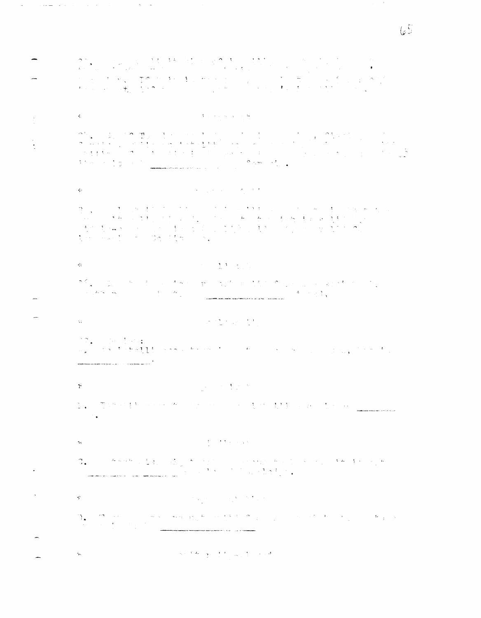#### $\mathcal{C}^{\mathcal{A}}(\mathbf{t})$  is a set of  $\mathcal{A}^{\mathcal{A}}(\mathbf{t})$  . In  $\mathcal{N}_{\mathrm{eff}}$

 $\sim 100$  km s  $^{-1}$  and

 $\mathbf{A}^{(n)}$  and  $\mathbf{A}^{(n)}$  and  $\mathbf{A}^{(n)}$  are the set of the set of  $\mathbf{A}^{(n)}$ 

 $\hat{\xi}$ 

 $\bar{\mathcal{A}}$  $\dot{\Sigma}$ 

 $\overline{a}$ 

 $\frac{1}{2}$ 

 $\Delta \sim 10^4$ 

 $\overline{\phantom{a}}$ 

÷

 $\mathcal{H}_{\mathcal{C}}$ 

 $\mathcal{H}_{\mathbf{G}}$  .

 $\label{eq:3.1} \begin{array}{lllllllllllllllllll} \textbf{P} & \textbf{P} & \textbf{P} & \textbf{P} & \textbf{P} & \textbf{P} & \textbf{P} & \textbf{P} & \textbf{P} & \textbf{P} & \textbf{P} & \textbf{P} & \textbf{P} & \textbf{P} & \textbf{P} & \textbf{P} & \textbf{P} & \textbf{P} & \textbf{P} & \textbf{P} & \textbf{P} & \textbf{P} & \textbf{P} & \textbf{P} & \textbf{P} & \textbf{P} & \textbf{P} & \textbf{P}$ 

#### $\label{eq:2.1} \mathcal{L}^{\mathcal{A}}(\mathbf{x}) = \mathcal{L}^{\mathcal{A}}_{\mathcal{A}}(\mathbf{x}) = \mathcal{L}^{\mathcal{A}}_{\mathcal{A}}(\mathbf{x}) = \mathcal{L}^{\mathcal{A}}_{\mathcal{A}}(\mathbf{x}) = \mathcal{L}^{\mathcal{A}}_{\mathcal{A}}(\mathbf{x}) = \mathcal{L}^{\mathcal{A}}_{\mathcal{A}}(\mathbf{x})$  $\sigma_{\rm p}$

 $3\%$  and  $3\%$  and  $3\%$  are contracted in the set of  $3\%$  and  $3\%$  are contracted in the set of  $3\%$  and  $3\%$  are  $3\%$  and  $3\%$  are contracted in the set of  $3\%$  and  $3\%$  are  $3\%$  and  $3\%$  are contracted in th

#### $\frac{N_{\rm{B}}}{N_{\rm{B}}}$  .  $\label{eq:2.1} \mathcal{A}(\mathcal{A}) = \sum_{i=1}^n \mathbf{A}_i \mathcal{A}_i + \sum_{i=1}^n \mathcal{A}_i \mathcal{A}_i$

ng pagalang pangalang pagkalang pagkalang pagkalang pagkalang pagkalang pagkalang pagkalang pagkalang pagkalan<br>Pagkalang pagkalang pagkalang pagkalang pagkalang pagkalang pagkalang pagkalang pagkalang pagkalang pagkalang a (m. 1974)<br>1905 - Johann Barnett, fransk politiker (m. 1906)<br>1906 - Johann Barnett, fransk politiker (m. 1907)  $\label{eq:convergence} \text{Suppose that } \text{supp}(\text{supp}(\text{supp}(\text{supp}(\text{supp}(\text{supp}(\text{supp}(\text{supp}(\text{supp}(\text{supp}(\text{supp}(\text{supp}(\text{supp}(\text{supp}(\text{supp}(\text{supp}(\text{supp}(\text{supp}(\text{supp}(\text{supp}(\text{supp}(\text{supp}(\text{supp}(\text{supp}(\text{supp}(\text{supp}(\text{supp}(\text{supp}(\text{supp}(\text{supp}(\text{supp}(\text{supp}(\text{supp}(\text{supp}(\$ 

### $\label{eq:2} \mathcal{L}(\mathcal{P}) \geq \sum_{i=1}^n \mathcal{L}(\mathcal{P}) \geq \sum_{i=1}^n \mathcal{L}(\mathcal{P}) \geq \sum_{i=1}^n \mathcal{L}(\mathcal{P})$

1974 – De Bender<br>Sporte British (1988), en seus marchines (1988), en seus propositions (1988)

### $\label{eq:2.1} \frac{1}{2\pi}\int_{\mathbb{R}^{2}}\left|\frac{1}{\sqrt{2\pi}}\right|^{2}dx=\frac{1}{2\pi}\int_{\mathbb{R}^{2}}\left|\frac{1}{\sqrt{2\pi}}\right|^{2}dx=\frac{1}{2\pi}\int_{\mathbb{R}^{2}}\left|\frac{1}{\sqrt{2\pi}}\right|^{2}dx=\frac{1}{2\pi}\int_{\mathbb{R}^{2}}\left|\frac{1}{\sqrt{2\pi}}\right|^{2}dx=\frac{1}{2\pi}\int_{\mathbb{R}^{2}}\left|\frac{1}{\sqrt{2\pi}}\right|^{2}dx$  $\mathcal{P}^{\mathcal{C}}$  .

 $\mathbb{E}_{\mathcal{A}} = \mathbb{E}[\mathcal{A}^{\text{in}} \otimes \mathcal{A}^{\text{in}}] = \mathbb{E}[\mathcal{A}^{\text{in}} \otimes \mathcal{A}^{\text{in}}] = \mathbb{E}[\mathcal{A}^{\text{in}} \otimes \mathcal{A}^{\text{in}}] = \mathbb{E}[\mathcal{A}^{\text{in}} \otimes \mathcal{A}^{\text{in}}] = \mathbb{E}[\mathcal{A}^{\text{in}} \otimes \mathcal{A}^{\text{in}}] = \mathbb{E}[\mathcal{A}^{\text{in}} \otimes \mathcal{A}^{\text{in$  $\sim 10^{11}$  km s  $^{-1}$ 

#### $\label{eq:2.1} \mathcal{L}_{\mathcal{A}}(\mathcal{A})=\frac{1}{2}\left(\mathcal{L}_{\mathcal{A}}\left(\mathcal{A}^{\dagger}\right)\mathcal{A}^{\dagger}\left(\mathcal{A}^{\dagger}\right)\right)+\mathcal{L}_{\mathcal{A}}\left(\mathcal{A}^{\dagger}\right)^{2}\right).$  $58\%$

 $\begin{split} \mathfrak{I}_\bullet \qquad \qquad & \text{where } \mathcal{U} \in \mathbb{R}^n, \quad \text{if } \mathcal{U} \in \mathbb{R}^n, \quad \mathcal{U} \in \mathbb{R}^n, \quad \mathcal{U} \in \mathbb{R}^n, \quad \mathcal{U} \in \mathbb{R}^n, \quad \mathcal{U} \in \mathbb{R}^n, \quad \mathcal{U} \in \mathbb{R}^n, \quad \mathcal{U} \in \mathbb{R}^n, \quad \mathcal{U} \in \mathbb{R}^n, \quad \mathcal{U} \in \mathbb{R}^n, \$ 

### $\label{eq:2.1} \mathcal{L}_{\mathcal{A}}=\mathcal{L}_{\mathcal{A}}\left(\frac{1}{2}\sum_{\mathbf{k}}\left(\mathbf{1}_{\mathcal{A}}\right)^{2}\right)\mathcal{L}_{\mathcal{A}}\left(\frac{1}{2}\sum_{\mathbf{k}}\left(\mathbf{1}_{\mathcal{A}}\right)^{2}\right)\mathcal{L}_{\mathcal{A}}\left(\frac{1}{2}\sum_{\mathbf{k}}\left(\mathbf{1}_{\mathcal{A}}\right)^{2}\right)\mathcal{L}_{\mathcal{A}}\left(\frac{1}{2}\sum_{\mathbf{k}}\left(\mathbf{1}_{\mathcal{A}}\right)^{2}\right).$  $\mathcal{A}^{\mu\nu}$  .

### $\label{eq:1.1} \mathcal{L}_{\mathcal{H}}(\mathcal{L}) = \mathcal{H}(\mathcal{A}_{\mathcal{H}}) = \sup_{\mathcal{H} \in \mathcal{H}} \mathcal{L}_{\mathcal{H}}(\mathcal{L}) = \sup_{\mathcal{H} \in \mathcal{H}} \mathcal{L}_{\mathcal{H}}(\mathcal{L}) = \mathcal{L}_{\mathcal{H}}(\mathcal{A})$

 $\{\circ\}$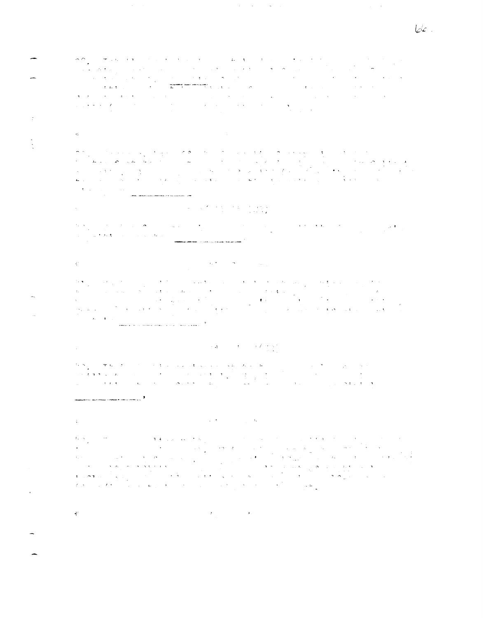. عاعا

### $\sim$

no provincial approach no construction of the second contract of  $\label{eq:2} \begin{split} \mathbf{E}_{\text{max}}(\mathbf{r}) &= \mathbf{r}_{\text{max}}(\mathbf{r}) \mathbf{r}_{\text{max}}(\mathbf{r}) \\ &= \mathbf{r}_{\text{max}}(\mathbf{r}) \mathbf{r}_{\text{max}}(\mathbf{r}) \mathbf{r}_{\text{max}}(\mathbf{r}) \mathbf{r}_{\text{max}}(\mathbf{r}) \mathbf{r}_{\text{max}}(\mathbf{r}) \mathbf{r}_{\text{max}}(\mathbf{r}) \\ &= \mathbf{r}_{\text{max}}(\mathbf{r}) \mathbf{r}_{\text{max}}(\mathbf{r}) \mathbf{r}_{\text{max}}(\mathbf{r$  $\label{eq:4} \begin{minipage}{0.9\textwidth} \begin{minipage}{0.9\textwidth} \centering \begin{tabular}{|l|l|l|} \hline & \multicolumn{1}{|l|l|} \hline & \multicolumn{1}{|l|} \multicolumn{1}{|l|} \multicolumn{1}{|l|} \multicolumn{1}{|l|} \multicolumn{1}{|l|} \multicolumn{1}{|l|} \multicolumn{1}{|l|} \multicolumn{1}{|l|} \multicolumn{1}{|l|} \multicolumn{1}{|l|} \multicolumn{1}{|l|} \multicolumn{1}{|l|} \multicolumn{1}{|l|} \multicolumn$ 

#### $\mathcal{O}(\mathcal{O})$

 $\label{eq:G1} \mathcal{G}(\mathcal{S}_{\mathcal{A}}) = \mathcal{G}(\mathcal{A}) \otimes \mathcal{G}(\mathcal{A}) \otimes \mathcal{G}(\mathcal{A}) \otimes \mathcal{G}(\mathcal{A}) \otimes \mathcal{G}(\mathcal{A}) \otimes \mathcal{G}(\mathcal{A}) \otimes \mathcal{G}(\mathcal{A}) \otimes \mathcal{G}(\mathcal{A}) \otimes \mathcal{G}(\mathcal{A}) \otimes \mathcal{G}(\mathcal{A}) \otimes \mathcal{G}(\mathcal{A}) \otimes \mathcal{G}(\mathcal{A}) \otimes \mathcal{G}(\mathcal{A})$  $\label{eq:2.1} \mathcal{L}(\mathcal{L})=\mathcal{L}(\mathcal{L}(\mathcal{L}))\otimes \mathcal{L}(\mathcal{L}(\mathcal{L}))\otimes \mathcal{L}(\mathcal{L}(\mathcal{L}))\otimes \mathcal{L}(\mathcal{L}(\mathcal{L}))\otimes \mathcal{L}(\mathcal{L}(\mathcal{L}))\otimes \mathcal{L}(\mathcal{L}(\mathcal{L}))\otimes \mathcal{L}(\mathcal{L}(\mathcal{L}))\otimes \mathcal{L}(\mathcal{L}(\mathcal{L}))\otimes \mathcal{L}(\mathcal{L}(\mathcal{L}(\mathcal{L}(\mathcal{L}(\$ a a shekarar 1945).<br>1940 - André Bandina di San Albania (1946), shekarar 1940 (1947).<br>1940 - André Bandina di San Albania (1947), shekarar 1940 (1947).

#### $\label{eq:2.1} \mathcal{L}_{\mathcal{A}}(\mathcal{A})=\mathcal{L}_{\mathcal{A}}(\mathcal{A})\mathcal{L}_{\mathcal{A}}(\mathcal{A})=\mathcal{A}(\mathcal{A})\mathcal{L}_{\mathcal{A}}(\mathcal{A})\mathcal{L}_{\mathcal{A}}(\mathcal{A})\mathcal{L}_{\mathcal{A}}(\mathcal{A})$  $\mathcal{L}^{(1)}$  .

 $\mathbb{R}^n$  $\label{eq:2} \mathcal{G}^{(1)}=\frac{1}{2} \left( \begin{array}{cc} 1 & 0 & 0 \\ 0 & 0 & 0 \\ 0 & 0 & 0 \\ 0 & 0 & 0 \\ 0 & 0 & 0 \\ 0 & 0 & 0 \\ 0 & 0 & 0 \\ 0 & 0 & 0 \\ 0 & 0 & 0 \\ 0 & 0 & 0 \\ 0 & 0 & 0 \\ 0 & 0 & 0 & 0 \\ 0 & 0 & 0 & 0 \\ 0 & 0 & 0 & 0 \\ 0 & 0 & 0 & 0 \\ 0 & 0 & 0 & 0 \\ 0 & 0 & 0 & 0 \\ 0 & 0 & 0 & 0 & 0 \\$ 

#### **1. 中国 中国 化学**  $\sim 10^{-1}$

### 

#### $\mathcal{L}^{\mathcal{L}}(\mathcal{L}^{\mathcal{L}}(\mathcal{L}^{\mathcal{L}}(\mathcal{L}^{\mathcal{L}}(\mathcal{L}^{\mathcal{L}}(\mathcal{L}^{\mathcal{L}}(\mathcal{L}^{\mathcal{L}}(\mathcal{L}^{\mathcal{L}}(\mathcal{L}^{\mathcal{L}}(\mathcal{L}^{\mathcal{L}}(\mathcal{L}^{\mathcal{L}}(\mathcal{L}^{\mathcal{L}}(\mathcal{L}^{\mathcal{L}}(\mathcal{L}^{\mathcal{L}}(\mathcal{L}^{\mathcal{L}}(\mathcal{L}^{\mathcal{L}}(\mathcal{L}^{\mathcal{L$  $\Delta \sim 10^5$

 $\mathcal{F}^{\text{max}}_{\text{max}}$ 

#### $\label{eq:2.1} \mathcal{F}(\mathcal{F})=\mathcal{F}(\mathcal{F})\otimes\mathcal{F}(\mathcal{F})\otimes\mathcal{F}(\mathcal{F})\otimes\mathcal{F}(\mathcal{F})$  $\mathcal{H} = \mathbb{R}$

 $\bar{m}_{\rm{in}}$ 

 $\sim$   $\sim$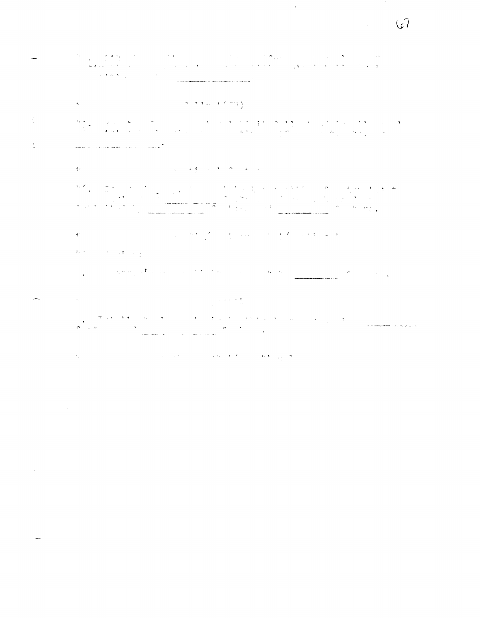$\sim$ 

 $\label{eq:1} \frac{1}{2} \int_{0}^{2\pi} \frac{1}{\sqrt{2\pi} \sqrt{2\pi} \sqrt{2\pi}} \frac{1}{\sqrt{2\pi}} \int_{0}^{2\pi} \frac{1}{\sqrt{2\pi} \sqrt{2\pi}} \frac{1}{\sqrt{2\pi}} \int_{0}^{2\pi} \frac{1}{\sqrt{2\pi}} \frac{1}{\sqrt{2\pi}} \frac{1}{\sqrt{2\pi}} \int_{0}^{2\pi} \frac{1}{\sqrt{2\pi}} \frac{1}{\sqrt{2\pi}} \frac{1}{\sqrt{2\pi}} \int_{0}^{2\pi} \frac{1}{\sqrt{2\pi}} \frac{$ 

#### $\mathbf{q}^{\mathrm{max}}$  $\mathcal{L}(\mathcal{L}^{\mathcal{L}}(\mathcal{L}^{\mathcal{L}}(\mathcal{L}^{\mathcal{L}}(\mathcal{L}^{\mathcal{L}}(\mathcal{L}^{\mathcal{L}}(\mathcal{L}^{\mathcal{L}}(\mathcal{L}^{\mathcal{L}}(\mathcal{L}^{\mathcal{L}}(\mathcal{L}^{\mathcal{L}}(\mathcal{L}^{\mathcal{L}}(\mathcal{L}^{\mathcal{L}}(\mathcal{L}^{\mathcal{L}}(\mathcal{L}^{\mathcal{L}}(\mathcal{L}^{\mathcal{L}}(\mathcal{L}^{\mathcal{L}}(\mathcal{L}^{\mathcal{L}}(\mathcal{L}$

ಹಾರ್ಡ್ ಮಾಡಿದ್ದಾರೆ. ಈ ಮಾಡಿದ್ದರು ಮಾಡಿದ್ದಾರೆ ಮಾಡಿದ್ದಾರೆ. ಅವರು ಕೈಹಾ ಅವರನ್ನು ಮಾಡಿದ್ದಾರೆ ಅವರು ನಿರ್ವಹಿಸಿ ನಡೆದು ಮಾಡುತ್ತ<br>ಮಾಡಿದ್ದಾರೆ ಮಾಡಿದ್ದಾರೆ ಅವರು ನಿರ್ವಹಿಸಿದ್ದಾರೆ. ಮಾಡಿದ್ದಾರೆ ಮಾಡಿದ್ದಾರೆ. ಅವರ ನಿರ್ವಹಿಸಿದ್ದಾರೆ. ಮಾಡಿದ್ದು ಮಾಡಿದ್ದಾರೆ.

#### $\label{eq:Ricci} \mathcal{L}_{\mathcal{A}}(\mathcal{A}) = \mathcal{L}_{\mathcal{A}}(\mathcal{A}) = \mathcal{L}_{\mathcal{A}}(\mathcal{A}) = \mathcal{L}_{\mathcal{A}}(\mathcal{A}) = \mathcal{L}_{\mathcal{A}}(\mathcal{A}) = \mathcal{L}_{\mathcal{A}}(\mathcal{A})$  $\frac{1}{2} \rho_{\rm{max}}$

#### $\label{eq:2.1} \mathcal{F}_{\mathcal{A}}(\mathcal{A})=\mathcal{F}_{\mathcal{A}}(\mathcal{A})\mathcal{F}_{\mathcal{A}}(\mathcal{A})=\mathcal{F}_{\mathcal{A}}(\mathcal{A})\mathcal{F}_{\mathcal{A}}(\mathcal{A})\mathcal{F}_{\mathcal{A}}(\mathcal{A})=\mathcal{F}_{\mathcal{A}}(\mathcal{A})\mathcal{F}_{\mathcal{A}}(\mathcal{A})\mathcal{F}_{\mathcal{A}}(\mathcal{A})$  $\frac{1}{2} \mathcal{F}^{(0)}$  .

 $\mathbf{J}_{E}(\tau) = \left\{ \begin{array}{cc} \infty & \text{if } \mathbf{x} \in \mathbb{R}^n, \; \mathbf{y} \in \mathbb{R}^n, \\ \mathbf{y} \in \mathbb{R}^n, \; \mathbf{y} \in \mathbb{R}^n, \; \mathbf{y} \in \mathbb{R}^n, \; \mathbf{y} \in \mathbb{R}^n, \; \mathbf{y} \in \mathbb{R}^n, \; \mathbf{y} \in \mathbb{R}^n, \; \mathbf{y} \in \mathbb{R}^n, \; \mathbf{y} \in \mathbb{R}^n, \;$ 

 $\overline{a}$ 

 $\bar{\mathcal{A}}$  $\frac{1}{2}$ 

 $\frac{1}{2}$  and  $\frac{1}{2}$  . The  $\frac{1}{2}$ 

 $\mathcal{A}^{\pm}$ 

 $\sim$ 

 $\frac{1}{2}$ 

ال من من المدينة 20 مليون المستقدمات التي يمكن المدينة التي تتم 1995 من التي يتم التي التي تتم التي تتم التي ت<br>الانتهاء المدينة 20 مليون المستقدمات

#### $\sim 10^{11}$  km  $^{-1}$  $\mathcal{L}^{\text{max}}_{\text{max}}$  and  $\mathcal{L}^{\text{max}}_{\text{max}}$  and  $\mathcal{L}^{\text{max}}_{\text{max}}$

in and the state of the state of the state of the state of the state of the state of the state of the state of<br>The state of the state of the state of the state of the state of the state of the state of the state of the st a a componente de la componente de la componente de la componente de la componente de la componente de la comp<br>La componente de la componente de la componente de la componente de la componente de la componente de la compo

فالموالع فتداري المماركة والمتحادث التقارير والمناز  $\mathcal{L} = \frac{1}{2} \sum_{i=1}^{n} \mathcal{L}^{(i)}_{i}$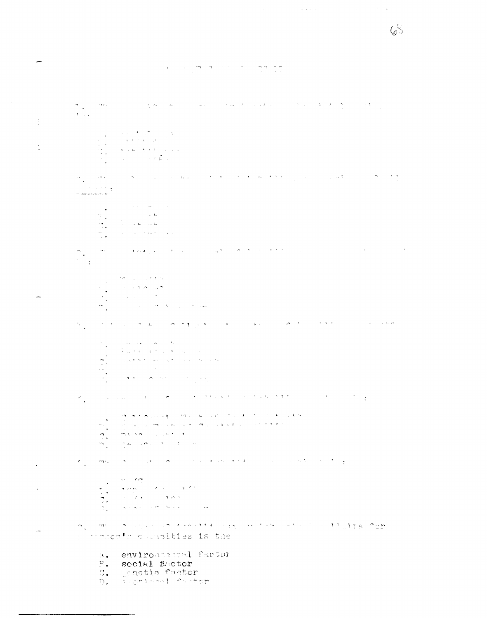$\sim$   $\sim$ 

 $\mathcal{E}_{\mathbf{a}}$ 

س<br>موسیقی از میان میاشتند (میان موسیقی)

 $\frac{1}{2}$ 

 $\ddot{\cdot}$ 

 $\epsilon$ 

 $\mathcal{L}^{\pm}$ 

 $\omega$ 

 $\sigma_{\rm{max}}$  and  $\sigma_{\rm{max}}$  and  $\sigma_{\rm{max}}$  are the second states of the second states of  $\sigma_{\rm{max}}$  and  $\sigma_{\rm{max}}$  $\label{eq:2.1} \begin{split} \mathcal{L}_{\mathcal{M}}(\mathbf{r}) & = \frac{\mathbf{d}\mathbf{r}}{\mathbf{d}\mathbf{r}} \left[ \mathbf{r} \frac{\mathbf{q}}{\mathbf{r}} \right] \mathbf{r}^{\mathsf{T}} \mathbf{r}^{\mathsf{T}} \\ & = \frac{\mathbf{d}\mathbf{r}}{\mathbf{d}\mathbf{r}} \left[ \mathbf{r} \frac{\mathbf{r}}{\mathbf{r}} \mathbf{d}\mathbf{r} - \mathbf{r} \frac{\mathbf{r}}{\mathbf{r}} \mathbf{r}^{\mathsf{T}} \right] \mathbf{r}^{\mathsf{T}} \mathbf$  $\mathcal{A}$  is a sequence of  $\mathcal{A}$  , where  $\mathcal{A}$  $\mathcal{L}_{\text{max}}$  and  $\mathcal{L}_{\text{max}}$  and  $\mathcal{L}_{\text{max}}$ in a company of the second construction of the second state and the second company of the second provided to the<br>The second construction of the second construction of the second construction of the second construction of المعلم المعارض .<br>-<br>- المعلم المعلوم المعلم المع  $\begin{aligned} \mathbf{u}^{\mathcal{A}}_{\mathbf{u}}(\mathbf{x}) &= \mathbf{u}^{\mathcal{A}}_{\mathbf{u}}(\mathbf{x})\mathbf{u}^{\mathcal{A}}_{\mathbf{u}}(\mathbf{x})\\ &= \mathbf{u}^{\mathcal{A}}_{\mathbf{u}}(\mathbf{x})\mathbf{u}^{\mathcal{A}}_{\mathbf{u}}(\mathbf{x})\\ &= \mathbf{u}^{\mathcal{A}}_{\mathbf{u}}(\mathbf{x})\mathbf{u}^{\mathcal{A}}_{\mathbf{u}}(\mathbf{x})\mathbf{u}^{\mathcal{A}}_{\mathbf{u}}(\mathbf{x})\\ &= \mathbf{u}^{\$  $\hat{\mathcal{L}}_{\text{max}}(\hat{\mathbf{z}})$  and  $\hat{\mathcal{L}}_{\text{max}}(\hat{\mathbf{z}})$  and  $\hat{\mathbf{z}}$  $\mathbb{Z}_{\infty}$  $\begin{array}{c} \mathcal{O}_{\mathcal{A}}(x) \\ \mathcal{O}_{\mathcal{A}}(x) \end{array}$  $\mathcal{A}(\mathbf{G}) = \mathcal{A}(\mathbf{G},\mathbf{G}) = \mathcal{A}(\mathbf{G}) = \mathcal{A}(\mathbf{G}) = \mathcal{A}(\mathbf{G}) = \mathcal{A}(\mathbf{G}) = \mathcal{A}(\mathbf{G}) = \mathcal{A}(\mathbf{G}) = \mathcal{A}(\mathbf{G}) = \mathcal{A}(\mathbf{G}) = \mathcal{A}(\mathbf{G}) = \mathcal{A}(\mathbf{G}) = \mathcal{A}(\mathbf{G}) = \mathcal{A}(\mathbf{G}) = \mathcal{A}(\mathbf{G}) = \mathcal{A}(\mathbf{G}) = \mathcal{A}$  $\mathcal{L}(\mathcal{L}^{\mathcal{L}})$  and  $\mathcal{L}(\mathcal{L}^{\mathcal{L}})$  and  $\mathcal{L}^{\mathcal{L}}$  and  $\mathcal{L}^{\mathcal{L}}$  and  $\mathcal{L}^{\mathcal{L}}$  $\sim 2.2$  mag  $\sim 10^{10}$  mag  $\sim 10^{10}$  m  $^{-1}$  km  $\mathcal{H}_{\mathcal{L}_{\mathcal{L}_{\mathcal{L}}}^{(n)}}(\mathcal{L}_{\mathcal{L}_{\mathcal{L}}}^{(n)}(\mathcal{L}_{\mathcal{L}_{\mathcal{L}}}^{(n)})\otimes\mathcal{L}_{\mathcal{L}_{\mathcal{L}}}^{(n)}(\mathcal{L}_{\mathcal{L}_{\mathcal{L}}}^{(n)})\otimes\mathcal{L}_{\mathcal{L}_{\mathcal{L}}}^{(n)}(\mathcal{L}_{\mathcal{L}_{\mathcal{L}}}^{(n)})\otimes\mathcal{L}_{\mathcal{L}_{\mathcal{L}}}^{(n)}(\mathcal{L}_{\mathcal{L}_{\mathcal{L}}}^{(n)})\otimes\mathcal{$  $\label{eq:2.1} \mathbb{E}\left[\mathbb{E}\left\{x_{i}^{(1)},\ldots,\mathbb{E}\left\{x_{i}\right\}\right\}\right]=\mathbb{E}\left[\mathbb{E}\left\{x_{i}\right\}\right]=\mathbb{E}\left[\mathbb{E}\left\{x_{i}\right\}\right]$  $\frac{1}{\sqrt{2}}\frac{1}{\sqrt{2}}$  $\mathcal{A}$  in a set of  $\sigma$  , i.e.  $\sigma$  , and  $\sigma$  , and  $\sigma$  $\mathcal{L}_{\rm{max}}$  and the term in  $\mathcal{L}_{\rm{max}}$  , we have a set that in the  $\mathcal{L}_{\rm{max}}$ . The companion of the contract of the state of the state of the state of the state of the state  $\mathcal{E}_\text{c}$  $\mathcal{C}_{\mathcal{A}}$ ್ನ ತಾನಕ ಮಾಡುತ್ತಿ ಎಲ್ಲಾ ಹಾಗೂ ಹಾಗೂ ಮಾಡುತ್ತಿದೆ.<br>ಬೈಲಕ್ನ ಜಾ ಶ್ರಾವಿಸ್ ಇದು ಪ್ರಾಮಿತಿಯ ಮಾಡುತ್ತಿದೆ. ಬಾರು ತಾನಕ ಮಾಡುತ್ತಿದೆ.  $\frac{1}{\sqrt{2}}\sum_{i=1}^{N} \frac{1}{\sqrt{2}} \left( \frac{1}{\sqrt{2}} \right)^{2} \left( \frac{1}{\sqrt{2}} \right)^{2}$  $\mathbb{R}$  $\sigma(t)$  and  $\sigma$  , and  $\sigma$  , and  $\sigma$ المقابلة الفارق وهوالسوخ  $\mathsf{m}(G) = \mathsf{A}(G) \cup \mathsf{G}(G) = \mathsf{A} \cup \mathsf{G}(G) \cup \mathsf{G}(G) \cup \mathsf{G}(G) \cup \mathsf{G}(G) \cup \mathsf{G}(G) \cup \mathsf{G}(G) \cup \mathsf{G}(G) \cup \mathsf{G}(G) \cup \mathsf{G}(G) \cup \mathsf{G}(G) \cup \mathsf{G}(G) \cup \mathsf{G}(G) \cup \mathsf{G}(G) \cup \mathsf{G}(G) \cup \mathsf{G}(G) \cup \mathsf{G}(G) \cup \mathsf{G}(G) \cup \mathsf{G}(G) \cup \mathsf{$  $\epsilon_{\rm x}$  $\begin{array}{c} \rightarrow \\ \uparrow \\ \uparrow \\ \downarrow \end{array}$  $\frac{1}{2}$  $\label{eq:2} \left\langle \mathbf{a}_{\mathbf{p}}\right\rangle_{\mathbf{p}}+\left\langle \mathbf{a}_{\mathbf{p}}\right\rangle_{\mathbf{p}}=\left\langle \mathbf{a}_{\mathbf{p}}\right\rangle_{\mathbf{p}}\left\langle \mathbf{b}_{\mathbf{p}}\right\rangle_{\mathbf{p}}+\left\langle \mathbf{a}_{\mathbf{p}}\right\rangle_{\mathbf{p}}=\left\langle \mathbf{a}_{\mathbf{p}}\right\rangle_{\mathbf{p}}\left\langle \mathbf{a}_{\mathbf{p}}\right\rangle_{\mathbf{p}}.$  $\sigma_s$  and  $\sigma$  again in expected spectrum the solution 1111 for  $\sigma$ 

contrachio councities is the

A. environtental factor

 $\mathcal{D}_{\left( \bullet \right) }$ social factor

genetic factor  $\mathbb{C}_{\bullet}$ 

 $\bigcap_{\bullet}$ restientl forter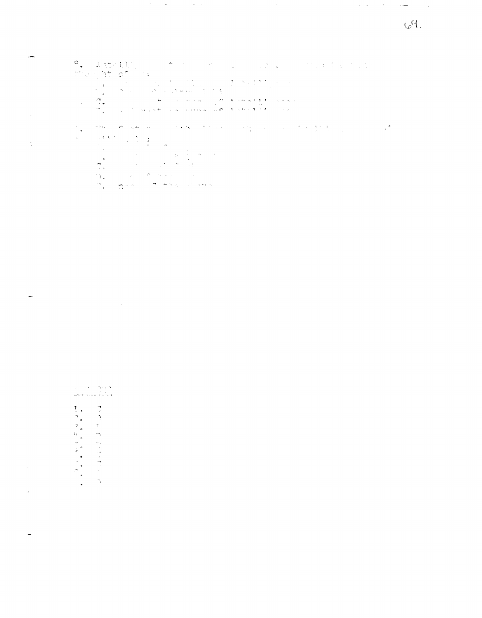9. aptolio – Alemania II., predsjednik pozna<br>20. aptolio – Partin Maria II., politika<br>20. aptolio – Partin Maria II.  $\sum_{\mathbf{q}}\frac{1}{\mathbf{q}}\left[\mathbf{P}(\mathbf{q},\mathbf{q})\mathbf{Q}^{\dagger}\mathbf{q}^{\dagger}\mathbf{q}^{\dagger}\mathbf{q}^{\dagger}\mathbf{q}^{\dagger}\mathbf{q}^{\dagger}\mathbf{q}^{\dagger}\mathbf{q}^{\dagger}\mathbf{q}^{\dagger}\mathbf{q}^{\dagger}\mathbf{q}^{\dagger}\mathbf{q}^{\dagger}\mathbf{q}^{\dagger}\mathbf{q}^{\dagger}\mathbf{q}^{\dagger}\mathbf{q}^{\dagger}\mathbf{q}^{\dagger}\mathbf{q}^{\dagger$  $\mathcal{L}_{\rm{max}}$ 

 $\mathcal{A}^{\mathcal{A}}$  , and  $\mathcal{A}^{\mathcal{A}}$  , and  $\mathcal{A}^{\mathcal{A}}$  , and  $\mathcal{A}^{\mathcal{A}}$  , and  $\mathcal{A}^{\mathcal{A}}$ 

 $64.$ 

 $\frac{1}{\sqrt{2}}\sum_{i=1}^n\frac{1}{\sqrt{2}}\sum_{j=1}^n\frac{1}{\sqrt{2}}\left(\sum_{j=1}^n\frac{1}{\sqrt{2}}\sum_{j=1}^n\frac{1}{\sqrt{2}}\right)^2\left(\sum_{j=1}^n\frac{1}{\sqrt{2}}\sum_{j=1}^n\frac{1}{\sqrt{2}}\sum_{j=1}^n\frac{1}{\sqrt{2}}\sum_{j=1}^n\frac{1}{\sqrt{2}}\sum_{j=1}^n\frac{1}{\sqrt{2}}\sum_{j=1}^n\frac{1}{\sqrt{2}}\sum_{j=1}^n\frac{$ 

 $\sim$  8  $\times$ 

 $\frac{1}{2}$ 

 $\frac{1}{2}$ 

 $\overline{\phantom{a}}$ 

and services and

 $\sim 10^{-10}$ 

| n e p                     | $\boldsymbol{\gamma}$<br>173<br>ţ.<br>$\frac{1}{2}$ . |
|---------------------------|-------------------------------------------------------|
| l.                        | C)                                                    |
|                           |                                                       |
| $\mathcal{L}_{\bullet}$   | ر<br>د                                                |
| $\mathbb{R}^{\mathbb{Z}}$ | Ť.                                                    |
| ŧ,                        | y.                                                    |
| ÷,                        |                                                       |
|                           |                                                       |
| $\frac{1}{2}$             |                                                       |
|                           |                                                       |
| ь,                        | ÷                                                     |
|                           |                                                       |
|                           |                                                       |
|                           |                                                       |
|                           |                                                       |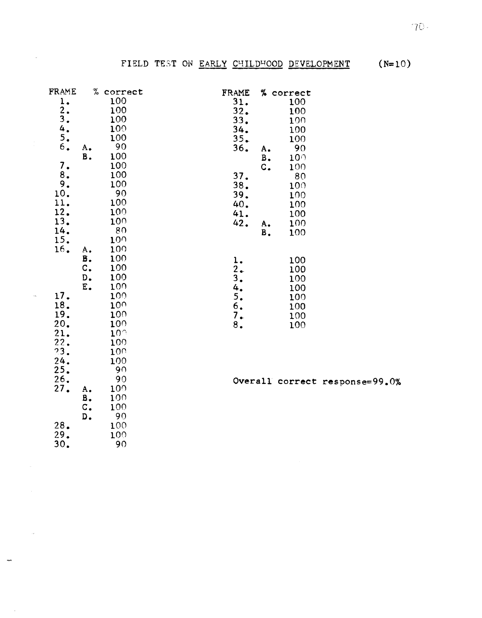| FRAME           | %                | correct         | FRAME             |               | % correct       |
|-----------------|------------------|-----------------|-------------------|---------------|-----------------|
| $\mathbf{l}$ .  |                  | 100             |                   |               | 100             |
| $\frac{2}{3}$ . |                  | 100             | $\frac{31}{32}$ . |               | 100             |
|                 |                  | 100             | 33.               |               | 100             |
| 4.              |                  | 100             | 34.               |               | 100             |
| 5.              |                  | 100             | 35.               |               | 100             |
| $6\,$ .         | А.               | 90              | 36.               | Α.            | 90              |
|                 | В.               | 100             |                   | Β.            | 10 <sub>0</sub> |
| 7.              |                  | 100             |                   | $c_{\bullet}$ | 100             |
| 8.              |                  | 100             | 37.               |               | 80              |
| 9.              |                  | 100             | 38.               |               | 100             |
| 10.             |                  | 90              | 39.               |               | 100             |
| 11.             |                  | 100             | 40.               |               | $100\,$         |
| 12.             |                  | 100             | 41.               |               | 100             |
| 13.             |                  | 100             | 42.               | Α.            | 100             |
| 14.             |                  | 80              |                   | Β.            | 100             |
| 15.             |                  | 10 <sub>0</sub> |                   |               |                 |
| 16.             | Α.               | 100             |                   |               |                 |
|                 | Β.               | 100             | l.                |               | 100             |
|                 | $\mathsf{c}.$    | 100             | 2.                |               | 100             |
|                 | D.               | 100             |                   |               | 100             |
|                 | E.               | 100             | 345               |               | 100             |
| 17.             |                  | 100             |                   |               | 100             |
| 18.             |                  | 10 <sub>0</sub> |                   |               | 100             |
| 19.             |                  | 100             |                   |               | 100             |
| 20.             |                  | 100             | 8.                |               | 100             |
| 21.             |                  | 10 <sub>o</sub> |                   |               |                 |
| 22.             |                  | 100             |                   |               |                 |
| 23.             |                  | 10 <sub>0</sub> |                   |               |                 |
| 24.             |                  | 100             |                   |               |                 |
| 25.             |                  | 90              |                   |               |                 |
| 26.             |                  | 90              |                   |               | Overall correct |
| 27.             | Α.               | 100             |                   |               |                 |
|                 | B.               | 100             |                   |               |                 |
|                 | $\mathsf{C}\,$ . | 100             |                   |               |                 |
|                 | D.               | 90              |                   |               |                 |
| 28.             |                  | 100             |                   |               |                 |
| 29.             |                  | 100             |                   |               |                 |
| 30.             |                  | 90              |                   |               |                 |
|                 |                  |                 |                   |               |                 |

 $\bar{z}$ 

 $\bar{a}$ 

 $\sim$ 

 $\ddot{\phantom{a}}$ 

 $\mathbb{Z}^2$ 

 $response=99.0%$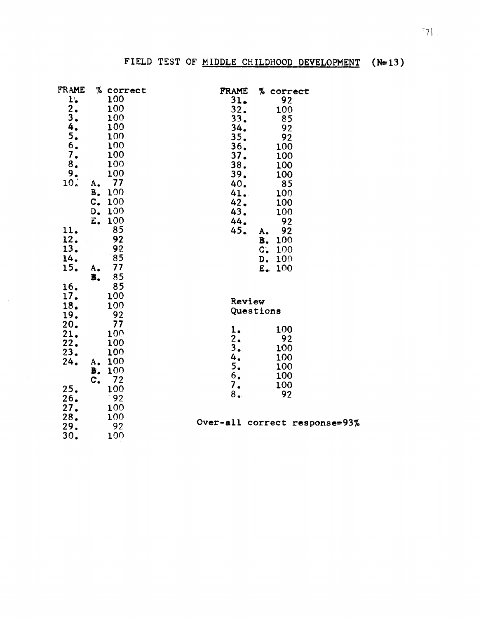# FIELD TEST OF MIDDLE CHILDHOOD DEVELOPMENT (N=13)

| FRAME |                        | % correct     | <b>FRAME</b>           |    | % correct                     |
|-------|------------------------|---------------|------------------------|----|-------------------------------|
| r.    |                        | 100           | 31.                    |    | 92                            |
| 2.    |                        | 100           | 32.                    |    | 100                           |
| З.    |                        | 100           | 33.                    |    | 85                            |
| 4.    |                        | 100           | 34.                    |    | 92                            |
| 5.    |                        | 100           | 35.                    |    | 92                            |
| 6.    |                        | 100           | 36.                    |    | 100                           |
| 7.    |                        | 100           | 37.                    |    | 100                           |
| 8.    |                        | 100           | 38.                    |    | 100                           |
| 9.    |                        | 100           | 39.                    |    | 100                           |
| 10.   | $A_{\bullet}$          | - 77          | 40.                    |    |                               |
|       | В.                     | 100           |                        |    | 85                            |
|       | $\mathbf{C}_{\bullet}$ | 100           | 41.                    |    | 100                           |
|       |                        |               | 42.                    |    | 100                           |
|       | $D_{\bullet}$          | 100           | 43.                    |    | 100                           |
|       | E.                     | 100           | 44.                    |    | 92                            |
| 11.   |                        | 85            | 45.                    | Α. | 92                            |
| 12.   |                        | 92            |                        | B. | 100                           |
| 13.   |                        | 92            |                        |    | $C_{\bullet}$ 100             |
| 14.   |                        | 85            |                        | D. | 100                           |
| 15.   | Α.                     | 77            |                        |    | $E_{*}$ 100                   |
|       | B.                     | 85            |                        |    |                               |
| 16.   |                        | 85            |                        |    |                               |
| 17.   |                        | 100           | Review                 |    |                               |
| 18.   |                        | 100           | Questions              |    |                               |
| 19.   |                        | 92            |                        |    |                               |
| 20.   |                        | 77            |                        |    | 100                           |
| 21.   |                        | 100           | $\mathbf{1}_{\bullet}$ |    |                               |
| 22.   |                        | 100           | 2.<br>3.               |    | 92                            |
| 23.   |                        | 100           | 4.                     |    | 100                           |
| 24.   | Α.                     | 100           | 5.                     |    | 100                           |
|       | B.                     | 100           |                        |    | 100                           |
|       | $\mathbf{C}_{\bullet}$ | - 72          | 6.                     |    | 100                           |
| 25.   |                        | 100           | 7.                     |    | 100                           |
| 26.   |                        | $^{\circ}$ 92 | 8.                     |    | 92                            |
| 27.   |                        | 100           |                        |    |                               |
| 28.   |                        | 100           |                        |    |                               |
| 29.   |                        | 92            |                        |    | Over-all correct response=93% |
| 30.   |                        | 100           |                        |    |                               |
|       |                        |               |                        |    |                               |

÷.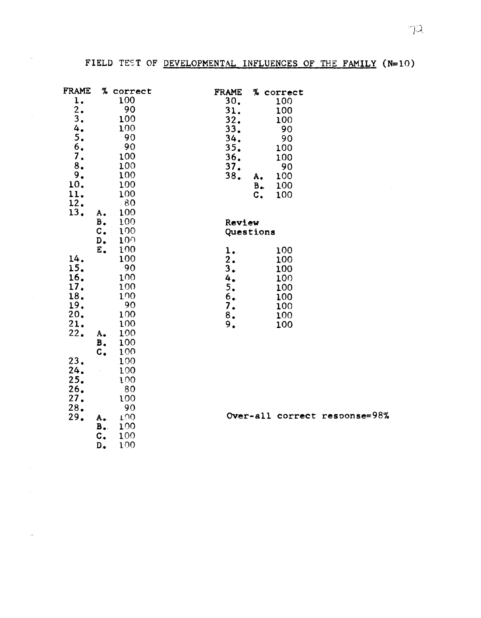## FIELD TEST OF DEVELOPMENTAL INFLUENCES OF THE FAMILY (N=10)

| FRAME |                | % correct       | FRAME     | % correct            |
|-------|----------------|-----------------|-----------|----------------------|
| ı.    |                | 100             | 30.       | 100                  |
| 2.    |                | 90              | 31.       | 100                  |
| 3.    |                | 100             | 32.       | 100                  |
| 4.    |                | 100             | 33.       | 90                   |
| 5.    |                | 90              | 34.       | 90                   |
| б.    |                | 90              | 35.       | 100                  |
| 7.    |                | 100             | 36.       | 100                  |
| 8.    |                | 100             | 37.       | 90                   |
| 9.    |                | $100\,$         | 38.<br>Α. | 100                  |
| 10.   |                | 100             |           | 100<br>$B_{\bullet}$ |
| 11.   |                | 100             |           | $c_{\bullet}$<br>100 |
| 12.   |                | -80             |           |                      |
| 13.   | Α.             | 100             |           |                      |
|       | В.             | 100             | Review    |                      |
|       | $\mathsf{c}$ . | 100             | Questions |                      |
|       | D.             | 10 <sub>0</sub> |           |                      |
|       | Ε.             | 100             | 1.        | 100                  |
| 14.   |                | 100             | 2.        | 100                  |
| 15.   |                | 90              | 3.        | 100                  |
| 16.   |                | 100             | 4.        | 100                  |
| 17.   |                | 100             | 5.        | 100                  |
| 18.   |                | 100             | 6.        | 100                  |
| 19.   |                | 90              | 7.        | 100                  |
| 20.   |                | 100             | 8.        | 100                  |
| 21.   |                | 100             | 9.        | 100                  |
| 22.   | А.             | 100             |           |                      |
|       | В.             | 100             |           |                      |
|       | $\mathsf{c}$ . | 100             |           |                      |
| 23.   |                | 100             |           |                      |
| 24.   |                | 100             |           |                      |
| 25.   |                | 100             |           |                      |
| 26.   |                | 80              |           |                      |
| 27.   |                | 100             |           |                      |
| 28.   |                | 90              |           |                      |
| 29.   | Α.             | 700             |           | Over-all correct     |
|       | B.             | 100             |           |                      |
|       | C.             | 100             |           |                      |
|       | D.             | $100\,$         |           |                      |
|       |                |                 |           |                      |

 $\bar{\omega}$ 

 $\bar{\omega}$ 

 $reson **se**=98%$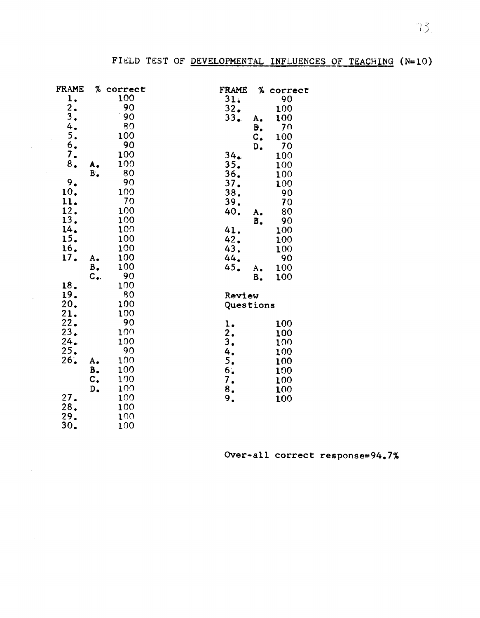# FIELD TEST OF DEVELOPMENTAL INFLUENCES OF TEACHING (N=10)

| FRAME                 |                 | % correct        | <b>FRAME</b><br>℅ | correct |
|-----------------------|-----------------|------------------|-------------------|---------|
| $\frac{1}{2}$ .<br>3. |                 | 100              | 31.               | 90      |
|                       |                 | 90               | 32.               | 100     |
|                       |                 | $\frac{1}{2}$ 90 | 33.<br>Α.         | 100     |
|                       |                 | 80               | В.                | 70      |
|                       |                 | 100              | $c_{\bullet}$     | 100     |
| $-45.$                |                 | 90               | D.                | 70      |
| 7.                    |                 | 100              | 34.               | 100     |
| 8.                    | Α.              | 100              | 35.               | 100     |
|                       | В.              | 80               | 36.               | $100\,$ |
| 9.                    |                 | 90               | 37.               | 100     |
| 10.                   |                 | 100              | 38.               | 90      |
| 11.                   |                 | 70               | 39.               | 70      |
| 12.                   |                 | 100              | 40.<br>Α.         | 80      |
| 13.                   |                 | 100              | В.                | 90      |
| 14.                   |                 | 100              | 41.               | 100     |
| 15.                   |                 | $100\,$          | 42.               | 100     |
| 16.                   |                 | 100              | 43.               | 100     |
| 17.                   | А.              | 100              | 44.               | 90      |
|                       | В.              | 100              | 45.<br>А.         | 100     |
|                       | $C_{\bullet}$ . | 90               | $B_{\bullet}$     | $100\,$ |
| 18.                   |                 | 100              |                   |         |
| 19.                   |                 | 80               | Review            |         |
| 20.                   |                 | 100              | Questions         |         |
| 21.                   |                 | 100              |                   |         |
| 22.                   |                 | 90               | ı.                | 100     |
| 23.                   |                 | 100              | 2.                | 100     |
| 24.                   |                 | 100              | 3.                | 100     |
| 25.                   |                 | 90               | 4.                | 100     |
| 26.                   | Α.              | 100              | 5.                | 100     |
|                       | Β.              | $100\,$          | 6.                | 100     |
|                       | $\mathsf{c}.$   | 100              | 7.                | 100     |
|                       | D.              | 100              | 8.                | 100     |
| 27.                   |                 | $100\,$          | 9.                | 100     |
| 28.                   |                 | 100              |                   |         |
| 29.                   |                 | 100              |                   |         |
| 30.                   |                 | 100              |                   |         |

 $\sim$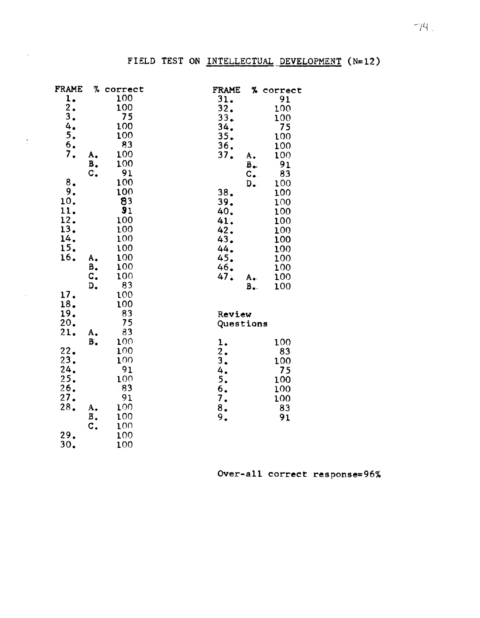# FIELD TEST ON INTELLECTUAL DEVELOPMENT (N=12)

| FRAME           |                        | % correct | <b>FRAME</b> |        |                          | % correct |
|-----------------|------------------------|-----------|--------------|--------|--------------------------|-----------|
| 1.              |                        | 100       | 31.          |        |                          | 91        |
| 2.              |                        | 100       | 32.          |        |                          | 100       |
| 3.              |                        | 75        | 33.          |        |                          | 100       |
| 4.              |                        | 100       | 34.          |        |                          | 75        |
|                 |                        | 100       | 35.          |        |                          | 100       |
| $\frac{5}{6}$ . |                        | 83        | 36.          |        |                          | 100       |
| 7.              | Α.                     | 100       | 37.          |        | Α.                       | 100       |
|                 | B.                     | 100       |              |        | В.                       | 91        |
|                 | $\mathsf{C}_{\bullet}$ | 91        |              |        | $\mathtt{C}_{\bullet}$ . | 83        |
| 8.              |                        | 100       |              |        | D.                       | 100       |
| 9.              |                        | 100       | 38.          |        |                          | 100       |
| 10.             |                        | 83        | 39.          |        |                          | 100       |
| 11.             |                        | 91        | 40.          |        |                          |           |
| 12.             |                        | 100       |              |        |                          | 100       |
|                 |                        |           | 41.          |        |                          | 100       |
| 13.             |                        | 100       | 42.          |        |                          | 100       |
| 14.             |                        | 100       | 43.          |        |                          | 100       |
| 15.             |                        | 100       | 44.          |        |                          | 100       |
| 16.             | Α.                     | 100       | 45.          |        |                          | 100       |
|                 | В.                     | 100       | 46.          |        |                          | 100       |
|                 | $\mathsf{C}\,$         | $100\,$   | 47.          |        | A.                       | 100       |
|                 | D.                     | 83        |              |        | В.                       | 100       |
| 17.             |                        | 100       |              |        |                          |           |
| 18.             |                        | 100       |              |        |                          |           |
| 19.             |                        | 83        |              | Review |                          |           |
| 20.             |                        | 75        |              |        | Questions                |           |
| 21.             | Α.                     | 83        |              |        |                          |           |
|                 | $B_{\bullet}$          | 100       | 1.           |        |                          | 100       |
| 22.             |                        | 100       | 2.           |        |                          | 83        |
| 23.             |                        | 100       | 3.           |        |                          | 100       |
| 24.             |                        | 91        | 4.           |        |                          | 75        |
| 25.             |                        | 100       | 5.           |        |                          | 100       |
| 26.             |                        | 83        | 6.           |        |                          | 100       |
| 27.             |                        | 91        | 7.           |        |                          | 100       |
| 28.             | Α.                     | 100       | 8.           |        |                          | 83        |
|                 | Β.                     | 100       | ٩.           |        |                          | 91        |
|                 | C.                     | 100       |              |        |                          |           |
| 29.             |                        | 100       |              |        |                          |           |
| 30.             |                        | 100       |              |        |                          |           |
|                 |                        |           |              |        |                          |           |

 $\frac{1}{2}$ 

 $\frac{1}{2}$  .

 $\sim$   $\omega$ 

Over-all correct response=96%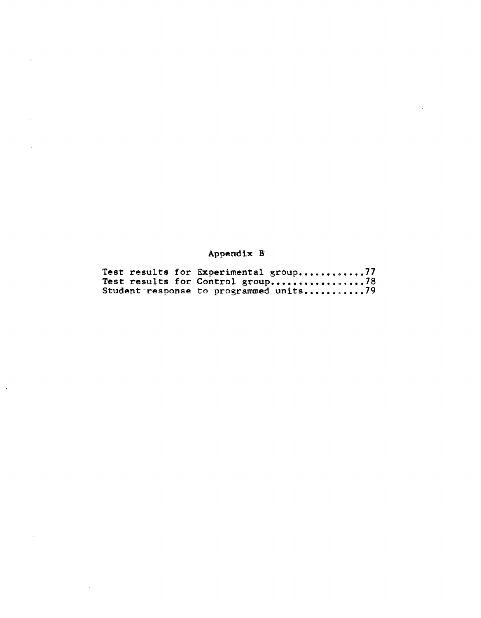# Appendix B

|  | Test results for Experimental group77  |  |
|--|----------------------------------------|--|
|  | Test results for Control group78       |  |
|  | Student response to programmed units79 |  |

 $\bar{\mathbf{r}}$ 

 $\sim$   $\sim$ 

 $\bar{\gamma}$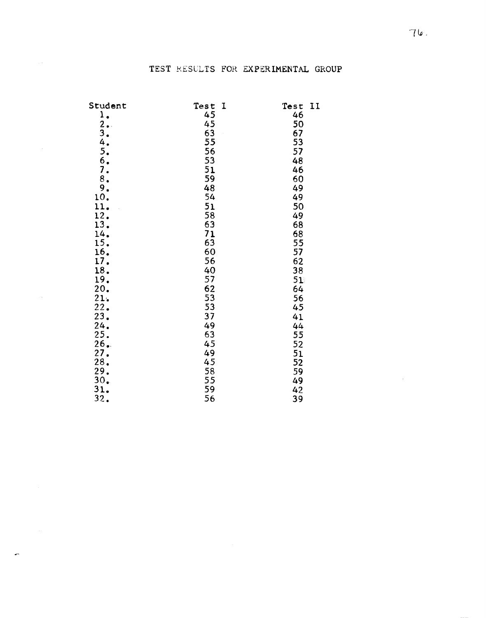### TEST RESULTS FOR EXPERIMENTAL GROUP

| Student                            | <b>Test</b><br>I | 11<br>Test |
|------------------------------------|------------------|------------|
| $\mathbf{l}$ .                     | 45               | 46         |
|                                    | 45               | 50         |
|                                    | 63               | 67         |
|                                    | 55               | 53         |
|                                    | 56               | 57         |
|                                    | 53               | 48         |
|                                    | 51               | 46         |
|                                    | 59               | 60         |
|                                    | 48               | 49         |
|                                    | 54               | 49         |
| 2, 3, 4, 5, 6, 7, 8, 9, 10, 11, 11 | 51               | 50         |
| 12.                                | 58               | 49         |
| 13.                                | 63               | 68         |
| 14.                                | 71               | 68         |
|                                    | 63               | 55         |
| $\frac{15}{16}$ .                  | 60               | 57         |
| 17.                                | 56               | 62         |
| $\frac{18}{19}$ .                  | 40               | 38         |
|                                    | 57               | 51         |
| 20.                                | 62               | 64         |
| $\frac{21}{22}$ .<br>23.           | 53               | 56         |
|                                    | 53               | 45         |
|                                    | 37               | 41         |
| 24.                                | 49               | 44         |
| $\frac{25}{26}$<br>26<br>27        | 63               | 55         |
|                                    | 45               | 52         |
|                                    | 49               | 51         |
| 28.                                | 45               | 52         |
| 29.                                | 58               | 59         |
| $30_{\bullet}$                     | 55               | 49         |
| 31.                                | 59               | 42         |
| 32.                                | 56               | 39         |

 $\sim 10^{-1}$ 

 $\sim 10^{-1}$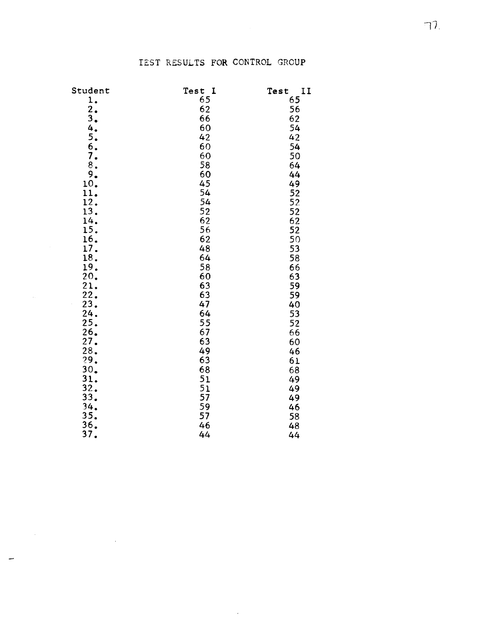## TEST RESULTS FOR CONTROL GROUP

| Student                                | Test<br>$\mathbf{I}$ | $\mathbf{I}$<br>Test |
|----------------------------------------|----------------------|----------------------|
| $\frac{1}{2}$ .<br>$\frac{2}{3}$ .     | 65                   | 65                   |
|                                        | 62                   | 56                   |
|                                        | 66                   | 62                   |
|                                        | 60                   | 54                   |
|                                        | 42                   | 42                   |
| $4567890$<br>$1112$<br>$134$           | 60                   | 54                   |
|                                        | 60                   | 50                   |
|                                        | 58                   | 64                   |
|                                        | 60                   | 44                   |
|                                        | 45                   | 49                   |
|                                        | 54                   | 52                   |
|                                        | 54                   | 52                   |
|                                        | 52                   | 52                   |
|                                        | 62                   | 62                   |
| 15.<br>16.<br>17.<br>18.<br>19.<br>20. | 56                   | 52                   |
|                                        | 62                   | 50                   |
|                                        | 48                   | 53                   |
|                                        | 64                   | 58                   |
|                                        | 58                   | 66                   |
|                                        | 60                   | 63                   |
| $\frac{21}{22}$ .                      | 63                   | 59                   |
|                                        | 63                   | 59                   |
|                                        | 47                   | 40                   |
|                                        | 64                   | 53                   |
|                                        | 55                   | 52                   |
|                                        | 67                   | 66                   |
| $23.24$<br>$225.6$<br>$27.8$<br>$28.$  | 63                   | 60                   |
|                                        | 49                   | 46                   |
| 29.                                    | 63                   | 61                   |
| 30 <sub>•</sub>                        | 68                   | 68                   |
| 31.                                    | 51                   | 49                   |
| $\frac{32}{33}$ .                      | 51                   | 49                   |
|                                        | 57                   | 49                   |
| 34.                                    | 59                   | 46                   |
| $\frac{35}{36}$                        | 57                   | 58                   |
|                                        | 46                   | 48                   |
| 37.                                    | 44                   | 44                   |

 $\lambda$ 

 $\label{eq:2.1} \frac{1}{\sqrt{2}}\sum_{i=1}^n\frac{1}{\sqrt{2}}\sum_{i=1}^n\frac{1}{\sqrt{2}}\sum_{i=1}^n\frac{1}{\sqrt{2}}\sum_{i=1}^n\frac{1}{\sqrt{2}}\sum_{i=1}^n\frac{1}{\sqrt{2}}\sum_{i=1}^n\frac{1}{\sqrt{2}}\sum_{i=1}^n\frac{1}{\sqrt{2}}\sum_{i=1}^n\frac{1}{\sqrt{2}}\sum_{i=1}^n\frac{1}{\sqrt{2}}\sum_{i=1}^n\frac{1}{\sqrt{2}}\sum_{i=1}^n\frac$ 

 $\mathcal{L}^{\text{max}}_{\text{max}}$  , where  $\mathcal{L}^{\text{max}}_{\text{max}}$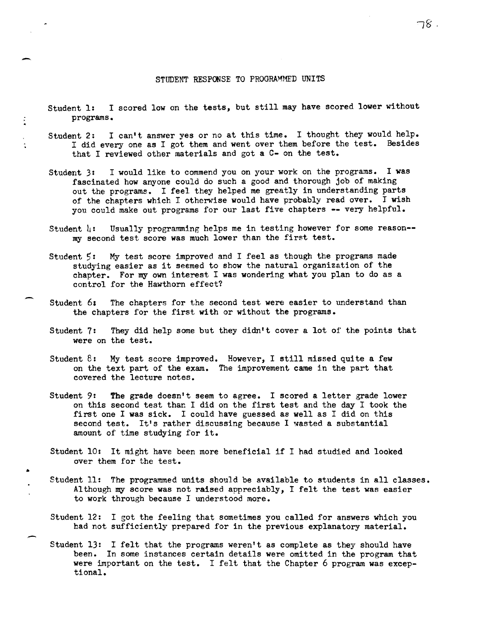### STUDENT RESPONSE TO PROGRAMMED UNITS

Student 1: I scored low on the tests, but still may have scored lower without programs.

-

÷

- Student 2: I can't answer yes or no at this time. I thought they would help. I did every one as I got them and went over them before the test. Besides that I reviewed other materials and got a C- on the test.
- Student 3: I would like to commend you on your work on the programs. I was fascinated how anyone could do such a good and thorough job of making out the programs. I feel they helped me greatly in understanding parts of the chapters which I otherwise would have probably read over. I wish you could make out programs for our last five chapters **--** very helpful.
- Student 4: Usually programming helps me in testing however for some reason-my second test score was much lower than the first test.
- Student 5: My test score improved and I feel as though the programs made studying easier as it seemed to show the natural organization of the chapter. For my own interest I was wondering what you plan to do as a control for the Hawthorn effect?
- Student 6: The chapters for the second test were easier to understand than the chapters for the first with or without the programs.
	- Student 7: They did help some but they didn't cover a lot of the points that were on the test.
	- Student  $8:$  My test score improved. However, I still missed quite a few on the text part of the exam. The improvement came in the part that covered the lecture notes.
	- Student 9: The grade doesn't seem to agree. I scored a letter grade lower on this second test than I did on the first test and the day I took the first one I was sick. I could have guessed as well as I did on this second test. It's rather discussing because I wasted a substantial amount of time studying for it.
	- Student 10: It might have been more beneficial if I had studied and looked over them for the test.
	- Student 11: The programmed units should be available to students in all classes. Although my score was not raised appreciably, I felt the test was easier to work through because I understood more.
	- Student 12: I got the feeling that sometimes you called for answers which you had not sufficiently prepared for in the previous explanatory material.
	- Student 13: I felt that the programs weren't as complete as they should have been. In some instances certain details were omitted in the program that were important on the test. I felt that the Chapter 6 program was exceptional.